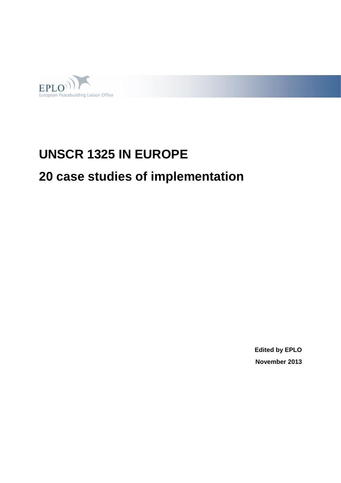

# **UNSCR 1325 IN EUROPE**

# **20 case studies of implementation**

**Edited by EPLO November 2013**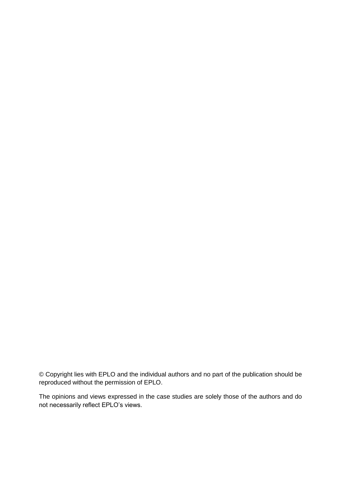© Copyright lies with EPLO and the individual authors and no part of the publication should be reproduced without the permission of EPLO.

The opinions and views expressed in the case studies are solely those of the authors and do not necessarily reflect EPLO's views.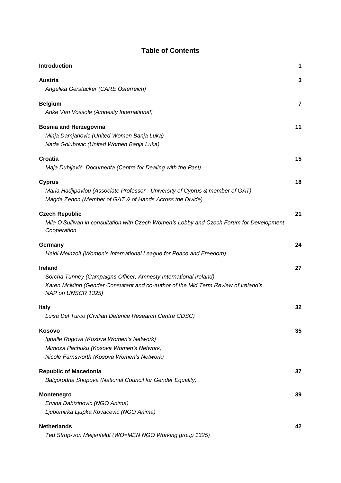| Introduction                                                                             | 1              |
|------------------------------------------------------------------------------------------|----------------|
| <b>Austria</b>                                                                           | 3              |
| Angelika Gerstacker (CARE Österreich)                                                    |                |
|                                                                                          |                |
| <b>Belgium</b>                                                                           | $\overline{7}$ |
| Anke Van Vossole (Amnesty International)                                                 |                |
| <b>Bosnia and Herzegovina</b>                                                            | 11             |
| Minja Damjanovic (United Women Banja Luka)                                               |                |
| Nada Golubovic (United Women Banja Luka)                                                 |                |
|                                                                                          |                |
| Croatia                                                                                  | 15             |
| Maja Dubljević, Documenta (Centre for Dealing with the Past)                             |                |
|                                                                                          |                |
| <b>Cyprus</b>                                                                            | 18             |
| Maria Hadjipavlou (Associate Professor - University of Cyprus & member of GAT)           |                |
| Magda Zenon (Member of GAT & of Hands Across the Divide)                                 |                |
| <b>Czech Republic</b>                                                                    | 21             |
| Mila O'Sullivan in consultation with Czech Women's Lobby and Czech Forum for Development |                |
| Cooperation                                                                              |                |
|                                                                                          |                |
| Germany                                                                                  | 24             |
| Heidi Meinzolt (Women's International League for Peace and Freedom)                      |                |
|                                                                                          |                |
| <b>Ireland</b>                                                                           | 27             |
| Sorcha Tunney (Campaigns Officer, Amnesty International Ireland)                         |                |
| Karen McMinn (Gender Consultant and co-author of the Mid Term Review of Ireland's        |                |
| NAP on UNSCR 1325)                                                                       |                |
| <b>Italy</b>                                                                             | 32             |
| Luisa Del Turco (Civilian Defence Research Centre CDSC)                                  |                |
|                                                                                          |                |
| <b>Kosovo</b>                                                                            | 35             |
| Igballe Rogova (Kosova Women's Network)                                                  |                |
| Mimoza Pachuku (Kosova Women's Network)                                                  |                |
| Nicole Farnsworth (Kosova Women's Network)                                               |                |
|                                                                                          |                |
| <b>Republic of Macedonia</b>                                                             | 37             |
| Balgorodna Shopova (National Council for Gender Equality)                                |                |
| <b>Montenegro</b>                                                                        | 39             |
| Ervina Dabizinovic (NGO Anima)                                                           |                |
| Ljubomirka Ljupka Kovacevic (NGO Anima)                                                  |                |
|                                                                                          |                |
| <b>Netherlands</b>                                                                       | 42             |

**Table of Contents**

*[Ted Strop-von Meijenfeldt \(WO=MEN NGO Working group 1325\)](#page-45-1)*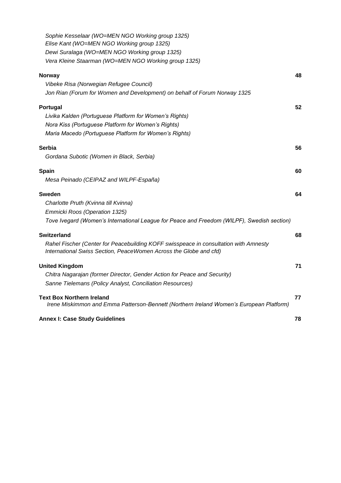| Sophie Kesselaar (WO=MEN NGO Working group 1325)<br>Elise Kant (WO=MEN NGO Working group 1325) |    |
|------------------------------------------------------------------------------------------------|----|
| Dewi Suralaga (WO=MEN NGO Working group 1325)                                                  |    |
| Vera Kleine Staarman (WO=MEN NGO Working group 1325)                                           |    |
| <b>Norway</b>                                                                                  | 48 |
| Vibeke Risa (Norwegian Refugee Council)                                                        |    |
| Jon Rian (Forum for Women and Development) on behalf of Forum Norway 1325                      |    |
| Portugal                                                                                       | 52 |
| Livika Kalden (Portuguese Platform for Women's Rights)                                         |    |
| Nora Kiss (Portuguese Platform for Women's Rights)                                             |    |
| Maria Macedo (Portuguese Platform for Women's Rights)                                          |    |
| Serbia                                                                                         | 56 |
| Gordana Subotic (Women in Black, Serbia)                                                       |    |
| Spain                                                                                          | 60 |
| Mesa Peinado (CEIPAZ and WILPF-España)                                                         |    |
| Sweden                                                                                         | 64 |
| Charlotte Pruth (Kvinna till Kvinna)                                                           |    |
| Emmicki Roos (Operation 1325)                                                                  |    |
| Tove Ivegard (Women's International League for Peace and Freedom (WILPF), Swedish section)     |    |
| <b>Switzerland</b>                                                                             | 68 |
| Rahel Fischer (Center for Peacebuilding KOFF swisspeace in consultation with Amnesty           |    |
| International Swiss Section, PeaceWomen Across the Globe and cfd)                              |    |
| <b>United Kingdom</b>                                                                          | 71 |
| Chitra Nagarajan (former Director, Gender Action for Peace and Security)                       |    |
| Sanne Tielemans (Policy Analyst, Conciliation Resources)                                       |    |
| <b>Text Box Northern Ireland</b>                                                               | 77 |
| Irene Miskimmon and Emma Patterson-Bennett (Northern Ireland Women's European Platform)        |    |
| <b>Annex I: Case Study Guidelines</b>                                                          | 78 |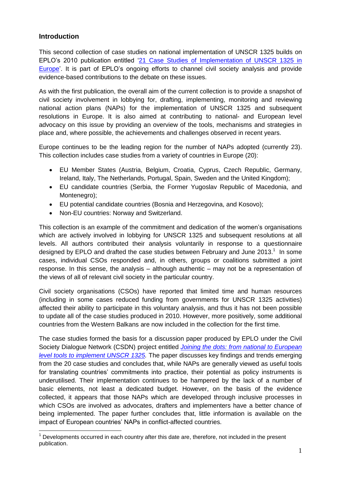#### <span id="page-4-0"></span>**Introduction**

This second collection of case studies on national implementation of UNSCR 1325 builds on EPLO's 2010 publication entitled ['21 Case Studies of Implementation of UNSCR 1325 in](http://www.eplo.org/assets/files/2.%20Activities/Working%20Groups/GPS/EPLO_GPS_WG_Case_Studies_UNSCR_1325_in_Europe.pdf)  [Europe'.](http://www.eplo.org/assets/files/2.%20Activities/Working%20Groups/GPS/EPLO_GPS_WG_Case_Studies_UNSCR_1325_in_Europe.pdf) It is part of EPLO's ongoing efforts to channel civil society analysis and provide evidence-based contributions to the debate on these issues.

As with the first publication, the overall aim of the current collection is to provide a snapshot of civil society involvement in lobbying for, drafting, implementing, monitoring and reviewing national action plans (NAPs) for the implementation of UNSCR 1325 and subsequent resolutions in Europe. It is also aimed at contributing to national- and European level advocacy on this issue by providing an overview of the tools, mechanisms and strategies in place and, where possible, the achievements and challenges observed in recent years.

Europe continues to be the leading region for the number of NAPs adopted (currently 23). This collection includes case studies from a variety of countries in Europe (20):

- EU Member States (Austria, Belgium, Croatia, Cyprus, Czech Republic, Germany, Ireland, Italy, The Netherlands, Portugal, Spain, Sweden and the United Kingdom);
- EU candidate countries (Serbia, the Former Yugoslav Republic of Macedonia, and Montenegro);
- EU potential candidate countries (Bosnia and Herzegovina, and Kosovo);
- Non-EU countries: Norway and Switzerland.

This collection is an example of the commitment and dedication of the women's organisations which are actively involved in lobbying for UNSCR 1325 and subsequent resolutions at all levels. All authors contributed their analysis voluntarily in response to a questionnaire designed by EPLO and drafted the case studies between February and June 2013. $<sup>1</sup>$  In some</sup> cases, individual CSOs responded and, in others, groups or coalitions submitted a joint response. In this sense, the analysis – although authentic – may not be a representation of the views of all of relevant civil society in the particular country.

Civil society organisations (CSOs) have reported that limited time and human resources (including in some cases reduced funding from governments for UNSCR 1325 activities) affected their ability to participate in this voluntary analysis, and thus it has not been possible to update all of the case studies produced in 2010. However, more positively, some additional countries from the Western Balkans are now included in the collection for the first time.

The case studies formed the basis for a discussion paper produced by EPLO under the Civil Society Dialogue Network (CSDN) project entitled *[Joining the dots: from national to European](http://www.eplo.org/assets/files/2.%20Activities/Civil%20Society%20Dialogue%20Network/Discussion%20Papers/EPLO_CSDN_Discussion_Paper_UNSCR_1325.pdf)  [level tools to implement UNSCR 1325.](http://www.eplo.org/assets/files/2.%20Activities/Civil%20Society%20Dialogue%20Network/Discussion%20Papers/EPLO_CSDN_Discussion_Paper_UNSCR_1325.pdf)* The paper discusses key findings and trends emerging from the 20 case studies and concludes that, while NAPs are generally viewed as useful tools for translating countries' commitments into practice, their potential as policy instruments is underutilised. Their implementation continues to be hampered by the lack of a number of basic elements, not least a dedicated budget. However, on the basis of the evidence collected, it appears that those NAPs which are developed through inclusive processes in which CSOs are involved as advocates, drafters and implementers have a better chance of being implemented. The paper further concludes that, little information is available on the impact of European countries' NAPs in conflict-affected countries.

Developments occurred in each country after this date are, therefore, not included in the present publication.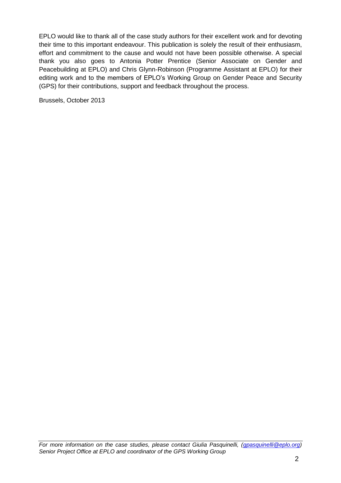EPLO would like to thank all of the case study authors for their excellent work and for devoting their time to this important endeavour. This publication is solely the result of their enthusiasm, effort and commitment to the cause and would not have been possible otherwise. A special thank you also goes to Antonia Potter Prentice (Senior Associate on Gender and Peacebuilding at EPLO) and Chris Glynn-Robinson (Programme Assistant at EPLO) for their editing work and to the members of EPLO's Working Group on Gender Peace and Security (GPS) for their contributions, support and feedback throughout the process.

Brussels, October 2013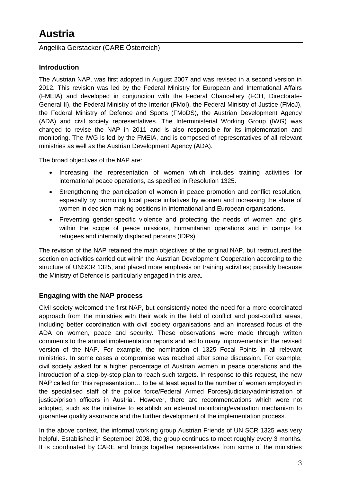## <span id="page-6-0"></span>**Austria**

<span id="page-6-1"></span>Angelika Gerstacker (CARE Österreich)

### **Introduction**

The Austrian NAP, was first adopted in August 2007 and was revised in a second version in 2012. This revision was led by the Federal Ministry for European and International Affairs (FMEIA) and developed in conjunction with the Federal Chancellery (FCH, Directorate-General II), the Federal Ministry of the Interior (FMoI), the Federal Ministry of Justice (FMoJ), the Federal Ministry of Defence and Sports (FMoDS), the Austrian Development Agency (ADA) and civil society representatives. The Interministerial Working Group (IWG) was charged to revise the NAP in 2011 and is also responsible for its implementation and monitoring. The IWG is led by the FMEIA, and is composed of representatives of all relevant ministries as well as the Austrian Development Agency (ADA).

The broad objectives of the NAP are:

- Increasing the representation of women which includes training activities for international peace operations, as specified in Resolution 1325.
- Strengthening the participation of women in peace promotion and conflict resolution, especially by promoting local peace initiatives by women and increasing the share of women in decision-making positions in international and European organisations.
- Preventing gender-specific violence and protecting the needs of women and girls within the scope of peace missions, humanitarian operations and in camps for refugees and internally displaced persons (IDPs).

The revision of the NAP retained the main objectives of the original NAP, but restructured the section on activities carried out within the Austrian Development Cooperation according to the structure of UNSCR 1325, and placed more emphasis on training activities; possibly because the Ministry of Defence is particularly engaged in this area.

### **Engaging with the NAP process**

Civil society welcomed the first NAP, but consistently noted the need for a more coordinated approach from the ministries with their work in the field of conflict and post-conflict areas, including better coordination with civil society organisations and an increased focus of the ADA on women, peace and security. These observations were made through written comments to the annual implementation reports and led to many improvements in the revised version of the NAP. For example, the nomination of 1325 Focal Points in all relevant ministries. In some cases a compromise was reached after some discussion. For example, civil society asked for a higher percentage of Austrian women in peace operations and the introduction of a step-by-step plan to reach such targets. In response to this request, the new NAP called for 'this representation… to be at least equal to the number of women employed in the specialised staff of the police force/Federal Armed Forces/judiciary/administration of justice/prison officers in Austria'. However, there are recommendations which were not adopted, such as the initiative to establish an external monitoring/evaluation mechanism to guarantee quality assurance and the further development of the implementation process.

In the above context, the informal working group Austrian Friends of UN SCR 1325 was very helpful. Established in September 2008, the group continues to meet roughly every 3 months. It is coordinated by CARE and brings together representatives from some of the ministries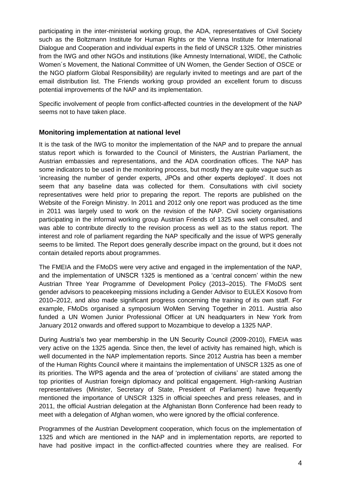participating in the inter-ministerial working group, the ADA, representatives of Civil Society such as the Boltzmann Institute for Human Rights or the Vienna Institute for International Dialogue and Cooperation and individual experts in the field of UNSCR 1325. Other ministries from the IWG and other NGOs and institutions (like Amnesty International, WIDE, the Catholic Women´s Movement, the National Committee of UN Women, the Gender Section of OSCE or the NGO platform Global Responsibility) are regularly invited to meetings and are part of the email distribution list. The Friends working group provided an excellent forum to discuss potential improvements of the NAP and its implementation.

Specific involvement of people from conflict-affected countries in the development of the NAP seems not to have taken place.

#### **Monitoring implementation at national level**

It is the task of the IWG to monitor the implementation of the NAP and to prepare the annual status report which is forwarded to the Council of Ministers, the Austrian Parliament, the Austrian embassies and representations, and the ADA coordination offices. The NAP has some indicators to be used in the monitoring process, but mostly they are quite vague such as 'increasing the number of gender experts, JPOs and other experts deployed'. It does not seem that any baseline data was collected for them. Consultations with civil society representatives were held prior to preparing the report. The reports are published on the Website of the Foreign Ministry. In 2011 and 2012 only one report was produced as the time in 2011 was largely used to work on the revision of the NAP. Civil society organisations participating in the informal working group Austrian Friends of 1325 was well consulted, and was able to contribute directly to the revision process as well as to the status report. The interest and role of parliament regarding the NAP specifically and the issue of WPS generally seems to be limited. The Report does generally describe impact on the ground, but it does not contain detailed reports about programmes.

The FMEIA and the FMoDS were very active and engaged in the implementation of the NAP, and the implementation of UNSCR 1325 is mentioned as a 'central concern' within the new Austrian Three Year Programme of Development Policy (2013–2015). The FMoDS sent gender advisors to peacekeeping missions including a Gender Advisor to EULEX Kosovo from 2010–2012, and also made significant progress concerning the training of its own staff. For example, FMoDs organised a symposium WoMen Serving Together in 2011. Austria also funded a UN Women Junior Professional Officer at UN headquarters in New York from January 2012 onwards and offered support to Mozambique to develop a 1325 NAP.

During Austria's two year membership in the UN Security Council (2009-2010), FMEIA was very active on the 1325 agenda. Since then, the level of activity has remained high, which is well documented in the NAP implementation reports. Since 2012 Austria has been a member of the Human Rights Council where it maintains the implementation of UNSCR 1325 as one of its priorities. The WPS agenda and the area of 'protection of civilians' are stated among the top priorities of Austrian foreign diplomacy and political engagement. High-ranking Austrian representatives (Minister, Secretary of State, President of Parliament) have frequently mentioned the importance of UNSCR 1325 in official speeches and press releases, and in 2011, the official Austrian delegation at the Afghanistan Bonn Conference had been ready to meet with a delegation of Afghan women, who were ignored by the official conference.

Programmes of the Austrian Development cooperation, which focus on the implementation of 1325 and which are mentioned in the NAP and in implementation reports, are reported to have had positive impact in the conflict-affected countries where they are realised. For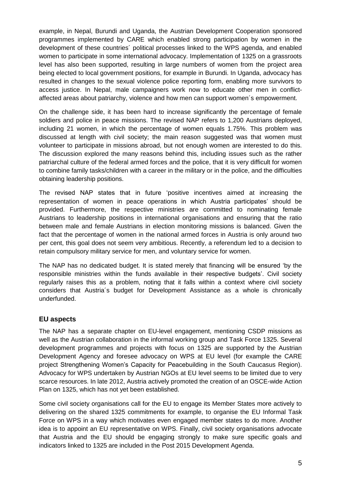example, in Nepal, Burundi and Uganda, the Austrian Development Cooperation sponsored programmes implemented by CARE which enabled strong participation by women in the development of these countries´ political processes linked to the WPS agenda, and enabled women to participate in some international advocacy. Implementation of 1325 on a grassroots level has also been supported, resulting in large numbers of women from the project area being elected to local government positions, for example in Burundi. In Uganda, advocacy has resulted in changes to the sexual violence police reporting form, enabling more survivors to access justice. In Nepal, male campaigners work now to educate other men in conflictaffected areas about patriarchy, violence and how men can support women´s empowerment.

On the challenge side, it has been hard to increase significantly the percentage of female soldiers and police in peace missions. The revised NAP refers to 1,200 Austrians deployed, including 21 women, in which the percentage of women equals 1.75%. This problem was discussed at length with civil society; the main reason suggested was that women must volunteer to participate in missions abroad, but not enough women are interested to do this. The discussion explored the many reasons behind this, including issues such as the rather patriarchal culture of the federal armed forces and the police, that it is very difficult for women to combine family tasks/children with a career in the military or in the police, and the difficulties obtaining leadership positions.

The revised NAP states that in future 'positive incentives aimed at increasing the representation of women in peace operations in which Austria participates' should be provided. Furthermore, the respective ministries are committed to nominating female Austrians to leadership positions in international organisations and ensuring that the ratio between male and female Austrians in election monitoring missions is balanced. Given the fact that the percentage of women in the national armed forces in Austria is only around two per cent, this goal does not seem very ambitious. Recently, a referendum led to a decision to retain compulsory military service for men, and voluntary service for women.

The NAP has no dedicated budget. It is stated merely that financing will be ensured 'by the responsible ministries within the funds available in their respective budgets'. Civil society regularly raises this as a problem, noting that it falls within a context where civil society considers that Austria´s budget for Development Assistance as a whole is chronically underfunded.

#### **EU aspects**

The NAP has a separate chapter on EU-level engagement, mentioning CSDP missions as well as the Austrian collaboration in the informal working group and Task Force 1325. Several development programmes and projects with focus on 1325 are supported by the Austrian Development Agency and foresee advocacy on WPS at EU level (for example the CARE project Strengthening Women's Capacity for Peacebuilding in the South Caucasus Region). Advocacy for WPS undertaken by Austrian NGOs at EU level seems to be limited due to very scarce resources. In late 2012, Austria actively promoted the creation of an OSCE-wide Action Plan on 1325, which has not yet been established.

Some civil society organisations call for the EU to engage its Member States more actively to delivering on the shared 1325 commitments for example, to organise the EU Informal Task Force on WPS in a way which motivates even engaged member states to do more. Another idea is to appoint an EU representative on WPS. Finally, civil society organisations advocate that Austria and the EU should be engaging strongly to make sure specific goals and indicators linked to 1325 are included in the Post 2015 Development Agenda.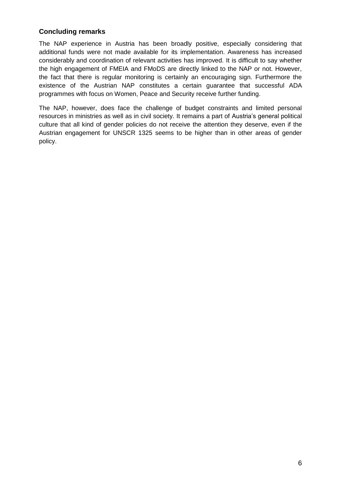#### **Concluding remarks**

The NAP experience in Austria has been broadly positive, especially considering that additional funds were not made available for its implementation. Awareness has increased considerably and coordination of relevant activities has improved. It is difficult to say whether the high engagement of FMEIA and FMoDS are directly linked to the NAP or not. However, the fact that there is regular monitoring is certainly an encouraging sign. Furthermore the existence of the Austrian NAP constitutes a certain guarantee that successful ADA programmes with focus on Women, Peace and Security receive further funding.

The NAP, however, does face the challenge of budget constraints and limited personal resources in ministries as well as in civil society. It remains a part of Austria's general political culture that all kind of gender policies do not receive the attention they deserve, even if the Austrian engagement for UNSCR 1325 seems to be higher than in other areas of gender policy.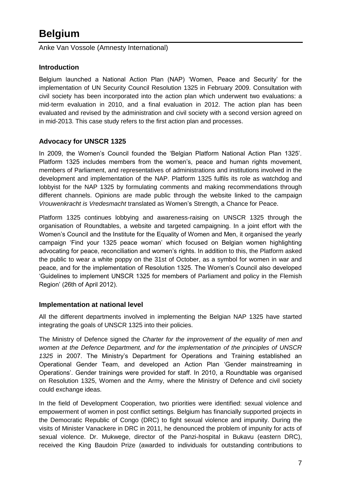## <span id="page-10-0"></span>**Belgium**

<span id="page-10-1"></span>Anke Van Vossole (Amnesty International)

#### **Introduction**

Belgium launched a National Action Plan (NAP) 'Women, Peace and Security' for the implementation of UN Security Council Resolution 1325 in February 2009. Consultation with civil society has been incorporated into the action plan which underwent two evaluations: a mid-term evaluation in 2010, and a final evaluation in 2012. The action plan has been evaluated and revised by the administration and civil society with a second version agreed on in mid-2013. This case study refers to the first action plan and processes.

#### **Advocacy for UNSCR 1325**

In 2009, the Women's Council founded the 'Belgian Platform National Action Plan 1325'. Platform 1325 includes members from the women's, peace and human rights movement, members of Parliament, and representatives of administrations and institutions involved in the development and implementation of the NAP. Platform 1325 fulfils its role as watchdog and lobbyist for the NAP 1325 by formulating comments and making recommendations through different channels. Opinions are made public through the website linked to the campaign *Vrouwenkracht is Vredesmacht* translated as Women's Strength, a Chance for Peace.

Platform 1325 continues lobbying and awareness-raising on UNSCR 1325 through the organisation of Roundtables, a website and targeted campaigning. In a joint effort with the Women's Council and the Institute for the Equality of Women and Men, it organised the yearly campaign 'Find your 1325 peace woman' which focused on Belgian women highlighting advocating for peace, reconciliation and women's rights. In addition to this, the Platform asked the public to wear a white poppy on the 31st of October, as a symbol for women in war and peace, and for the implementation of Resolution 1325. The Women's Council also developed 'Guidelines to implement UNSCR 1325 for members of Parliament and policy in the Flemish Region' (26th of April 2012).

#### **Implementation at national level**

All the different departments involved in implementing the Belgian NAP 1325 have started integrating the goals of UNSCR 1325 into their policies.

The Ministry of Defence signed the *Charter for the improvement of the equality of men and women at the Defence Department, and for the implementation of the principles of UNSCR 1325* in 2007. The Ministry's Department for Operations and Training established an Operational Gender Team, and developed an Action Plan 'Gender mainstreaming in Operations'. Gender trainings were provided for staff. In 2010, a Roundtable was organised on Resolution 1325, Women and the Army, where the Ministry of Defence and civil society could exchange ideas.

In the field of Development Cooperation, two priorities were identified: sexual violence and empowerment of women in post conflict settings. Belgium has financially supported projects in the Democratic Republic of Congo (DRC) to fight sexual violence and impunity. During the visits of Minister Vanackere in DRC in 2011, he denounced the problem of impunity for acts of sexual violence. Dr. Mukwege, director of the Panzi-hospital in Bukavu (eastern DRC), received the King Baudoin Prize (awarded to individuals for outstanding contributions to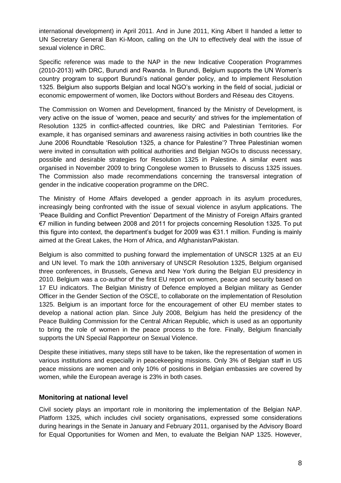international development) in April 2011. And in June 2011, King Albert II handed a letter to UN Secretary General Ban Ki-Moon, calling on the UN to effectively deal with the issue of sexual violence in DRC.

Specific reference was made to the NAP in the new Indicative Cooperation Programmes (2010-2013) with DRC, Burundi and Rwanda. In Burundi, Belgium supports the UN Women's country program to support Burundi's national gender policy, and to implement Resolution 1325. Belgium also supports Belgian and local NGO's working in the field of social, judicial or economic empowerment of women, like Doctors without Borders and Réseau des Citoyens.

The Commission on Women and Development, financed by the Ministry of Development, is very active on the issue of 'women, peace and security' and strives for the implementation of Resolution 1325 in conflict-affected countries, like DRC and Palestinian Territories. For example, it has organised seminars and awareness raising activities in both countries like the June 2006 Roundtable 'Resolution 1325, a chance for Palestine'? Three Palestinian women were invited in consultation with political authorities and Belgian NGOs to discuss necessary, possible and desirable strategies for Resolution 1325 in Palestine. A similar event was organised in November 2009 to bring Congolese women to Brussels to discuss 1325 issues. The Commission also made recommendations concerning the transversal integration of gender in the indicative cooperation programme on the DRC.

The Ministry of Home Affairs developed a gender approach in its asylum procedures, increasingly being confronted with the issue of sexual violence in asylum applications. The 'Peace Building and Conflict Prevention' Department of the Ministry of Foreign Affairs granted €7 million in funding between 2008 and 2011 for projects concerning Resolution 1325. To put this figure into context, the department's budget for 2009 was €31.1 million. Funding is mainly aimed at the Great Lakes, the Horn of Africa, and Afghanistan/Pakistan.

Belgium is also committed to pushing forward the implementation of UNSCR 1325 at an EU and UN level. To mark the 10th anniversary of UNSCR Resolution 1325, Belgium organised three conferences, in Brussels, Geneva and New York during the Belgian EU presidency in 2010. Belgium was a co-author of the first EU report on women, peace and security based on 17 EU indicators. The Belgian Ministry of Defence employed a Belgian military as Gender Officer in the Gender Section of the OSCE, to collaborate on the implementation of Resolution 1325. Belgium is an important force for the encouragement of other EU member states to develop a national action plan. Since July 2008, Belgium has held the presidency of the Peace Building Commission for the Central African Republic, which is used as an opportunity to bring the role of women in the peace process to the fore. Finally, Belgium financially supports the UN Special Rapporteur on Sexual Violence.

Despite these initiatives, many steps still have to be taken, like the representation of women in various institutions and especially in peacekeeping missions. Only 3% of Belgian staff in US peace missions are women and only 10% of positions in Belgian embassies are covered by women, while the European average is 23% in both cases.

#### **Monitoring at national level**

Civil society plays an important role in monitoring the implementation of the Belgian NAP. Platform 1325, which includes civil society organisations, expressed some considerations during hearings in the Senate in January and February 2011, organised by the Advisory Board for Equal Opportunities for Women and Men, to evaluate the Belgian NAP 1325. However,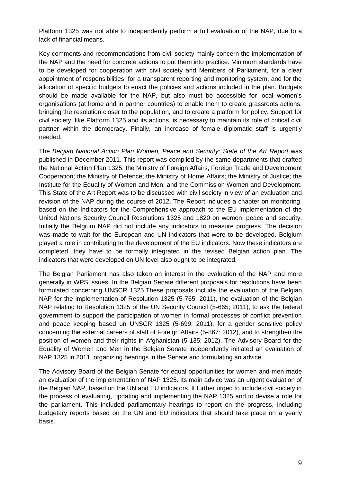Platform 1325 was not able to independently perform a full evaluation of the NAP, due to a lack of financial means.

Key comments and recommendations from civil society mainly concern the implementation of the NAP and the need for concrete actions to put them into practice. Minimum standards have to be developed for cooperation with civil society and Members of Parliament, for a clear appointment of responsibilities, for a transparent reporting and monitoring system, and for the allocation of specific budgets to enact the policies and actions included in the plan. Budgets should be made available for the NAP, but also must be accessible for local women's organisations (at home and in partner countries) to enable them to create grassroots actions, bringing the resolution closer to the population, and to create a platform for policy. Support for civil society, like Platform 1325 and its actions, is necessary to maintain its role of critical civil partner within the democracy. Finally, an increase of female diplomatic staff is urgently needed.

The *Belgian National Action Plan Women, Peace and Security: State of the Art Report* was published in December 2011. This report was compiled by the same departments that drafted the National Action Plan 1325: the Ministry of Foreign Affairs, Foreign Trade and Development Cooperation; the Ministry of Defence; the Ministry of Home Affairs; the Ministry of Justice; the Institute for the Equality of Women and Men; and the Commission Women and Development. This State of the Art Report was to be discussed with civil society in view of an evaluation and revision of the NAP during the course of 2012. The Report includes a chapter on monitoring, based on the Indicators for the Comprehensive approach to the EU implementation of the United Nations Security Council Resolutions 1325 and 1820 on women, peace and security. Initially the Belgium NAP did not include any indicators to measure progress. The decision was made to wait for the European and UN indicators that were to be developed. Belgium played a role in contributing to the development of the EU indicators. Now these indicators are completed, they have to be formally integrated in the revised Belgian action plan. The indicators that were developed on UN level also ought to be integrated.

The Belgian Parliament has also taken an interest in the evaluation of the NAP and more generally in WPS issues. In the Belgian Senate different proposals for resolutions have been formulated concerning UNSCR 1325.These proposals include the evaluation of the Belgian NAP for the implementation of Resolution 1325 (5-765; 2011), the evaluation of the Belgian NAP relating to Resolution 1325 of the UN Security Council (5-665; 2011), to ask the federal government to support the participation of women in formal processes of conflict prevention and peace keeping based un UNSCR 1325 (5-699; 2011), for a gender sensitive policy concerning the external careers of staff of Foreign Affairs (5-867: 2012), and to strengthen the position of women and their rights in Afghanistan (5-135; 2012). The Advisory Board for the Equality of Women and Men in the Belgian Senate independently initiated an evaluation of NAP 1325 in 2011, organizing hearings in the Senate and formulating an advice.

The Advisory Board of the Belgian Senate for equal opportunities for women and men made an evaluation of the implementation of NAP 1325. Its main advice was an urgent evaluation of the Belgian NAP, based on the UN and EU indicators. It further urged to include civil society in the process of evaluating, updating and implementing the NAP 1325 and to devise a role for the parliament. This included parliamentary hearings to report on the progress, including budgetary reports based on the UN and EU indicators that should take place on a yearly basis.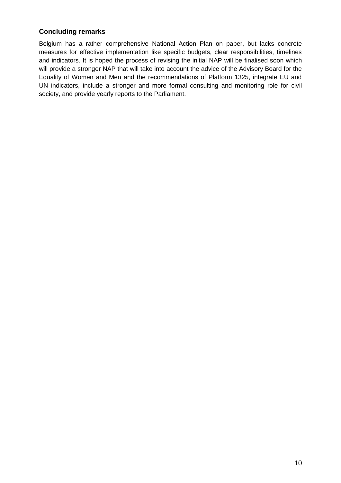### **Concluding remarks**

Belgium has a rather comprehensive National Action Plan on paper, but lacks concrete measures for effective implementation like specific budgets, clear responsibilities, timelines and indicators. It is hoped the process of revising the initial NAP will be finalised soon which will provide a stronger NAP that will take into account the advice of the Advisory Board for the Equality of Women and Men and the recommendations of Platform 1325, integrate EU and UN indicators, include a stronger and more formal consulting and monitoring role for civil society, and provide yearly reports to the Parliament.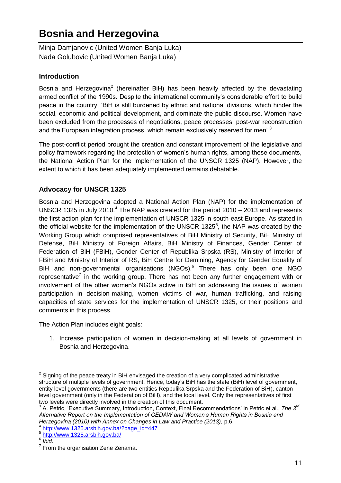## <span id="page-14-0"></span>**Bosnia and Herzegovina**

<span id="page-14-2"></span><span id="page-14-1"></span>Minja Damjanovic (United Women Banja Luka) Nada Golubovic (United Women Banja Luka)

### **Introduction**

Bosnia and Herzegovina<sup>2</sup> (hereinafter BiH) has been heavily affected by the devastating armed conflict of the 1990s. Despite the international community's considerable effort to build peace in the country, 'BiH is still burdened by ethnic and national divisions, which hinder the social, economic and political development, and dominate the public discourse. Women have been excluded from the processes of negotiations, peace processes, post-war reconstruction and the European integration process, which remain exclusively reserved for men'.<sup>3</sup>

The post-conflict period brought the creation and constant improvement of the legislative and policy framework regarding the protection of women's human rights, among these documents, the National Action Plan for the implementation of the UNSCR 1325 (NAP). However, the extent to which it has been adequately implemented remains debatable.

## **Advocacy for UNSCR 1325**

Bosnia and Herzegovina adopted a National Action Plan (NAP) for the implementation of UNSCR 1325 in July 2010.<sup>4</sup> The NAP was created for the period 2010 – 2013 and represents the first action plan for the implementation of UNSCR 1325 in south-east Europe. As stated in the official website for the implementation of the UNSCR 1325 $5$ , the NAP was created by the Working Group which comprised representatives of BiH Ministry of Security, BiH Ministry of Defense, BiH Ministry of Foreign Affairs, BiH Ministry of Finances, Gender Center of Federation of BiH (FBiH), Gender Center of Republika Srpska (RS), Ministry of Interior of FBiH and Ministry of Interior of RS, BiH Centre for Demining, Agency for Gender Equality of BiH and non-governmental organisations (NGOs).<sup>6</sup> There has only been one NGO representative<sup>7</sup> in the working group. There has not been any further engagement with or involvement of the other women's NGOs active in BiH on addressing the issues of women participation in decision-making, women victims of war, human trafficking, and raising capacities of state services for the implementation of UNSCR 1325, or their positions and comments in this process.

The Action Plan includes eight goals:

1. Increase participation of women in decision-making at all levels of government in Bosnia and Herzegovina.

<sup>&</sup>lt;u>2</u><br><sup>2</sup> Signing of the peace treaty in BiH envisaged the creation of a very complicated administrative structure of multiple levels of government. Hence, today's BiH has the state (BiH) level of government, entity level governments (there are two entities Repbulika Srpska and the Federation of BiH), canton level government (only in the Federation of BiH), and the local level. Only the representatives of first two levels were directly involved in the creation of this document.

<sup>3</sup> A. Petric, 'Executive Summary, Introduction, Context, Final Recommendations' in Petric et al., *The 3rd Alternative Report on the Implementation of CEDAW and Women's Human Rights in Bosnia and Herzegovina (2010) with Annex on Changes in Law and Practice (2013),* p.6.

<sup>4</sup> [http://www.1325.arsbih.gov.ba/?page\\_id=447](http://www.1325.arsbih.gov.ba/?page_id=447)

<sup>5</sup> <http://www.1325.arsbih.gov.ba/>

<sup>6</sup> *Ibid*.

 $7$  From the organisation Zene Zenama.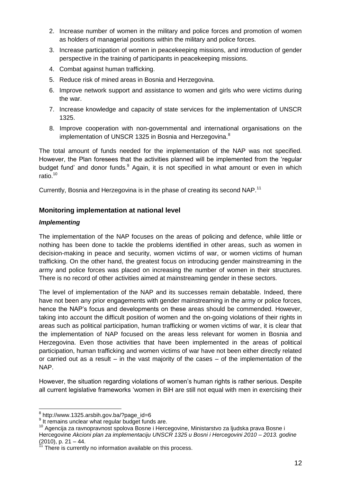- 2. Increase number of women in the military and police forces and promotion of women as holders of managerial positions within the military and police forces.
- 3. Increase participation of women in peacekeeping missions, and introduction of gender perspective in the training of participants in peacekeeping missions.
- 4. Combat against human trafficking.
- 5. Reduce risk of mined areas in Bosnia and Herzegovina.
- 6. Improve network support and assistance to women and girls who were victims during the war.
- 7. Increase knowledge and capacity of state services for the implementation of UNSCR 1325.
- 8. Improve cooperation with non-governmental and international organisations on the implementation of UNSCR 1325 in Bosnia and Herzegovina.<sup>8</sup>

The total amount of funds needed for the implementation of the NAP was not specified. However, the Plan foresees that the activities planned will be implemented from the 'regular budget fund' and donor funds.<sup>9</sup> Again, it is not specified in what amount or even in which ratio.<sup>10</sup>

Currently, Bosnia and Herzegovina is in the phase of creating its second NAP.<sup>11</sup>

### **Monitoring implementation at national level**

#### *Implementing*

The implementation of the NAP focuses on the areas of policing and defence, while little or nothing has been done to tackle the problems identified in other areas, such as women in decision-making in peace and security, women victims of war, or women victims of human trafficking. On the other hand, the greatest focus on introducing gender mainstreaming in the army and police forces was placed on increasing the number of women in their structures. There is no record of other activities aimed at mainstreaming gender in these sectors.

The level of implementation of the NAP and its successes remain debatable. Indeed, there have not been any prior engagements with gender mainstreaming in the army or police forces, hence the NAP's focus and developments on these areas should be commended. However, taking into account the difficult position of women and the on-going violations of their rights in areas such as political participation, human trafficking or women victims of war, it is clear that the implementation of NAP focused on the areas less relevant for women in Bosnia and Herzegovina. Even those activities that have been implemented in the areas of political participation, human trafficking and women victims of war have not been either directly related or carried out as a result – in the vast majority of the cases – of the implementation of the NAP.

However, the situation regarding violations of women's human rights is rather serious. Despite all current legislative frameworks 'women in BiH are still not equal with men in exercising their

 8 http://www.1325.arsbih.gov.ba/?page\_id=6

<sup>&</sup>lt;sup>9</sup> It remains unclear what regular budget funds are.

<sup>10</sup> Agencija za ravnopravnost spolova Bosne i Hercegovine, Ministarstvo za ljudska prava Bosne i Hercegovine *Akcioni plan za implementaciju UNSCR 1325 u Bosni i Hercegovini 2010 – 2013. godine*   $(2010)$ , p. 21 – 44.

There is currently no information available on this process.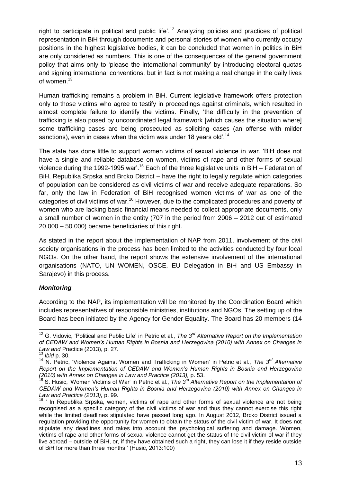right to participate in political and public life'.<sup>12</sup> Analyzing policies and practices of political representation in BiH through documents and personal stories of women who currently occupy positions in the highest legislative bodies, it can be concluded that women in politics in BiH are only considered as numbers. This is one of the consequences of the general government policy that aims only to 'please the international community' by introducing electoral quotas and signing international conventions, but in fact is not making a real change in the daily lives of women.<sup>13</sup>

Human trafficking remains a problem in BiH. Current legislative framework offers protection only to those victims who agree to testify in proceedings against criminals, which resulted in almost complete failure to identify the victims. Finally, 'the difficulty in the prevention of trafficking is also posed by uncoordinated legal framework [which causes the situation where] some trafficking cases are being prosecuted as soliciting cases (an offense with milder sanctions), even in cases when the victim was under 18 years old'.<sup>14</sup>

The state has done little to support women victims of sexual violence in war. 'BiH does not have a single and reliable database on women, victims of rape and other forms of sexual violence during the 1992-1995 war'.<sup>15</sup> Each of the three legislative units in BiH – Federation of BiH, Republika Srpska and Brcko District – have the right to legally regulate which categories of population can be considered as civil victims of war and receive adequate reparations. So far, only the law in Federation of BiH recognised women victims of war as one of the categories of civil victims of war.<sup>16</sup> However, due to the complicated procedures and poverty of women who are lacking basic financial means needed to collect appropriate documents, only a small number of women in the entity (707 in the period from 2006 – 2012 out of estimated 20.000 – 50.000) became beneficiaries of this right.

As stated in the report about the implementation of NAP from 2011, involvement of the civil society organisations in the process has been limited to the activities conducted by four local NGOs. On the other hand, the report shows the extensive involvement of the international organisations (NATO, UN WOMEN, OSCE, EU Delegation in BiH and US Embassy in Sarajevo) in this process.

#### *Monitoring*

According to the NAP, its implementation will be monitored by the Coordination Board which includes representatives of responsible ministries, institutions and NGOs. The setting up of the Board has been initiated by the Agency for Gender Equality. The Board has 20 members (14

j <sup>12</sup> G. Vidovic, 'Political and Public Life' in Petric et al., *The 3rd Alternative Report on the Implementation of CEDAW and Women's Human Rights in Bosnia and Herzegovina (2010) with Annex on Changes in Law and* Practice (2013), p. 27.

<sup>13</sup> *Ibid* p. 30.

<sup>14</sup> N. Petric, 'Violence Against Women and Trafficking in Women' in Petric et al., *The 3rd Alternative Report on the Implementation of CEDAW and Women's Human Rights in Bosnia and Herzegovina (2010) with Annex on Changes in Law and Practice (2013),* p. 53.

<sup>15</sup> S. Husic, 'Women Victims of War' in Petric et al., *The 3rd Alternative Report on the Implementation of CEDAW and Women's Human Rights in Bosnia and Herzegovina (2010) with Annex on Changes in Law and Practice (2013),* p. 99.

 $16$  ' In Republika Srpska, women, victims of rape and other forms of sexual violence are not being recognised as a specific category of the civil victims of war and thus they cannot exercise this right while the limited deadlines stipulated have passed long ago. In August 2012, Brcko District issued a regulation providing the opportunity for women to obtain the status of the civil victim of war. It does not stipulate any deadlines and takes into account the psychological suffering and damage. Women, victims of rape and other forms of sexual violence cannot get the status of the civil victim of war if they live abroad – outside of BiH, or, if they have obtained such a right, they can lose it if they reside outside of BiH for more than three months.' (Husic, 2013:100)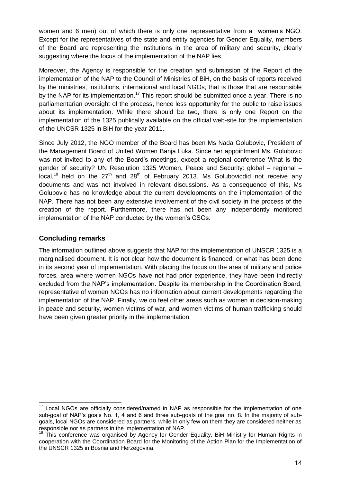women and 6 men) out of which there is only one representative from a women's NGO. Except for the representatives of the state and entity agencies for Gender Equality, members of the Board are representing the institutions in the area of military and security, clearly suggesting where the focus of the implementation of the NAP lies.

Moreover, the Agency is responsible for the creation and submission of the Report of the implementation of the NAP to the Council of Ministries of BiH, on the basis of reports received by the ministries, institutions, international and local NGOs, that is those that are responsible by the NAP for its implementation.<sup>17</sup> This report should be submitted once a year. There is no parliamentarian oversight of the process, hence less opportunity for the public to raise issues about its implementation. While there should be two, there is only one Report on the implementation of the 1325 publically available on the official web-site for the implementation of the UNCSR 1325 in BiH for the year 2011.

Since July 2012, the NGO member of the Board has been Ms Nada Golubovic, President of the Management Board of United Women Banja Luka. Since her appointment Ms. Golubovic was not invited to any of the Board's meetings, except a regional conference What is the gender of security? UN Resolution 1325 Women, Peace and Security: global – regional – local,<sup>18</sup> held on the 27<sup>th</sup> and 28<sup>th</sup> of February 2013. Ms Golubovicdid not receive any documents and was not involved in relevant discussions. As a consequence of this, Ms Golubovic has no knowledge about the current developments on the implementation of the NAP. There has not been any extensive involvement of the civil society in the process of the creation of the report. Furthermore, there has not been any independently monitored implementation of the NAP conducted by the women's CSOs.

#### **Concluding remarks**

The information outlined above suggests that NAP for the implementation of UNSCR 1325 is a marginalised document. It is not clear how the document is financed, or what has been done in its second year of implementation. With placing the focus on the area of military and police forces, area where women NGOs have not had prior experience, they have been indirectly excluded from the NAP's implementation. Despite its membership in the Coordination Board, representative of women NGOs has no information about current developments regarding the implementation of the NAP. Finally, we do feel other areas such as women in decision-making in peace and security, women victims of war, and women victims of human trafficking should have been given greater priority in the implementation.

 $\overline{\phantom{a}}$  $17$  Local NGOs are officially considered/named in NAP as responsible for the implementation of one sub-goal of NAP's goals No. 1, 4 and 6 and three sub-goals of the goal no. 8. In the majority of subgoals, local NGOs are considered as partners, while in only few on them they are considered neither as responsible nor as partners in the implementation of NAP.

<sup>&</sup>lt;sup>18</sup> This conference was organised by Agency for Gender Equality, BiH Ministry for Human Rights in cooperation with the Coordination Board for the Monitoring of the Action Plan for the Implementation of the UNSCR 1325 in Bosnia and Herzegovina.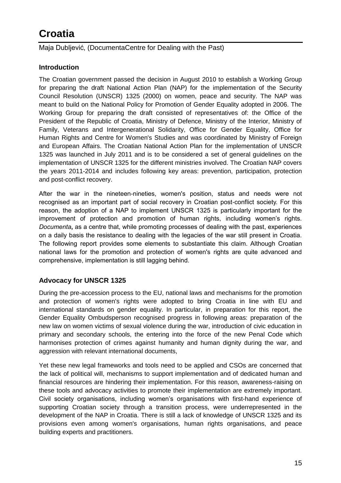## <span id="page-18-0"></span>**Croatia**

<span id="page-18-1"></span>Maja Dubljević, (DocumentaCentre for Dealing with the Past)

### **Introduction**

The Croatian government passed the decision in August 2010 to establish a Working Group for preparing the draft National Action Plan (NAP) for the implementation of the Security Council Resolution (UNSCR) 1325 (2000) on women, peace and security. The NAP was meant to build on the National Policy for Promotion of Gender Equality adopted in 2006. The Working Group for preparing the draft consisted of representatives of: the Office of the President of the Republic of Croatia, Ministry of Defence, Ministry of the Interior, Ministry of Family, Veterans and Intergenerational Solidarity, Office for Gender Equality, Office for Human Rights and Centre for Women's Studies and was coordinated by Ministry of Foreign and European Affairs. The Croatian National Action Plan for the implementation of UNSCR 1325 was launched in July 2011 and is to be considered a set of general guidelines on the implementation of UNSCR 1325 for the different ministries involved. The Croatian NAP covers the years 2011-2014 and includes following key areas: prevention, participation, protection and post-conflict recovery.

After the war in the nineteen-nineties, women's position, status and needs were not recognised as an important part of social recovery in Croatian post-conflict society. For this reason, the adoption of a NAP to implement UNSCR 1325 is particularly important for the improvement of protection and promotion of human rights, including women's rights. *Documenta***,** as a centre that, while promoting processes of dealing with the past, experiences on a daily basis the resistance to dealing with the legacies of the war still present in Croatia. The following report provides some elements to substantiate this claim. Although Croatian national laws for the promotion and protection of women's rights are quite advanced and comprehensive, implementation is still lagging behind.

### **Advocacy for UNSCR 1325**

During the pre-accession process to the EU, national laws and mechanisms for the promotion and protection of women's rights were adopted to bring Croatia in line with EU and international standards on gender equality. In particular, in preparation for this report, the Gender Equality Ombudsperson recognised progress in following areas: preparation of the new law on women victims of sexual violence during the war, introduction of civic education in primary and secondary schools, the entering into the force of the new Penal Code which harmonises protection of crimes against humanity and human dignity during the war, and aggression with relevant international documents,

Yet these new legal frameworks and tools need to be applied and CSOs are concerned that the lack of political will, mechanisms to support implementation and of dedicated human and financial resources are hindering their implementation. For this reason, awareness-raising on these tools and advocacy activities to promote their implementation are extremely important. Civil society organisations, including women's organisations with first-hand experience of supporting Croatian society through a transition process, were underrepresented in the development of the NAP in Croatia. There is still a lack of knowledge of UNSCR 1325 and its provisions even among women's organisations, human rights organisations, and peace building experts and practitioners.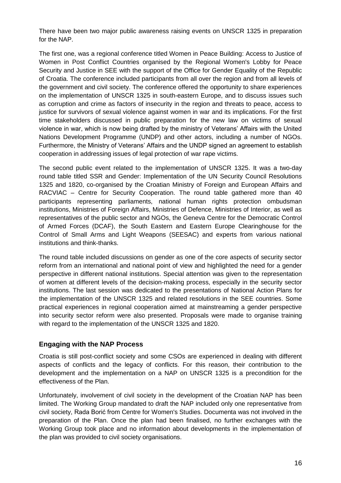There have been two major public awareness raising events on UNSCR 1325 in preparation for the NAP.

The first one, was a regional conference titled Women in Peace Building: Access to Justice of Women in Post Conflict Countries organised by the Regional Women's Lobby for Peace Security and Justice in SEE with the support of the Office for Gender Equality of the Republic of Croatia. The conference included participants from all over the region and from all levels of the government and civil society. The conference offered the opportunity to share experiences on the implementation of UNSCR 1325 in south-eastern Europe, and to discuss issues such as corruption and crime as factors of insecurity in the region and threats to peace, access to justice for survivors of sexual violence against women in war and its implications. For the first time stakeholders discussed in public preparation for the new law on victims of sexual violence in war, which is now being drafted by the ministry of Veterans' Affairs with the United Nations Development Programme (UNDP) and other actors, including a number of NGOs. Furthermore, the Ministry of Veterans' Affairs and the UNDP signed an agreement to establish cooperation in addressing issues of legal protection of war rape victims.

The second public event related to the implementation of UNSCR 1325. It was a two-day round table titled SSR and Gender: Implementation of the UN Security Council Resolutions 1325 and 1820, co-organised by the Croatian Ministry of Foreign and European Affairs and RACVIAC – Centre for Security Cooperation. The round table gathered more than 40 participants representing parliaments, national human rights protection ombudsman institutions, Ministries of Foreign Affairs, Ministries of Defence, Ministries of Interior, as well as representatives of the public sector and NGOs, the Geneva Centre for the Democratic Control of Armed Forces (DCAF), the South Eastern and Eastern Europe Clearinghouse for the Control of Small Arms and Light Weapons (SEESAC) and experts from various national institutions and think-thanks.

The round table included discussions on gender as one of the core aspects of security sector reform from an international and national point of view and highlighted the need for a gender perspective in different national institutions. Special attention was given to the representation of women at different levels of the decision-making process, especially in the security sector institutions. The last session was dedicated to the presentations of National Action Plans for the implementation of the UNSCR 1325 and related resolutions in the SEE countries. Some practical experiences in regional cooperation aimed at mainstreaming a gender perspective into security sector reform were also presented. Proposals were made to organise training with regard to the implementation of the UNSCR 1325 and 1820.

#### **Engaging with the NAP Process**

Croatia is still post-conflict society and some CSOs are experienced in dealing with different aspects of conflicts and the legacy of conflicts. For this reason, their contribution to the development and the implementation on a NAP on UNSCR 1325 is a precondition for the effectiveness of the Plan.

Unfortunately, involvement of civil society in the development of the Croatian NAP has been limited. The Working Group mandated to draft the NAP included only one representative from civil society, Rada Borić from Centre for Women's Studies. Documenta was not involved in the preparation of the Plan. Once the plan had been finalised, no further exchanges with the Working Group took place and no information about developments in the implementation of the plan was provided to civil society organisations.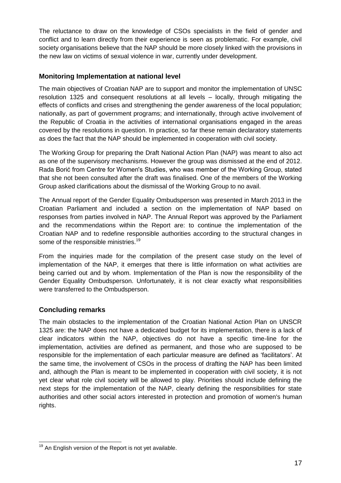The reluctance to draw on the knowledge of CSOs specialists in the field of gender and conflict and to learn directly from their experience is seen as problematic. For example, civil society organisations believe that the NAP should be more closely linked with the provisions in the new law on victims of sexual violence in war, currently under development.

#### **Monitoring Implementation at national level**

The main objectives of Croatian NAP are to support and monitor the implementation of UNSC resolution 1325 and consequent resolutions at all levels – locally, through mitigating the effects of conflicts and crises and strengthening the gender awareness of the local population; nationally, as part of government programs; and internationally, through active involvement of the Republic of Croatia in the activities of international organisations engaged in the areas covered by the resolutions in question. In practice, so far these remain declaratory statements as does the fact that the NAP should be implemented in cooperation with civil society.

The Working Group for preparing the Draft National Action Plan (NAP) was meant to also act as one of the supervisory mechanisms. However the group was dismissed at the end of 2012. Rada Borić from Centre for Women's Studies, who was member of the Working Group, stated that she not been consulted after the draft was finalised. One of the members of the Working Group asked clarifications about the dismissal of the Working Group to no avail.

The Annual report of the Gender Equality Ombudsperson was presented in March 2013 in the Croatian Parliament and included a section on the implementation of NAP based on responses from parties involved in NAP. The Annual Report was approved by the Parliament and the recommendations within the Report are: to continue the implementation of the Croatian NAP and to redefine responsible authorities according to the structural changes in some of the responsible ministries.<sup>19</sup>

From the inquiries made for the compilation of the present case study on the level of implementation of the NAP, it emerges that there is little information on what activities are being carried out and by whom. Implementation of the Plan is now the responsibility of the Gender Equality Ombudsperson. Unfortunately, it is not clear exactly what responsibilities were transferred to the Ombudsperson.

### **Concluding remarks**

The main obstacles to the implementation of the Croatian National Action Plan on UNSCR 1325 are: the NAP does not have a dedicated budget for its implementation, there is a lack of clear indicators within the NAP, objectives do not have a specific time-line for the implementation, activities are defined as permanent, and those who are supposed to be responsible for the implementation of each particular measure are defined as 'facilitators'. At the same time, the involvement of CSOs in the process of drafting the NAP has been limited and, although the Plan is meant to be implemented in cooperation with civil society, it is not yet clear what role civil society will be allowed to play. Priorities should include defining the next steps for the implementation of the NAP, clearly defining the responsibilities for state authorities and other social actors interested in protection and promotion of women's human rights.

 $\overline{\phantom{a}}$  $19$  An English version of the Report is not yet available.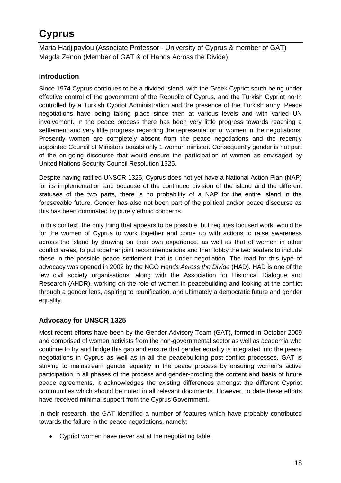## <span id="page-21-0"></span>**Cyprus**

<span id="page-21-2"></span><span id="page-21-1"></span>Maria Hadjipavlou (Associate Professor - University of Cyprus & member of GAT) Magda Zenon (Member of GAT & of Hands Across the Divide)

## **Introduction**

Since 1974 Cyprus continues to be a divided island, with the Greek Cypriot south being under effective control of the government of the Republic of Cyprus, and the Turkish Cypriot north controlled by a Turkish Cypriot Administration and the presence of the Turkish army. Peace negotiations have being taking place since then at various levels and with varied UN involvement. In the peace process there has been very little progress towards reaching a settlement and very little progress regarding the representation of women in the negotiations. Presently women are completely absent from the peace negotiations and the recently appointed Council of Ministers boasts only 1 woman minister. Consequently gender is not part of the on-going discourse that would ensure the participation of women as envisaged by United Nations Security Council Resolution 1325.

Despite having ratified UNSCR 1325, Cyprus does not yet have a National Action Plan (NAP) for its implementation and because of the continued division of the island and the different statuses of the two parts, there is no probability of a NAP for the entire island in the foreseeable future. Gender has also not been part of the political and/or peace discourse as this has been dominated by purely ethnic concerns.

In this context, the only thing that appears to be possible, but requires focused work, would be for the women of Cyprus to work together and come up with actions to raise awareness across the island by drawing on their own experience, as well as that of women in other conflict areas, to put together joint recommendations and then lobby the two leaders to include these in the possible peace settlement that is under negotiation. The road for this type of advocacy was opened in 2002 by the NGO *[Hands Across the Divide](http://www.handsacrossthedivide.org/)* (HAD). HAD is one of the few civil society organisations, along with the [Association for Historical Dialogue and](http://www.ahdr.info/home.php)  [Research](http://www.ahdr.info/home.php) (AHDR), working on the role of women in peacebuilding and looking at the conflict through a gender lens, aspiring to reunification, and ultimately a democratic future and gender equality.

## **Advocacy for UNSCR 1325**

Most recent efforts have been by the [Gender Advisory Team](http://www.gat1325.org/) (GAT), formed in October 2009 and comprised of women activists from the non-governmental sector as well as academia who continue to try and bridge this gap and ensure that gender equality is integrated into the peace negotiations in Cyprus as well as in all the peacebuilding post-conflict processes. GAT is striving to mainstream gender equality in the peace process by ensuring women's active participation in all phases of the process and gender-proofing the content and basis of future peace agreements. It acknowledges the existing differences amongst the different Cypriot communities which should be noted in all relevant documents. However, to date these efforts have received minimal support from the Cyprus Government.

In their research, the GAT identified a number of features which have probably contributed towards the failure in the peace negotiations, namely:

Cypriot women have never sat at the negotiating table.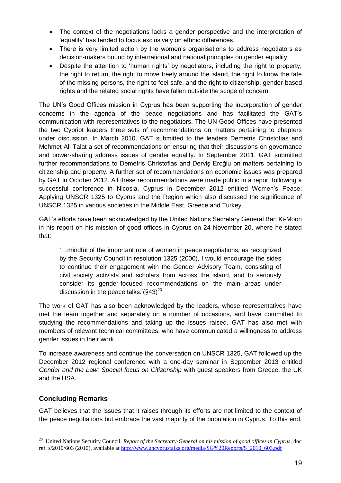- The context of the negotiations lacks a gender perspective and the interpretation of 'equality' has tended to focus exclusively on ethnic differences.
- There is very limited action by the women's organisations to address negotiators as decision-makers bound by international and national principles on gender equality.
- Despite the attention to 'human rights' by negotiators, including the right to property, the right to return, the right to move freely around the island, the right to know the fate of the missing persons, the right to feel safe, and the right to citizenship, gender-based rights and the related social rights have fallen outside the scope of concern.

The UN's Good Offices mission in Cyprus has been supporting the incorporation of gender concerns in the agenda of the peace negotiations and has facilitated the GAT's communication with representatives to the negotiators. The UN Good Offices have presented the two Cypriot leaders three sets of recommendations on matters pertaining to chapters under discussion. In March 2010, GAT submitted to the leaders Demetris Christofias and Mehmet Ali Talat a set of recommendations on ensuring that their discussions on [governance](http://www.gat1325.org/#!governance/c17fj)  [and power-sharing](http://www.gat1325.org/#!governance/c17fj) address issues of gender equality. In September 2011, GAT submitted further recommendations to Demetris Christofias and Derviş Eroğlu on matters pertaining to [citizenship](http://www.gat1325.org/#!citizenship/c1bil) and [property.](http://www.gat1325.org/#!property/c1lkh) A further set of recommendations on [economic issues](http://www.gat1325.org/#!economy/c16vz) was prepared by GAT in October 2012. All these recommendations were made public in a report following a successful conference in Nicosia, Cyprus in December 2012 entitled Women's Peace: Applying UNSCR 1325 to Cyprus and the Region which also discussed the significance of UNSCR 1325 in various societies in the Middle East, Greece and Turkey.

GAT's efforts have been acknowledged by the United Nations Secretary General Ban Ki-Moon in his report on his mission of good offices in Cyprus on 24 November 20, where he stated that:

'…mindful of the important role of women in peace negotiations, as recognized by the Security Council in resolution 1325 (2000), I would encourage the sides to continue their engagement with the Gender Advisory Team, consisting of civil society activists and scholars from across the island, and to seriously consider its gender-focused recommendations on the main areas under discussion in the peace talks.' $(\S 43)^{20}$ 

The work of GAT has also been acknowledged by the leaders, whose representatives have met the team together and separately on a number of occasions, and have committed to studying the recommendations and taking up the issues raised. GAT has also met with members of relevant technical committees, who have communicated a willingness to address gender issues in their work.

To increase awareness and continue the conversation on UNSCR 1325, GAT followed up the December 2012 regional conference with a one-day seminar in September 2013 entitled *Gender and the Law: Special focus on Citizenship* with guest speakers from Greece, the UK and the USA.

### **Concluding Remarks**

GAT believes that the issues that it raises through its efforts are not limited to the context of the peace negotiations but embrace the vast majority of the population in Cyprus. To this end,

 20 United Nations Security Council, *Report of the Secretary-General on his mission of good offices in Cyprus*, doc ref: s/2010/603 (2010), available at [http://www.uncyprustalks.org/media/SG%20Reports/S\\_2010\\_603.pdf](http://www.uncyprustalks.org/media/SG%20Reports/S_2010_603.pdf)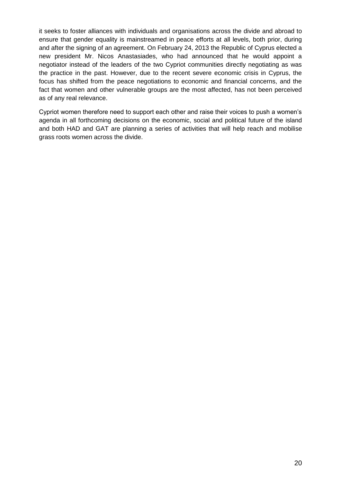it seeks to foster alliances with individuals and organisations across the divide and abroad to ensure that gender equality is mainstreamed in peace efforts at all levels, both prior, during and after the signing of an agreement. On February 24, 2013 the Republic of Cyprus elected a new president Mr. Nicos Anastasiades, who had announced that he would appoint a negotiator instead of the leaders of the two Cypriot communities directly negotiating as was the practice in the past. However, due to the recent severe economic crisis in Cyprus, the focus has shifted from the peace negotiations to economic and financial concerns, and the fact that women and other vulnerable groups are the most affected, has not been perceived as of any real relevance.

Cypriot women therefore need to support each other and raise their voices to push a women's agenda in all forthcoming decisions on the economic, social and political future of the island and both HAD and GAT are planning a series of activities that will help reach and mobilise grass roots women across the divide.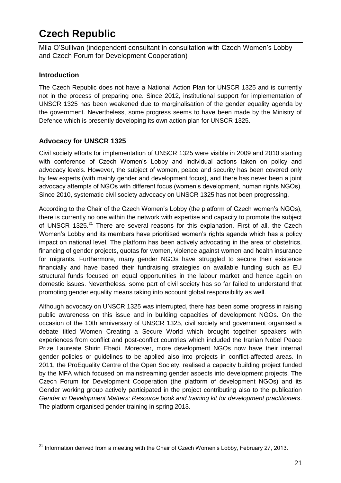## <span id="page-24-0"></span>**Czech Republic**

<span id="page-24-1"></span>Mila O'Sullivan (independent consultant in consultation with Czech Women's Lobby and Czech Forum for Development Cooperation)

### **Introduction**

The Czech Republic does not have a National Action Plan for UNSCR 1325 and is currently not in the process of preparing one. Since 2012, institutional support for implementation of UNSCR 1325 has been weakened due to marginalisation of the gender equality agenda by the government. Nevertheless, some progress seems to have been made by the Ministry of Defence which is presently developing its own action plan for UNSCR 1325.

## **Advocacy for UNSCR 1325**

Civil society efforts for implementation of UNSCR 1325 were visible in 2009 and 2010 starting with conference of Czech Women's Lobby and individual actions taken on policy and advocacy levels. However, the subject of women, peace and security has been covered only by few experts (with mainly gender and development focus), and there has never been a joint advocacy attempts of NGOs with different focus (women's development, human rights NGOs). Since 2010, systematic civil society advocacy on UNSCR 1325 has not been progressing.

According to the Chair of the Czech Women's Lobby (the platform of Czech women's NGOs), there is currently no one within the network with expertise and capacity to promote the subject of UNSCR 1325.<sup>21</sup> There are several reasons for this explanation. First of all, the Czech Women's Lobby and its members have prioritised women's rights agenda which has a policy impact on national level. The platform has been actively advocating in the area of obstetrics, financing of gender projects, quotas for women, violence against women and health insurance for migrants. Furthermore, many gender NGOs have struggled to secure their existence financially and have based their fundraising strategies on available funding such as EU structural funds focused on equal opportunities in the labour market and hence again on domestic issues. Nevertheless, some part of civil society has so far failed to understand that promoting gender equality means taking into account global responsibility as well.

Although advocacy on UNSCR 1325 was interrupted, there has been some progress in raising public awareness on this issue and in building capacities of development NGOs. On the occasion of the 10th anniversary of UNSCR 1325, civil society and government organised a debate titled Women Creating a Secure World which brought together speakers with experiences from conflict and post-conflict countries which included the Iranian Nobel Peace Prize Laureate Shirin Ebadi. Moreover, more development NGOs now have their internal gender policies or guidelines to be applied also into projects in conflict-affected areas. In 2011, the ProEquality Centre of the Open Society, realised a capacity building project funded by the MFA which focused on mainstreaming gender aspects into development projects. The Czech Forum for Development Cooperation (the platform of development NGOs) and its Gender working group actively participated in the project contributing also to the publication *Gender in Development Matters: Resource book and training kit for development practitioners*. The platform organised gender training in spring 2013.

 $\overline{\phantom{a}}$  $^{21}$  Information derived from a meeting with the Chair of Czech Women's Lobby, February 27, 2013.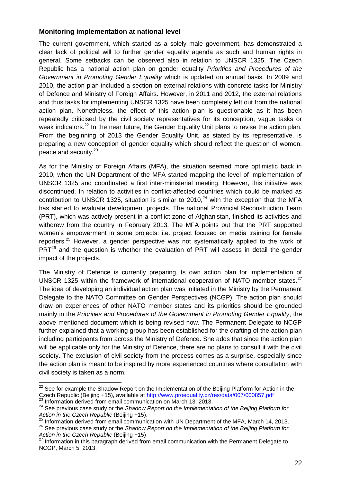#### **Monitoring implementation at national level**

The current government, which started as a solely male government, has demonstrated a clear lack of political will to further gender equality agenda as such and human rights in general. Some setbacks can be observed also in relation to UNSCR 1325. The Czech Republic has a national action plan on gender equality *Priorities and Procedures of the Government in Promoting Gender Equality* which is updated on annual basis. In 2009 and 2010, the action plan included a section on external relations with concrete tasks for Ministry of Defence and Ministry of Foreign Affairs. However, in 2011 and 2012, the external relations and thus tasks for implementing UNSCR 1325 have been completely left out from the national action plan. Nonetheless, the effect of this action plan is questionable as it has been repeatedly criticised by the civil society representatives for its conception, vague tasks or weak indicators.<sup>22</sup> In the near future, the Gender Equality Unit plans to revise the action plan. From the beginning of 2013 the Gender Equality Unit, as stated by its representative, is preparing a new conception of gender equality which should reflect the question of women, peace and security.<sup>23</sup>

As for the Ministry of Foreign Affairs (MFA), the situation seemed more optimistic back in 2010, when the UN Department of the MFA started mapping the level of implementation of UNSCR 1325 and coordinated a first inter-ministerial meeting. However, this initiative was discontinued. In relation to activities in conflict-affected countries which could be marked as contribution to UNSCR 1325, situation is similar to 2010, $^{24}$  with the exception that the MFA has started to evaluate development projects. The national Provincial Reconstruction Team (PRT), which was actively present in a conflict zone of Afghanistan, finished its activities and withdrew from the country in February 2013. The MFA points out that the PRT supported women's empowerment in some projects: i.e. project focused on media training for female reporters.<sup>25</sup> However, a gender perspective was not systematically applied to the work of  $PRT^{26}$  and the question is whether the evaluation of PRT will assess in detail the gender impact of the projects.

The Ministry of Defence is currently preparing its own action plan for implementation of UNSCR 1325 within the framework of international cooperation of NATO member states.<sup>27</sup> The idea of developing an individual action plan was initiated in the Ministry by the Permanent Delegate to the NATO Committee on Gender Perspectives (NCGP). The action plan should draw on experiences of other NATO member states and its priorities should be grounded mainly in the *Priorities and Procedures of the Government in Promoting Gender Equality*, the above mentioned document which is being revised now. The Permanent Delegate to NCGP further explained that a working group has been established for the drafting of the action plan including participants from across the Ministry of Defence. She adds that since the action plan will be applicable only for the Ministry of Defence, there are no plans to consult it with the civil society. The exclusion of civil society from the process comes as a surprise, especially since the action plan is meant to be inspired by more experienced countries where consultation with civil society is taken as a norm.

 $22$  See for example the Shadow Report on the Implementation of the Beijing Platform for Action in the Czech Republic (Beijing +15), available at<http://www.proequality.cz/res/data/007/000857.pdf> Information derived from email communication on March 13, 2013.

<sup>&</sup>lt;sup>24</sup> See previous case study or the *Shadow Report on the Implementation of the Beijing Platform for Action in the Czech Republic* (Beijing +15).

 $25$  Information derived from email communication with UN Department of the MFA, March 14, 2013. <sup>26</sup> See previous case study or the *Shadow Report on the Implementation of the Beijing Platform for Action in the Czech Republic* (Beijing +15)

Information in this paragraph derived from email communication with the Permanent Delegate to NCGP, March 5, 2013.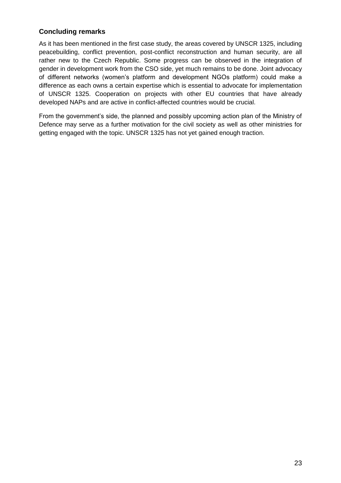### **Concluding remarks**

As it has been mentioned in the first case study, the areas covered by UNSCR 1325, including peacebuilding, conflict prevention, post-conflict reconstruction and human security, are all rather new to the Czech Republic. Some progress can be observed in the integration of gender in development work from the CSO side, yet much remains to be done. Joint advocacy of different networks (women's platform and development NGOs platform) could make a difference as each owns a certain expertise which is essential to advocate for implementation of UNSCR 1325. Cooperation on projects with other EU countries that have already developed NAPs and are active in conflict-affected countries would be crucial.

From the government's side, the planned and possibly upcoming action plan of the Ministry of Defence may serve as a further motivation for the civil society as well as other ministries for getting engaged with the topic. UNSCR 1325 has not yet gained enough traction.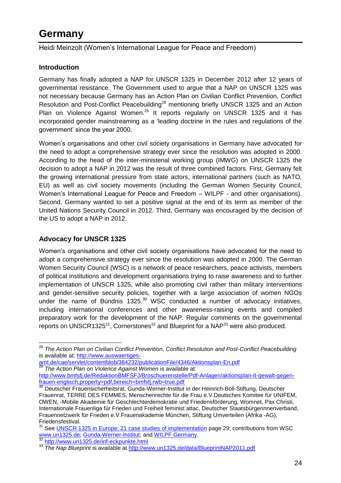## <span id="page-27-0"></span>**Germany**

<span id="page-27-1"></span>Heidi Meinzolt (Women's International League for Peace and Freedom)

### **Introduction**

Germany has finally adopted a NAP for UNSCR 1325 in December 2012 after 12 years of governmental resistance. The Government used to argue that a NAP on UNSCR 1325 was not necessary because Germany has an Action Plan on Civilian Conflict Prevention, Conflict Resolution and Post-Conflict Peacebuilding<sup>28</sup> mentioning briefly UNSCR 1325 and an Action Plan on Violence Against Women.<sup>29</sup> It reports regularly on UNSCR 1325 and it has incorporated gender mainstreaming as a 'leading doctrine in the rules and regulations of the government' since the year 2000.

Women's organisations and other civil society organisations in Germany have advocated for the need to adopt a comprehensive strategy ever since the resolution was adopted in 2000. According to the head of the inter-ministerial working group (IMWG) on UNSCR 1325 the decision to adopt a NAP in 2012 was the result of three combined factors. First, Germany felt the growing international pressure from state actors, international partners (such as NATO, EU) as well as civil society movements (including the German Women Security Council, Women's International League for Peace and Freedom – WILPF - and other organisations). Second, Germany wanted to set a positive signal at the end of its term as member of the United Nations Security Council in 2012. Third, Germany was encouraged by the decision of the US to adopt a NAP in 2012.

## **Advocacy for UNSCR 1325**

Women's organisations and other civil society organisations have advocated for the need to adopt a comprehensive strategy ever since the resolution was adopted in 2000. The German Women Security Council (WSC) is a network of peace researchers, peace activists, members of political institutions and development organisations trying to raise awareness and to further implementation of UNSCR 1325, while also promoting civil rather than military interventions and gender-sensitive security policies, together with a large association of women NGOs under the name of Bündnis 1325. $30$  WSC conducted a number of advocacy initiatives, including international conferences and other awareness-raising events and compiled preparatory work for the development of the NAP. Regular comments on the governmental reports on UNSCR1325 $31$ , Cornerstones<sup>32</sup> and Blueprint for a NAP $33$  were also produced.

[http://www.bmfsfj.de/RedaktionBMFSFJ/Broschuerenstelle/Pdf-Anlagen/aktionsplan-II-gewalt-gegen](http://www.bmfsfj.de/RedaktionBMFSFJ/Broschuerenstelle/Pdf-Anlagen/aktionsplan-II-gewalt-gegen-frauen-englisch,property=pdf,bereich=bmfsfj,rwb=true.pdf)[frauen-englisch,property=pdf,bereich=bmfsfj,rwb=true.pdf](http://www.bmfsfj.de/RedaktionBMFSFJ/Broschuerenstelle/Pdf-Anlagen/aktionsplan-II-gewalt-gegen-frauen-englisch,property=pdf,bereich=bmfsfj,rwb=true.pdf)

 <sup>28</sup> *The Action Plan on Civilian Conflict Prevention, Conflict Resolution and Post-Conflict Peacebuilding* is available at: [http://www.auswaertiges-](http://www.auswaertiges-amt.de/cae/servlet/contentblob/384232/publicationFile/4346/Aktionsplan-En.pdf)

[amt.de/cae/servlet/contentblob/384232/publicationFile/4346/Aktionsplan-En.pdf](http://www.auswaertiges-amt.de/cae/servlet/contentblob/384232/publicationFile/4346/Aktionsplan-En.pdf) <sup>29</sup> *The Action Plan on Violence Against Women* is available at:

<sup>&</sup>lt;sup>30</sup> Deutscher Frauensicherheitsrat, Gunda-Werner-Institut in der Heinrich-Böll-Stiftung, Deutscher Frauenrat, TERRE DES FEMMES, Menschenrechte für die Frau e.V.Deutsches Komitee für UNIFEM, OWEN, -Mobile Akademie für Geschlechterdemokratie und Friedensförderung, Womnet, Pax Christi, Internationale Frauenliga für Frieden und Freiheit feminist attac, Deutscher Staatsbürgerinnenverband, Frauennetzwerk für Frieden e.V.Frauenakademie München, Stiftung Umverteilen (Afrika -AG), Friedensfestival.

<sup>&</sup>lt;sup>31</sup> See [UNSCR 1325 in Europe: 21 case studies of implementation](http://www.eplo.org/assets/files/2.%20Activities/Working%20Groups/GPS/EPLO_GPS_WG_Case_Studies_UNSCR_1325_in_Europe.pdf) page 29; contributions from WSC [www.un1325.de;](http://www.un1325.de/) [Gunda-Werner-Institut;](http://www.gwi-boell.de/) and [WILPF Germany.](http://www.wilpf.de/) <http://www.un1325.de/inf-eckpunkte.html>

<sup>33</sup> *The Nap Blueprint* is available at<http://www.un1325.de/data/BlueprintNAP2011.pdf>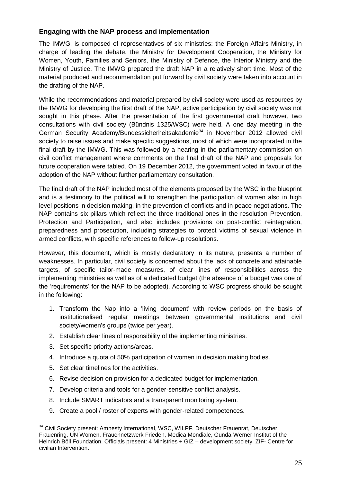### **Engaging with the NAP process and implementation**

The IMWG, is composed of representatives of six ministries: the Foreign Affairs Ministry, in charge of leading the debate, the Ministry for Development Cooperation, the Ministry for Women, Youth, Families and Seniors, the Ministry of Defence, the Interior Ministry and the Ministry of Justice. The IMWG prepared the draft NAP in a relatively short time. Most of the material produced and recommendation put forward by civil society were taken into account in the drafting of the NAP.

While the recommendations and material prepared by civil society were used as resources by the IMWG for developing the first draft of the NAP, active participation by civil society was not sought in this phase. After the presentation of the first governmental draft however, two consultations with civil society (Bündnis 1325/WSC) were held. A one day meeting in the German Security Academy/Bundessicherheitsakademie<sup>34</sup> in November 2012 allowed civil society to raise issues and make specific suggestions, most of which were incorporated in the final draft by the IMWG. This was followed by a hearing in the parliamentary commission on civil conflict management where comments on the final draft of the NAP and proposals for future cooperation were tabled. On 19 December 2012, the government voted in favour of the adoption of the NAP without further parliamentary consultation.

The final draft of the NAP included most of the elements proposed by the WSC in the blueprint and is a testimony to the political will to strengthen the participation of women also in high level positions in decision making, in the prevention of conflicts and in peace negotiations. The NAP contains six pillars which reflect the three traditional ones in the resolution Prevention, Protection and Participation, and also includes provisions on post-conflict reintegration, preparedness and prosecution, including strategies to protect victims of sexual violence in armed conflicts, with specific references to follow-up resolutions.

However, this document, which is mostly declaratory in its nature, presents a number of weaknesses. In particular, civil society is concerned about the lack of concrete and attainable targets, of specific tailor-made measures, of clear lines of responsibilities across the implementing ministries as well as of a dedicated budget (the absence of a budget was one of the 'requirements' for the NAP to be adopted). According to WSC progress should be sought in the following:

- 1. Transform the Nap into a 'living document' with review periods on the basis of institutionalised regular meetings between governmental institutions and civil society/women's groups (twice per year).
- 2. Establish clear lines of responsibility of the implementing ministries.
- 3. Set specific priority actions/areas.
- 4. Introduce a quota of 50% participation of women in decision making bodies.
- 5. Set clear timelines for the activities.
- 6. Revise decision on provision for a dedicated budget for implementation.
- 7. Develop criteria and tools for a gender-sensitive conflict analysis.
- 8. Include SMART indicators and a transparent monitoring system.
- 9. Create a pool / roster of experts with gender-related competences.

 <sup>34</sup> Civil Society present: Amnesty International, WSC, WILPF, Deutscher Frauenrat, Deutscher Frauenring, UN Women, Frauennetzwerk Frieden, Medica Mondiale, Gunda-Werner-Institut of the Heinrich Böll Foundation. Officials present: 4 Ministries + GIZ – development society, ZIF- Centre for civilian Intervention.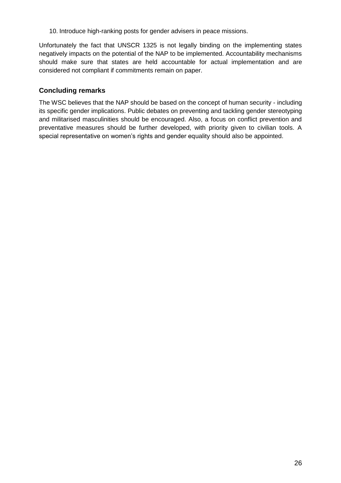10. Introduce high-ranking posts for gender advisers in peace missions.

Unfortunately the fact that UNSCR 1325 is not legally binding on the implementing states negatively impacts on the potential of the NAP to be implemented. Accountability mechanisms should make sure that states are held accountable for actual implementation and are considered not compliant if commitments remain on paper.

#### **Concluding remarks**

The WSC believes that the NAP should be based on the concept of human security - including its specific gender implications. Public debates on preventing and tackling gender stereotyping and militarised masculinities should be encouraged. Also, a focus on conflict prevention and preventative measures should be further developed, with priority given to civilian tools. A special representative on women's rights and gender equality should also be appointed.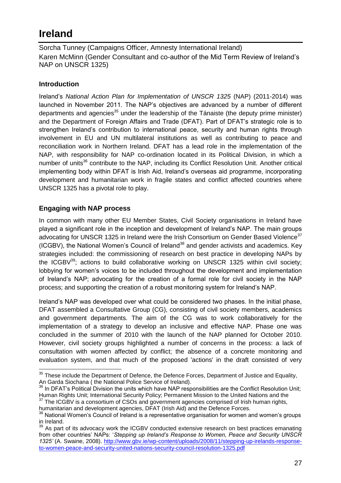## <span id="page-30-0"></span>**Ireland**

<span id="page-30-2"></span><span id="page-30-1"></span>Sorcha Tunney (Campaigns Officer, Amnesty International Ireland) Karen McMinn (Gender Consultant and co-author of the Mid Term Review of Ireland's NAP on UNSCR 1325)

### **Introduction**

Ireland's *National Action Plan for Implementation of UNSCR 1325* (NAP) (2011-2014) was launched in November 2011. The NAP's objectives are advanced by a number of different departments and agencies<sup>35</sup> under the leadership of the Tánaiste (the deputy prime minister) and the Department of Foreign Affairs and Trade (DFAT). Part of DFAT's strategic role is to strengthen Ireland's contribution to international peace, security and human rights through involvement in EU and UN multilateral institutions as well as contributing to peace and reconciliation work in Northern Ireland. DFAT has a lead role in the implementation of the NAP, with responsibility for NAP co-ordination located in its Political Division, in which a number of units<sup>36</sup> contribute to the NAP, including its Conflict Resolution Unit. Another critical implementing body within DFAT is Irish Aid, Ireland's overseas aid programme, incorporating development and humanitarian work in fragile states and conflict affected countries where UNSCR 1325 has a pivotal role to play.

## **Engaging with NAP process**

In common with many other EU Member States, Civil Society organisations in Ireland have played a significant role in the inception and development of Ireland's NAP. The main groups advocating for UNSCR 1325 in Ireland were the Irish Consortium on Gender Based Violence<sup>37</sup> (ICGBV), the National Women's Council of Ireland<sup>38</sup> and gender activists and academics. Key strategies included: the commissioning of research on best practice in developing NAPs by the ICGBV $^{39}$ ; actions to build collaborative working on UNSCR 1325 within civil society; lobbying for women's voices to be included throughout the development and implementation of Ireland's NAP; advocating for the creation of a formal role for civil society in the NAP process; and supporting the creation of a robust monitoring system for Ireland's NAP.

Ireland's NAP was developed over what could be considered two phases. In the initial phase, DFAT assembled a Consultative Group (CG), consisting of civil society members, academics and government departments. The aim of the CG was to work collaboratively for the implementation of a strategy to develop an inclusive and effective NAP. Phase one was concluded in the summer of 2010 with the launch of the NAP planned for October 2010. However, civil society groups highlighted a number of concerns in the process: a lack of consultation with women affected by conflict; the absence of a concrete monitoring and evaluation system, and that much of the proposed 'actions' in the draft consisted of very

The ICGBV is a consortium of CSOs and government agencies comprised of Irish human rights, humanitarian and development agencies, DFAT (Irish Aid) and the Defence Forces.

 $35$  These include the Department of Defence, the Defence Forces, Department of Justice and Equality, An Garda Siochana ( the National Police Service of Ireland).

<sup>&</sup>lt;sup>36</sup> In DFAT's Political Division the units which have NAP responsibilities are the Conflict Resolution Unit; Human Rights Unit; International Security Policy; Permanent Mission to the United Nations and the 37 The IOOD Mission of the United Nations and the

<sup>38</sup> National Women's Council of Ireland is a representative organisation for women and women's groups in Ireland.

<sup>&</sup>lt;sup>39</sup> As part of its advocacy work the ICGBV conducted extensive research on best practices emanating from other countries' NAPs: '*Stepping up Ireland's Response to Women, Peace and Security UNSCR 1325'* (A. Swaine, 2008). [http://www.gbv.ie/wp-content/uploads/2008/11/stepping-up-irelands-response](http://www.gbv.ie/wp-content/uploads/2008/11/stepping-up-irelands-response-to-women-peace-and-security-united-nations-security-council-resolution-1325.pdf)[to-women-peace-and-security-united-nations-security-council-resolution-1325.pdf](http://www.gbv.ie/wp-content/uploads/2008/11/stepping-up-irelands-response-to-women-peace-and-security-united-nations-security-council-resolution-1325.pdf)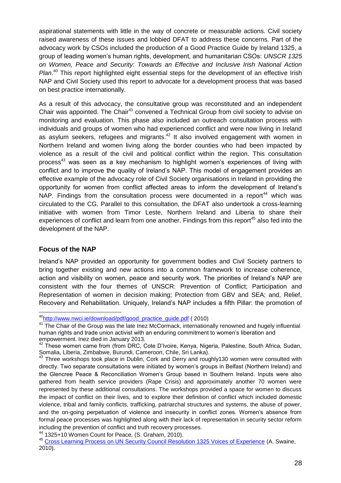aspirational statements with little in the way of concrete or measurable actions. Civil society raised awareness of these issues and lobbied DFAT to address these concerns. Part of the advocacy work by CSOs included the production of a Good Practice Guide by Ireland 1325, a group of leading women's human rights, development, and humanitarian CSOs: *UNSCR 1325 on Women, Peace and Security: Towards an Effective and Inclusive Irish National Action*  Plan.<sup>40</sup> This report highlighted eight essential steps for the development of an effective Irish NAP and Civil Society used this report to advocate for a development process that was based on best practice internationally.

As a result of this advocacy, the consultative group was reconstituted and an independent Chair was appointed. The Chair<sup>41</sup> convened a Technical Group from civil society to advise on monitoring and evaluation. This phase also included an outreach consultation process with individuals and groups of women who had experienced conflict and were now living in Ireland as asylum seekers, refugees and migrants. $42$  It also involved engagement with women in Northern Ireland and women living along the border counties who had been impacted by violence as a result of the civil and political conflict within the region. This consultation process<sup>43</sup> was seen as a key mechanism to highlight women's experiences of living with conflict and to improve the quality of Ireland's NAP. This model of engagement provides an effective example of the advocacy role of Civil Society organisations in Ireland in providing the opportunity for women from conflict affected areas to inform the development of Ireland's NAP. Findings from the consultation process were documented in a report<sup>44</sup> which was circulated to the CG. Parallel to this consultation, the DFAT also undertook a cross-learning initiative with women from Timor Leste, Northern Ireland and Liberia to share their experiences of conflict and learn from one another. Findings from this report<sup>45</sup> also fed into the development of the NAP.

#### **Focus of the NAP**

Ireland's NAP provided an opportunity for government bodies and Civil Society partners to bring together existing and new actions into a common framework to increase coherence, action and visibility on women, peace and security work. The priorities of Ireland's NAP are consistent with the four themes of UNSCR: Prevention of Conflict; Participation and Representation of women in decision making; Protection from GBV and SEA; and, Relief, Recovery and Rehabilitation. Uniquely, Ireland's NAP includes a fifth Pillar: the promotion of

 $\overline{a}$ <sup>40</sup>[http://www.nwci.ie/download/pdf/good\\_practice\\_guide.pdf](http://www.nwci.ie/download/pdf/good_practice_guide.pdf) (2010)

<sup>&</sup>lt;sup>41</sup> The Chair of the Group was the late Inez McCormack, internationally renowned and hugely influential human rights and trade union activist with an enduring commitment to women's liberation and empowerment. Inez died in January 2013.

 $42$  These women came from (from DRC, Cote D'Ivoire, Kenya, Nigeria, Palestine, South Africa, Sudan, Somalia, Liberia, Zimbabwe, Burundi, Cameroon, Chile, Sri Lanka).

 $43$  Three workshops took place in Dublin, Cork and Derry and roughly130 women were consulted with directly. Two separate consultations were initiated by women's groups in Belfast (Northern Ireland) and the Glencree Peace & Reconciliation Women's Group based in Southern Ireland. Inputs were also gathered from health service providers (Rape Crisis) and approximately another 70 women were represented by these additional consultations. The workshops provided a space for women to discuss the impact of conflict on their lives, and to explore their definition of conflict which included domestic violence, tribal and family conflicts, trafficking, patriarchal structures and systems, the abuse of power, and the on-going perpetuation of violence and insecurity in conflict zones. Women's absence from formal peace processes was highlighted along with their lack of representation in security sector reform including the prevention of conflict and truth recovery processes.

<sup>44</sup> 1325+10 Women Count for Peace, (S. Graham, 2010).

<sup>45</sup> [Cross Learning Process on UN Security Council Resolution 1325 Voices of Experience](http://www.dfa.ie/uploads/documents/CRU/cross%20learning%20process%20-%20final%20(3).pdf) (A. Swaine,  $2010$ ).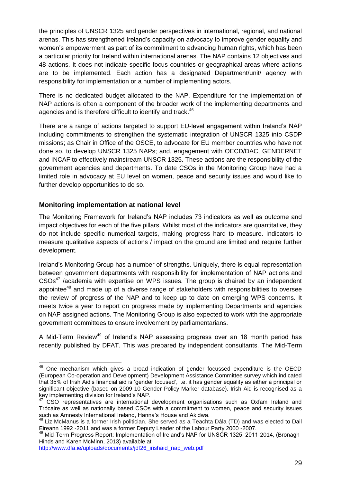the principles of UNSCR 1325 and gender perspectives in international, regional, and national arenas. This has strengthened Ireland's capacity on advocacy to improve gender equality and women's empowerment as part of its commitment to advancing human rights, which has been a particular priority for Ireland within international arenas. The NAP contains 12 objectives and 48 actions. It does not indicate specific focus countries or geographical areas where actions are to be implemented. Each action has a designated Department/unit/ agency with responsibility for implementation or a number of implementing actors.

There is no dedicated budget allocated to the NAP. Expenditure for the implementation of NAP actions is often a component of the broader work of the implementing departments and agencies and is therefore difficult to identify and track.<sup>46</sup>

There are a range of actions targeted to support EU-level engagement within Ireland's NAP including commitments to strengthen the systematic integration of UNSCR 1325 into CSDP missions; as Chair in Office of the OSCE, to advocate for EU member countries who have not done so, to develop UNSCR 1325 NAPs; and, engagement with OECD/DAC, GENDERNET and INCAF to effectively mainstream UNSCR 1325. These actions are the responsibility of the government agencies and departments. To date CSOs in the Monitoring Group have had a limited role in advocacy at EU level on women, peace and security issues and would like to further develop opportunities to do so.

#### **Monitoring implementation at national level**

The Monitoring Framework for Ireland's NAP includes 73 indicators as well as outcome and impact objectives for each of the five pillars. Whilst most of the indicators are quantitative, they do not include specific numerical targets, making progress hard to measure. Indicators to measure qualitative aspects of actions / impact on the ground are limited and require further development.

Ireland's Monitoring Group has a number of strengths. Uniquely, there is equal representation between government departments with responsibility for implementation of NAP actions and CSOs<sup>47</sup> /academia with expertise on WPS issues. The group is chaired by an independent appointee<sup>48</sup> and made up of a diverse range of stakeholders with responsibilities to oversee the review of progress of the NAP and to keep up to date on emerging WPS concerns. It meets twice a year to report on progress made by implementing Departments and agencies on NAP assigned actions. The Monitoring Group is also expected to work with the appropriate government committees to ensure involvement by parliamentarians.

A Mid-Term Review<sup>49</sup> of Ireland's NAP assessing progress over an 18 month period has recently published by DFAT. This was prepared by independent consultants. The Mid-Term

 $\overline{\phantom{a}}$ 

 $46$  One mechanism which gives a broad indication of gender focussed expenditure is the OECD (European Co-operation and Development) Development Assistance Committee survey which indicated that 35% of Irish Aid's financial aid is 'gender focused', i.e. it has gender equality as either a principal or significant objective (based on 2009-10 Gender Policy Marker database). Irish Aid is recognised as a key implementing division for Ireland's NAP.

<sup>47</sup> CSO representatives are international development organisations such as Oxfam Ireland and Trócaire as well as nationally based CSOs with a commitment to women, peace and security issues such as Amnesty International Ireland, Hanna's House and Akidwa.

<sup>&</sup>lt;sup>48</sup> Liz McManus is a former Irish politician. She served as a Teachta Dála (TD) and was elected to Dail Eireann 1992 -2011 and was a former Deputy Leader of the Labour Party 2000 -2007.

<sup>49</sup> Mid-Term Progress Report: Implementation of Ireland's NAP for UNSCR 1325, 2011-2014, (Bronagh Hinds and Karen McMinn, 2013) available at

[http://www.dfa.ie/uploads/documents/jdf26\\_irishaid\\_nap\\_web.pdf](http://www.dfa.ie/uploads/documents/jdf26_irishaid_nap_web.pdf)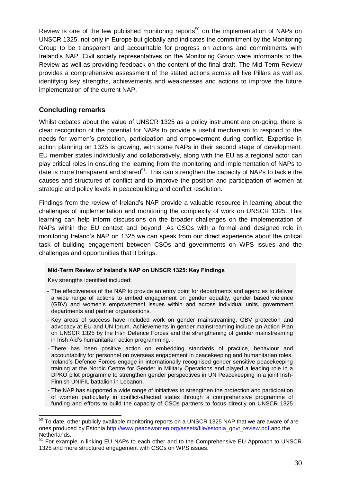Review is one of the few published monitoring reports<sup>50</sup> on the implementation of NAPs on UNSCR 1325, not only in Europe but globally and indicates the commitment by the Monitoring Group to be transparent and accountable for progress on actions and commitments with Ireland's NAP. Civil society representatives on the Monitoring Group were informants to the Review as well as providing feedback on the content of the final draft. The Mid-Term Review provides a comprehensive assessment of the stated actions across all five Pillars as well as identifying key strengths, achievements and weaknesses and actions to improve the future implementation of the current NAP.

#### **Concluding remarks**

Whilst debates about the value of UNSCR 1325 as a policy instrument are on-going, there is clear recognition of the potential for NAPs to provide a useful mechanism to respond to the needs for women's protection, participation and empowerment during conflict. Expertise in action planning on 1325 is growing, with some NAPs in their second stage of development. EU member states individually and collaboratively, along with the EU as a regional actor can play critical roles in ensuring the learning from the monitoring and implementation of NAPs to date is more transparent and shared<sup>51</sup>. This can strengthen the capacity of NAPs to tackle the causes and structures of conflict and to improve the position and participation of women at strategic and policy levels in peacebuilding and conflict resolution.

Findings from the review of Ireland's NAP provide a valuable resource in learning about the challenges of implementation and monitoring the complexity of work on UNSCR 1325. This learning can help inform discussions on the broader challenges on the implementation of NAPs within the EU context and beyond. As CSOs with a formal and designed role in monitoring Ireland's NAP on 1325 we can speak from our direct experience about the critical task of building engagement between CSOs and governments on WPS issues and the challenges and opportunities that it brings.

#### **Mid-Term Review of Ireland's NAP on UNSCR 1325: Key Findings**

Key strengths identified included:

 $\overline{a}$ 

- The effectiveness of the NAP to provide an entry point for departments and agencies to deliver a wide range of actions to embed engagement on gender equality, gender based violence (GBV) and women's empowerment issues within and across individual units, government departments and partner organisations.
- Key areas of success have included work on gender mainstreaming, GBV protection and advocacy at EU and UN forum. Achievements in gender mainstreaming include an Action Plan on UNSCR 1325 by the Irish Defence Forces and the strengthening of gender mainstreaming in Irish Aid's humanitarian action programming.
- There has been positive action on embedding standards of practice, behaviour and accountability for personnel on overseas engagement in peacekeeping and humanitarian roles. Ireland's Defence Forces engage in internationally recognised gender sensitive peacekeeping training at the Nordic Centre for Gender in Military Operations and played a leading role in a DPKO pilot programme to strengthen gender perspectives in UN Peacekeeping in a joint Irish-Finnish UNIFIL battalion in Lebanon.
- The NAP has supported a wide range of initiatives to strengthen the protection and participation of women particularly in conflict-affected states through a comprehensive programme of funding and efforts to build the capacity of CSOs partners to focus directly on UNSCR 1325

 $^{50}$  To date, other publicly available monitoring reports on a UNSCR 1325 NAP that we are aware of are ones produced by Estonia [http://www.peacewomen.org/assets/file/estonia\\_govt\\_review.pdf](http://www.peacewomen.org/assets/file/estonia_govt_review.pdf) and the Netherlands.

<sup>&</sup>lt;sup>51</sup> For example in linking EU NAPs to each other and to the Comprehensive EU Approach to UNSCR 1325 and more structured engagement with CSOs on WPS issues.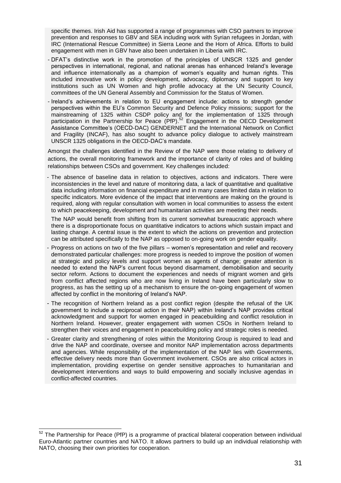specific themes. Irish Aid has supported a range of programmes with CSO partners to improve prevention and responses to GBV and SEA including work with Syrian refugees in Jordan, with IRC (International Rescue Committee) in Sierra Leone and the Horn of Africa. Efforts to build engagement with men in GBV have also been undertaken in Liberia with IRC.

- DFAT's distinctive work in the promotion of the principles of UNSCR 1325 and gender perspectives in international, regional, and national arenas has enhanced Ireland's leverage and influence internationally as a champion of women's equality and human rights. This included innovative work in policy development, advocacy, diplomacy and support to key institutions such as UN Women and high profile advocacy at the UN Security Council, committees of the UN General Assembly and Commission for the Status of Women.
- Ireland's achievements in relation to EU engagement include: actions to strength gender perspectives within the EU's Common Security and Defence Policy missions; support for the mainstreaming of 1325 within CSDP policy and for the implementation of 1325 through participation in the Partnership for Peace (PfP).<sup>52</sup> Engagement in the OECD Development Assistance Committee's (OECD-DAC) GENDERNET and the International Network on Conflict and Fragility (INCAF), has also sought to advance policy dialogue to actively mainstream UNSCR 1325 obligations in the OECD-DAC's mandate.

Amongst the challenges identified in the Review of the NAP were those relating to delivery of actions, the overall monitoring framework and the importance of clarity of roles and of building relationships between CSOs and government. Key challenges included:

- The absence of baseline data in relation to objectives, actions and indicators. There were inconsistencies in the level and nature of monitoring data, a lack of quantitative and qualitative data including information on financial expenditure and in many cases limited data in relation to specific indicators. More evidence of the impact that interventions are making on the ground is required, along with regular consultation with women in local communities to assess the extent to which peacekeeping, development and humanitarian activities are meeting their needs.

The NAP would benefit from shifting from its current somewhat bureaucratic approach where there is a disproportionate focus on quantitative indicators to actions which sustain impact and lasting change. A central issue is the extent to which the actions on prevention and protection can be attributed specifically to the NAP as opposed to on-going work on gender equality.

- Progress on actions on two of the five pillars women's representation and relief and recovery demonstrated particular challenges: more progress is needed to improve the position of women at strategic and policy levels and support women as agents of change; greater attention is needed to extend the NAP's current focus beyond disarmament, demobilisation and security sector reform. Actions to document the experiences and needs of migrant women and girls from conflict affected regions who are now living in Ireland have been particularly slow to progress, as has the setting up of a mechanism to ensure the on-going engagement of women affected by conflict in the monitoring of Ireland's NAP.
- The recognition of Northern Ireland as a post conflict region (despite the refusal of the UK government to include a reciprocal action in their NAP) within Ireland's NAP provides critical acknowledgment and support for women engaged in peacebuilding and conflict resolution in Northern Ireland. However, greater engagement with women CSOs in Northern Ireland to strengthen their voices and engagement in peacebuilding policy and strategic roles is needed.
- Greater clarity and strengthening of roles within the Monitoring Group is required to lead and drive the NAP and coordinate, oversee and monitor NAP implementation across departments and agencies. While responsibility of the implementation of the NAP lies with Governments, effective delivery needs more than Government involvement. CSOs are also critical actors in implementation, providing expertise on gender sensitive approaches to humanitarian and development interventions and ways to build empowering and socially inclusive agendas in conflict-affected countries.

 $52$  The Partnership for Peace (PfP) is a programme of practical bilateral cooperation between individual Euro-Atlantic partner countries and NATO. It allows partners to build up an individual relationship with NATO, choosing their own priorities for cooperation.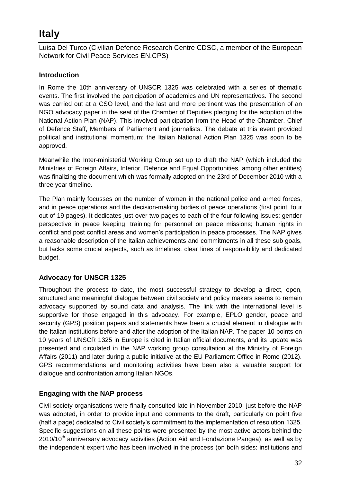## <span id="page-35-0"></span>**Italy**

<span id="page-35-1"></span>Luisa Del Turco (Civilian Defence Research Centre CDSC, a member of the European Network for Civil Peace Services EN.CPS)

## **Introduction**

In Rome the 10th anniversary of UNSCR 1325 was celebrated with a series of thematic events. The first involved the participation of academics and UN representatives. The second was carried out at a CSO level, and the last and more pertinent was the presentation of an NGO advocacy paper in the seat of the Chamber of Deputies pledging for the adoption of the National Action Plan (NAP). This involved participation from the Head of the Chamber, Chief of Defence Staff, Members of Parliament and journalists. The debate at this event provided political and institutional momentum: the Italian National Action Plan 1325 was soon to be approved.

Meanwhile the Inter-ministerial Working Group set up to draft the NAP (which included the Ministries of Foreign Affairs, Interior, Defence and Equal Opportunities, among other entities) was finalizing the document which was formally adopted on the 23rd of December 2010 with a three year timeline.

The Plan mainly focusses on the number of women in the national police and armed forces, and in peace operations and the decision-making bodies of peace operations (first point, four out of 19 pages). It dedicates just over two pages to each of the four following issues: gender perspective in peace keeping; training for personnel on peace missions; human rights in conflict and post conflict areas and women's participation in peace processes. The NAP gives a reasonable description of the Italian achievements and commitments in all these sub goals, but lacks some crucial aspects, such as timelines, clear lines of responsibility and dedicated budget.

## **Advocacy for UNSCR 1325**

Throughout the process to date, the most successful strategy to develop a direct, open, structured and meaningful dialogue between civil society and policy makers seems to remain advocacy supported by sound data and analysis. The link with the international level is supportive for those engaged in this advocacy. For example, EPLO gender, peace and security (GPS) position papers and statements have been a crucial element in dialogue with the Italian institutions before and after the adoption of the Italian NAP. The paper [10 points on](http://www.eplo.org/assets/files/2.%20Activities/Working%20Groups/GPS/CSO_Position_Paper_10_Points_on_10_Years_UNSCR_1325_in_Europe_1008.pdf)  [10 years of UNSCR 1325 in Europe](http://www.eplo.org/assets/files/2.%20Activities/Working%20Groups/GPS/CSO_Position_Paper_10_Points_on_10_Years_UNSCR_1325_in_Europe_1008.pdf) is cited in Italian official documents, and its [update](http://www.eplo.org/assets/files/2.%20Activities/Working%20Groups/GPS/FOLLOW_UP_TO_10_POINTS_IN_10_YEARS_UNSCR_1325.pdf) was presented and circulated in the NAP working group consultation at the Ministry of Foreign Affairs (2011) and later during a public initiative at the EU Parliament Office in Rome (2012). GPS recommendations and monitoring activities have been also a valuable support for dialogue and confrontation among Italian NGOs.

### **Engaging with the NAP process**

Civil society organisations were finally consulted late in November 2010, just before the NAP was adopted, in order to provide input and comments to the draft, particularly on point five (half a page) dedicated to Civil society's commitment to the implementation of resolution 1325. Specific suggestions on all these points were presented by the most active actors behind the  $2010/10<sup>th</sup>$  anniversary advocacy activities (Action Aid and Fondazione Pangea), as well as by the independent expert who has been involved in the process (on both sides: institutions and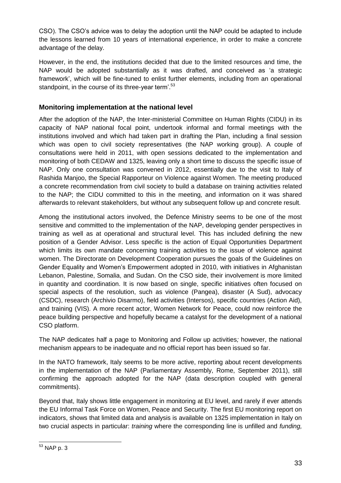CSO). The CSO's advice was to delay the adoption until the NAP could be adapted to include the lessons learned from 10 years of international experience, in order to make a concrete advantage of the delay.

However, in the end, the institutions decided that due to the limited resources and time, the NAP would be adopted substantially as it was drafted, and conceived as 'a strategic framework', which will be fine-tuned to enlist further elements, including from an operational standpoint, in the course of its three-year term'.<sup>53</sup>

## **Monitoring implementation at the national level**

After the adoption of the NAP, the Inter-ministerial Committee on Human Rights (CIDU) in its capacity of NAP national focal point, undertook informal and formal meetings with the institutions involved and which had taken part in drafting the Plan, including a final session which was open to civil society representatives (the NAP working group). A couple of consultations were held in 2011, with open sessions dedicated to the implementation and monitoring of both CEDAW and 1325, leaving only a short time to discuss the specific issue of NAP. Only one consultation was convened in 2012, essentially due to the visit to Italy of Rashida Manjoo, the Special Rapporteur on Violence against Women. The meeting produced a concrete recommendation from civil society to build a database on training activities related to the NAP; the CIDU committed to this in the meeting, and information on it was shared afterwards to relevant stakeholders, but without any subsequent follow up and concrete result.

Among the institutional actors involved, the Defence Ministry seems to be one of the most sensitive and committed to the implementation of the NAP, developing gender perspectives in training as well as at operational and structural level. This has included defining the new position of a Gender Advisor. Less specific is the action of Equal Opportunities Department which limits its own mandate concerning training activities to the issue of violence against women. The Directorate on Development Cooperation pursues the goals of the Guidelines on Gender Equality and Women's Empowerment adopted in 2010, with initiatives in Afghanistan Lebanon, Palestine, Somalia, and Sudan. On the CSO side, their involvement is more limited in quantity and coordination. It is now based on single, specific initiatives often focused on special aspects of the resolution, such as violence (Pangea), disaster (A Sud), advocacy (CSDC), research (Archivio Disarmo), field activities (Intersos), specific countries (Action Aid), and training (VIS). A more recent actor, Women Network for Peace, could now reinforce the peace building perspective and hopefully became a catalyst for the development of a national CSO platform.

The NAP dedicates half a page to Monitoring and Follow up activities*;* however, the national mechanism appears to be inadequate and no official report has been issued so far.

In the NATO framework, Italy seems to be more active, reporting about recent developments in the implementation of the NAP (Parliamentary Assembly, Rome, September 2011), still confirming the approach adopted for the NAP (data description coupled with general commitments).

Beyond that, Italy shows little engagement in monitoring at EU level, and rarely if ever attends the EU Informal Task Force on Women, Peace and Security. The first EU monitoring report on indicators, shows that limited data and analysis is available on 1325 implementation in Italy on two crucial aspects in particular: *training* where the corresponding line is unfilled and *funding,*

 $\overline{a}$  $^{53}$  NAP p. 3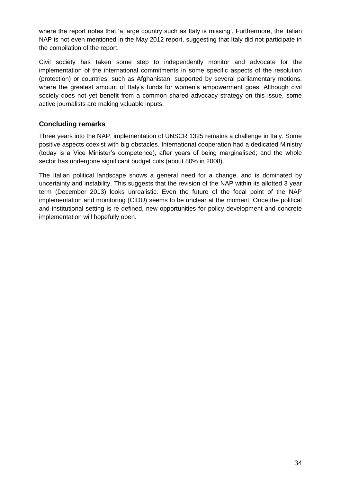where the report notes that 'a large country such as Italy is missing'. Furthermore, the Italian NAP is not even mentioned in the May 2012 report, suggesting that Italy did not participate in the compilation of the report.

Civil society has taken some step to independently monitor and advocate for the implementation of the international commitments in some specific aspects of the resolution (protection) or countries, such as Afghanistan, supported by several parliamentary motions, where the greatest amount of Italy's funds for women's empowerment goes. Although civil society does not yet benefit from a common shared advocacy strategy on this issue, some active journalists are making valuable inputs.

## **Concluding remarks**

Three years into the NAP, implementation of UNSCR 1325 remains a challenge in Italy. Some positive aspects coexist with big obstacles. International cooperation had a dedicated Ministry (today is a Vice Minister's competence), after years of being marginalised; and the whole sector has undergone significant budget cuts (about 80% in 2008).

The Italian political landscape shows a general need for a change, and is dominated by uncertainty and instability. This suggests that the revision of the NAP within its allotted 3 year term (December 2013) looks unrealistic. Even the future of the focal point of the NAP implementation and monitoring (CIDU) seems to be unclear at the moment. Once the political and institutional setting is re-defined, new opportunities for policy development and concrete implementation will hopefully open.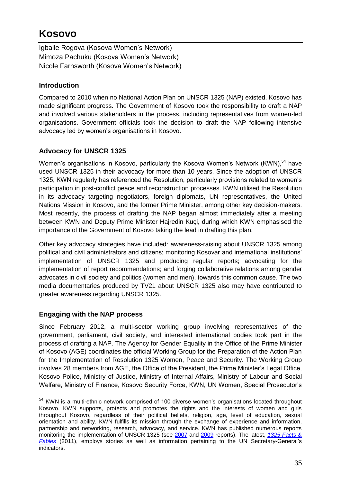# **Kosovo**

Igballe Rogova (Kosova Women's Network) Mimoza Pachuku (Kosova Women's Network) Nicole Farnsworth (Kosova Women's Network)

## **Introduction**

Compared to 2010 when no National Action Plan on UNSCR 1325 (NAP) existed, Kosovo has made significant progress. The Government of Kosovo took the responsibility to draft a NAP and involved various stakeholders in the process, including representatives from women-led organisations. Government officials took the decision to draft the NAP following intensive advocacy led by women's organisations in Kosovo.

## **Advocacy for UNSCR 1325**

Women's organisations in Kosovo, particularly the Kosova Women's Network (KWN),<sup>54</sup> have used UNSCR 1325 in their advocacy for more than 10 years. Since the adoption of UNSCR 1325, KWN regularly has referenced the Resolution, particularly provisions related to women's participation in post-conflict peace and reconstruction processes. KWN utilised the Resolution in its advocacy targeting negotiators, foreign diplomats, UN representatives, the United Nations Mission in Kosovo, and the former Prime Minister, among other key decision-makers. Most recently, the process of drafting the NAP began almost immediately after a meeting between KWN and Deputy Prime Minister Hajredin Kuçi, during which KWN emphasised the importance of the Government of Kosovo taking the lead in drafting this plan.

Other key advocacy strategies have included: awareness-raising about UNSCR 1325 among political and civil administrators and citizens; monitoring Kosovar and international institutions' implementation of UNSCR 1325 and producing regular reports; advocating for the implementation of report recommendations; and forging collaborative relations among gender advocates in civil society and politics (women and men), towards this common cause. The two media documentaries produced by TV21 about UNSCR 1325 also may have contributed to greater awareness regarding UNSCR 1325.

## **Engaging with the NAP process**

 $\overline{a}$ 

Since February 2012, a multi-sector working group involving representatives of the government, parliament, civil society, and interested international bodies took part in the process of drafting a NAP. The Agency for Gender Equality in the Office of the Prime Minister of Kosovo (AGE) coordinates the official Working Group for the Preparation of the Action Plan for the Implementation of Resolution 1325 Women, Peace and Security. The Working Group involves 28 members from AGE, the Office of the President, the Prime Minister's Legal Office, Kosovo Police, Ministry of Justice, Ministry of Internal Affairs, Ministry of Labour and Social Welfare, Ministry of Finance, Kosovo Security Force, KWN, UN Women, Special Prosecutor's

<sup>&</sup>lt;sup>54</sup> KWN is a multi-ethnic network comprised of 100 diverse women's organisations located throughout Kosovo. KWN supports, protects and promotes the rights and the interests of women and girls throughout Kosovo, regardless of their political beliefs, religion, age, level of education, sexual orientation and ability. KWN fulfills its mission through the exchange of experience and information, partnership and networking, research, advocacy, and service. KWN has published numerous reports monitoring the implementation of UNSCR 1325 (see [2007](http://www.womensnetwork.org/documents/20130120165532196.pdf) and [2009](http://www.womensnetwork.org/documents/20130120165508427.pdf) reports). The latest, *[1325 Facts &](http://www.womensnetwork.org/documents/20130120165559661.pdf)  [Fables](http://www.womensnetwork.org/documents/20130120165559661.pdf)* (2011), employs stories as well as information pertaining to the UN Secretary-General's indicators.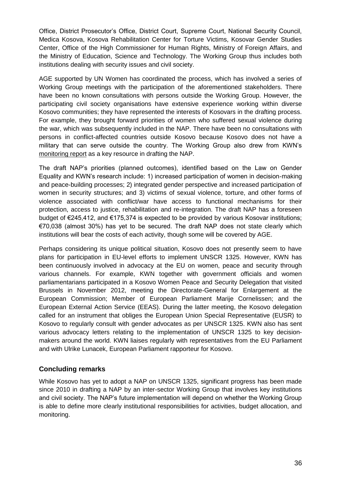Office, District Prosecutor's Office, District Court, Supreme Court, National Security Council, Medica Kosova, Kosova Rehabilitation Center for Torture Victims, Kosovar Gender Studies Center, Office of the High Commissioner for Human Rights, Ministry of Foreign Affairs, and the Ministry of Education, Science and Technology. The Working Group thus includes both institutions dealing with security issues and civil society.

AGE supported by UN Women has coordinated the process, which has involved a series of Working Group meetings with the participation of the aforementioned stakeholders. There have been no known consultations with persons outside the Working Group. However, the participating civil society organisations have extensive experience working within diverse Kosovo communities; they have represented the interests of Kosovars in the drafting process. For example, they brought forward priorities of women who suffered sexual violence during the war, which was subsequently included in the NAP. There have been no consultations with persons in conflict-affected countries outside Kosovo because Kosovo does not have a military that can serve outside the country. The Working Group also drew from KWN's [monitoring report](http://www.womensnetwork.org/documents/20130120165559661.pdf) as a key resource in drafting the NAP.

The draft NAP's priorities (planned outcomes), identified based on the Law on Gender Equality and KWN's research include: 1) increased participation of women in decision-making and peace-building processes; 2) integrated gender perspective and increased participation of women in security structures; and 3) victims of sexual violence, torture, and other forms of violence associated with conflict/war have access to functional mechanisms for their protection, access to justice, rehabilitation and re-integration. The draft NAP has a foreseen budget of €245,412, and €175,374 is expected to be provided by various Kosovar institutions; €70,038 (almost 30%) has yet to be secured. The draft NAP does not state clearly which institutions will bear the costs of each activity, though some will be covered by AGE.

Perhaps considering its unique political situation, Kosovo does not presently seem to have plans for participation in EU-level efforts to implement UNSCR 1325. However, KWN has been continuously involved in advocacy at the EU on women, peace and security through various channels. For example, KWN together with government officials and women parliamentarians participated in a Kosovo [Women Peace and Security Delegation](http://www.womensnetwork.org/documents/20130120165211656.pdf) that visited Brussels in November 2012, meeting the Directorate-General for Enlargement at the European Commission; Member of European Parliament Marije Cornelissen; and the European External Action Service (EEAS). During the latter meeting, the Kosovo delegation called for an instrument that obliges the European Union Special Representative (EUSR) to Kosovo to regularly consult with gender advocates as per UNSCR 1325. KWN also has sent various advocacy [letters relating to the implementation of UNSCR 1325](http://www.womensnetwork.org/documents/20130120165154110.pdf) to key decisionmakers around the world. KWN liaises regularly with representatives from the EU Parliament and with Ulrike Lunacek, European Parliament rapporteur for Kosovo.

#### **Concluding remarks**

While Kosovo has yet to adopt a NAP on UNSCR 1325, significant progress has been made since 2010 in drafting a NAP by an inter-sector Working Group that involves key institutions and civil society. The NAP's future implementation will depend on whether the Working Group is able to define more clearly institutional responsibilities for activities, budget allocation, and monitoring.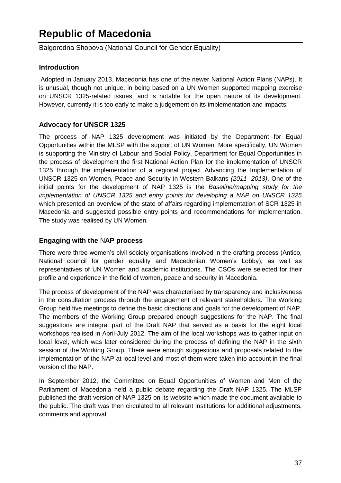# **Republic of Macedonia**

Balgorodna Shopova (National Council for Gender Equality)

## **Introduction**

Adopted in January 2013, Macedonia has one of the newer National Action Plans (NAPs). It is unusual, though not unique, in being based on a UN Women supported mapping exercise on UNSCR 1325-related issues, and is notable for the open nature of its development. However, currently it is too early to make a judgement on its implementation and impacts.

## **Advo**c**acy for UNSCR 1325**

The process of NAP 1325 development was initiated by the Department for Equal Opportunities within the MLSP with the support of UN Women. More specifically, UN Women is supporting the Ministry of Labour and Social Policy, Department for Equal Opportunities in the process of development the first National Action Plan for the implementation of UNSCR 1325 through the implementation of a regional project Advancing the Implementation of UNSCR 1325 on Women, Peace and Security in Western Balkans *(2011- 2013)*. One of the initial points for the development of NAP 1325 is the *Baseline/mapping study for the implementation of UNSCR 1325 and entry points for developing a NAP on UNSCR 1325* which presented an overview of the state of affairs regarding implementation of SCR 1325 in Macedonia and suggested possible entry points and recommendations for implementation. The study was realised by UN Women.

## **Engaging with the** N**AP process**

There were three women's civil society organisations involved in the drafting process (Antico, National council for gender equality and Macedonian Women's Lobby), as well as representatives of UN Women and academic institutions. The CSOs were selected for their profile and experience in the field of women, peace and security in Macedonia.

The process of development of the NAP was characterised by transparency and inclusiveness in the consultation process through the engagement of relevant stakeholders. The Working Group held five meetings to define the basic directions and goals for the development of NAP. The members of the Working Group prepared enough suggestions for the NAP. The final suggestions are integral part of the Draft NAP that served as a basis for the eight local workshops realised in April-July 2012. The aim of the local workshops was to gather input on local level, which was later considered during the process of defining the NAP in the sixth session of the Working Group. There were enough suggestions and proposals related to the implementation of the NAP at local level and most of them were taken into account in the final version of the NAP.

In September 2012, the Committee on Equal Opportunities of Women and Men of the Parliament of Macedonia held a public debate regarding the Draft NAP 1325. The MLSP published the draft version of NAP 1325 on its website which made the document available to the public. The draft was then circulated to all relevant institutions for additional adjustments, comments and approval.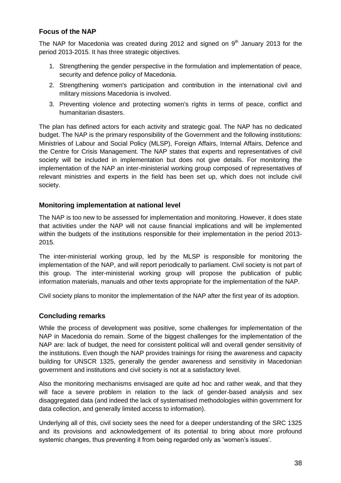## **Focus of the NAP**

The NAP for Macedonia was created during 2012 and signed on  $9<sup>th</sup>$  January 2013 for the period 2013-2015. It has three strategic objectives.

- 1. Strengthening the gender perspective in the formulation and implementation of peace, security and defence policy of Macedonia.
- 2. Strengthening women's participation and contribution in the international civil and military missions Macedonia is involved.
- 3. Preventing violence and protecting women's rights in terms of peace, conflict and humanitarian disasters.

The plan has defined actors for each activity and strategic goal. The NAP has no dedicated budget. The NAP is the primary responsibility of the Government and the following institutions: Ministries of Labour and Social Policy (MLSP), Foreign Affairs, Internal Affairs, Defence and the Centre for Crisis Management. The NAP states that experts and representatives of civil society will be included in implementation but does not give details. For monitoring the implementation of the NAP an inter-ministerial working group composed of representatives of relevant ministries and experts in the field has been set up, which does not include civil society.

## **Monitoring implementation at national level**

The NAP is too new to be assessed for implementation and monitoring. However, it does state that activities under the NAP will not cause financial implications and will be implemented within the budgets of the institutions responsible for their implementation in the period 2013- 2015.

The inter-ministerial working group, led by the MLSP is responsible for monitoring the implementation of the NAP, and will report periodically to parliament. Civil society is not part of this group. The inter-ministerial working group will propose the publication of public information materials, manuals and other texts appropriate for the implementation of the NAP.

Civil society plans to monitor the implementation of the NAP after the first year of its adoption.

#### **Concluding remarks**

While the process of development was positive, some challenges for implementation of the NAP in Macedonia do remain. Some of the biggest challenges for the implementation of the NAP are: lack of budget, the need for consistent political will and overall gender sensitivity of the institutions. Even though the NAP provides trainings for rising the awareness and capacity building for UNSCR 1325, generally the gender awareness and sensitivity in Macedonian government and institutions and civil society is not at a satisfactory level.

Also the monitoring mechanisms envisaged are quite ad hoc and rather weak, and that they will face a severe problem in relation to the lack of gender-based analysis and sex disaggregated data (and indeed the lack of systematised methodologies within government for data collection, and generally limited access to information).

Underlying all of this, civil society sees the need for a deeper understanding of the SRC 1325 and its provisions and acknowledgement of its potential to bring about more profound systemic changes, thus preventing it from being regarded only as 'women's issues'.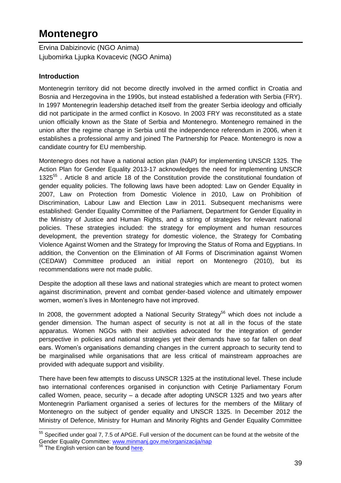# **Montenegro**

Ervina Dabizinovic (NGO Anima) Ljubomirka Ljupka Kovacevic (NGO Anima)

## **Introduction**

Montenegrin territory did not become directly involved in the armed conflict in Croatia and Bosnia and Herzegovina in the 1990s, but instead established a federation with Serbia (FRY). In 1997 Montenegrin leadership detached itself from the greater Serbia ideology and officially did not participate in the armed conflict in Kosovo. In 2003 FRY was reconstituted as a state union officially known as the State of Serbia and Montenegro. Montenegro remained in the union after the regime change in Serbia until the independence referendum in 2006, when it establishes a professional army and joined The Partnership for Peace. Montenegro is now a candidate country for EU membership.

Montenegro does not have a national action plan (NAP) for implementing UNSCR 1325. The Action Plan for Gender Equality 2013-17 acknowledges the need for implementing UNSCR 1325<sup>55</sup>. Article 8 and article 18 of the Constitution provide the constitutional foundation of gender equality policies. The following laws have been adopted: Law on Gender Equality in 2007, Law on Protection from Domestic Violence in 2010, Law on Prohibition of Discrimination, Labour Law and Election Law in 2011. Subsequent mechanisms were established: Gender Equality Committee of the Parliament, Department for Gender Equality in the Ministry of Justice and Human Rights, and a string of strategies for relevant national policies. These strategies included: the strategy for employment and human resources development, the prevention strategy for domestic violence, the Strategy for Combating Violence Against Women and the Strategy for Improving the Status of Roma and Egyptians. In addition, the Convention on the Elimination of All Forms of Discrimination against Women (CEDAW) Committee produced an initial report on Montenegro (2010), but its recommendations were not made public.

Despite the adoption all these laws and national strategies which are meant to protect women against discrimination, prevent and combat gender-based violence and ultimately empower women, women's lives in Montenegro have not improved.

In 2008, the government adopted a National Security Strategy<sup>56</sup> which does not include a gender dimension. The human aspect of security is not at all in the focus of the state apparatus. Women NGOs with their activities advocated for the integration of gender perspective in policies and national strategies yet their demands have so far fallen on deaf ears. Women's organisations demanding changes in the current approach to security tend to be marginalised while organisations that are less critical of mainstream approaches are provided with adequate support and visibility.

There have been few attempts to discuss UNSCR 1325 at the institutional level. These include two international conferences organised in conjunction with Cetinje Parliamentary Forum called Women, peace, security – a decade after adopting UNSCR 1325 and two years after Montenegrin Parliament organised a series of lectures for the members of the Military of Montenegro on the subject of gender equality and UNSCR 1325. In December 2012 the Ministry of Defence, Ministry for Human and Minority Rights and Gender Equality Committee

 $55$  Specified under goal 7, 7.5 of APGE. Full version of the document can be found at the website of the Gender Equality Committee: [www.minmanj.gov.me/organizacija/nap](http://www.minmanj.gov.me/organizacija/nap)

<sup>&</sup>lt;sup>56</sup> The English version can be found [here.](http://merln.ndu.edu/whitepapers/montenegro_National_Security_Strategy_English2008.pdf)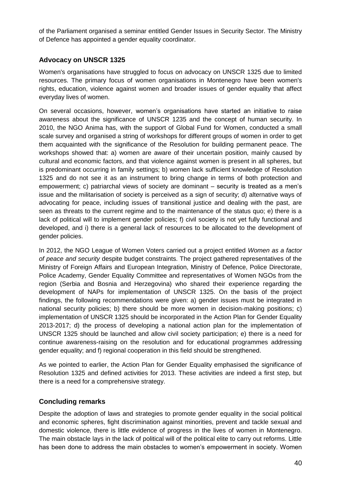of the Parliament organised a seminar entitled Gender Issues in Security Sector. The Ministry of Defence has appointed a gender equality coordinator.

## **Advocacy on UNSCR 1325**

Women's organisations have struggled to focus on advocacy on UNSCR 1325 due to limited resources. The primary focus of women organisations in Montenegro have been women's rights, education, violence against women and broader issues of gender equality that affect everyday lives of women.

On several occasions, however, women's organisations have started an initiative to raise awareness about the significance of UNSCR 1235 and the concept of human security. In 2010, the NGO Anima has, with the support of Global Fund for Women, conducted a small scale survey and organised a string of workshops for different groups of women in order to get them acquainted with the significance of the Resolution for building permanent peace. The workshops showed that: a) women are aware of their uncertain position, mainly caused by cultural and economic factors, and that violence against women is present in all spheres, but is predominant occurring in family settings; b) women lack sufficient knowledge of Resolution 1325 and do not see it as an instrument to bring change in terms of both protection and empowerment; c) patriarchal views of society are dominant – security is treated as a men's issue and the militarisation of society is perceived as a sign of security; d) alternative ways of advocating for peace, including issues of transitional justice and dealing with the past, are seen as threats to the current regime and to the maintenance of the status quo; e) there is a lack of political will to implement gender policies; f) civil society is not yet fully functional and developed, and i) there is a general lack of resources to be allocated to the development of gender policies.

In 2012, the NGO League of Women Voters carried out a project entitled *Women as a factor of peace and security* despite budget constraints. The project gathered representatives of the Ministry of Foreign Affairs and European Integration, Ministry of Defence, Police Directorate, Police Academy, Gender Equality Committee and representatives of Women NGOs from the region (Serbia and Bosnia and Herzegovina) who shared their experience regarding the development of NAPs for implementation of UNSCR 1325. On the basis of the project findings, the following recommendations were given: a) gender issues must be integrated in national security policies; b) there should be more women in decision-making positions; c) implementation of UNSCR 1325 should be incorporated in the Action Plan for Gender Equality 2013-2017; d) the process of developing a national action plan for the implementation of UNSCR 1325 should be launched and allow civil society participation; e) there is a need for continue awareness-raising on the resolution and for educational programmes addressing gender equality; and f) regional cooperation in this field should be strengthened.

As we pointed to earlier, the Action Plan for Gender Equality emphasised the significance of Resolution 1325 and defined activities for 2013. These activities are indeed a first step, but there is a need for a comprehensive strategy.

## **Concluding remarks**

Despite the adoption of laws and strategies to promote gender equality in the social political and economic spheres, fight discrimination against minorities, prevent and tackle sexual and domestic violence, there is little evidence of progress in the lives of women in Montenegro. The main obstacle lays in the lack of political will of the political elite to carry out reforms. Little has been done to address the main obstacles to women's empowerment in society. Women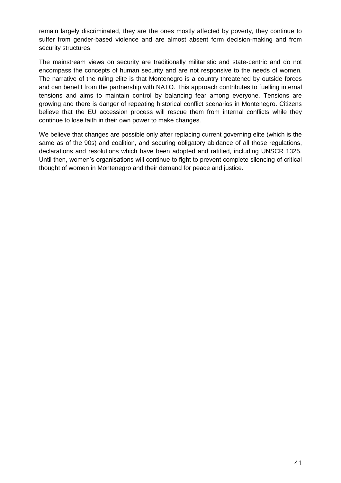remain largely discriminated, they are the ones mostly affected by poverty, they continue to suffer from gender-based violence and are almost absent form decision-making and from security structures.

The mainstream views on security are traditionally militaristic and state-centric and do not encompass the concepts of human security and are not responsive to the needs of women. The narrative of the ruling elite is that Montenegro is a country threatened by outside forces and can benefit from the partnership with NATO. This approach contributes to fuelling internal tensions and aims to maintain control by balancing fear among everyone. Tensions are growing and there is danger of repeating historical conflict scenarios in Montenegro. Citizens believe that the EU accession process will rescue them from internal conflicts while they continue to lose faith in their own power to make changes.

We believe that changes are possible only after replacing current governing elite (which is the same as of the 90s) and coalition, and securing obligatory abidance of all those regulations, declarations and resolutions which have been adopted and ratified, including UNSCR 1325. Until then, women's organisations will continue to fight to prevent complete silencing of critical thought of women in Montenegro and their demand for peace and justice.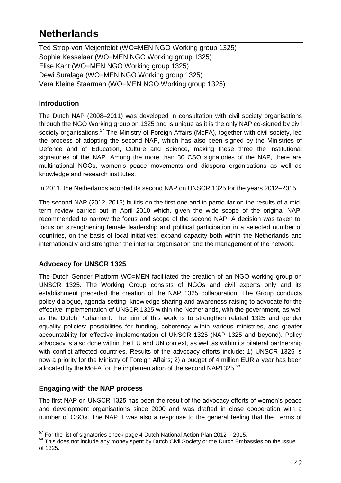# **Netherlands**

Ted Strop-von Meijenfeldt (WO=MEN NGO Working group 1325) Sophie Kesselaar (WO=MEN NGO Working group 1325) Elise Kant (WO=MEN NGO Working group 1325) Dewi Suralaga (WO=MEN NGO Working group 1325) Vera Kleine Staarman (WO=MEN NGO Working group 1325)

## **Introduction**

The Dutch NAP (2008–2011) was developed in consultation with civil society organisations through the NGO Working group on 1325 and is unique as it is the only NAP co-signed by civil society organisations.<sup>57</sup> The Ministry of Foreign Affairs (MoFA), together with civil society, led the process of adopting the second NAP, which has also been signed by the Ministries of Defence and of Education, Culture and Science, making these three the institutional signatories of the NAP. Among the more than 30 CSO signatories of the NAP, there are multinational NGOs, women's peace movements and diaspora organisations as well as knowledge and research institutes.

In 2011, the Netherlands adopted its second NAP on UNSCR 1325 for the years 2012–2015.

The second NAP (2012–2015) builds on the first one and in particular on the results of a midterm review carried out in April 2010 which, given the wide scope of the original NAP, recommended to narrow the focus and scope of the second NAP. A decision was taken to: focus on strengthening female leadership and political participation in a selected number of countries, on the basis of local initiatives; expand capacity both within the Netherlands and internationally and strengthen the internal organisation and the management of the network.

## **Advocacy for UNSCR 1325**

The Dutch Gender Platform WO=MEN facilitated the creation of an NGO working group on UNSCR 1325. The Working Group consists of NGOs and civil experts only and its establishment preceded the creation of the NAP 1325 collaboration. The Group conducts policy dialogue, agenda-setting, knowledge sharing and awareness-raising to advocate for the effective implementation of UNSCR 1325 within the Netherlands, with the government, as well as the Dutch Parliament. The aim of this work is to strengthen related 1325 and gender equality policies: possibilities for funding, coherency within various ministries, and greater accountability for effective implementation of UNSCR 1325 (NAP 1325 and beyond). Policy advocacy is also done within the EU and UN context, as well as within its bilateral partnership with conflict-affected countries. Results of the advocacy efforts include: 1) UNSCR 1325 is now a priority for the Ministry of Foreign Affairs; 2) a budget of 4 million EUR a year has been allocated by the MoFA for the implementation of the second NAP1325.<sup>58</sup>

## **Engaging with the NAP process**

The first NAP on UNSCR 1325 has been the result of the advocacy efforts of women's peace and development organisations since 2000 and was drafted in close cooperation with a number of CSOs. The NAP II was also a response to the general feeling that the Terms of

 $57$  For the list of signatories check page 4 Dutch National Action Plan 2012 – 2015.

 $58$  This does not include any money spent by Dutch Civil Society or the Dutch Embassies on the issue of 1325.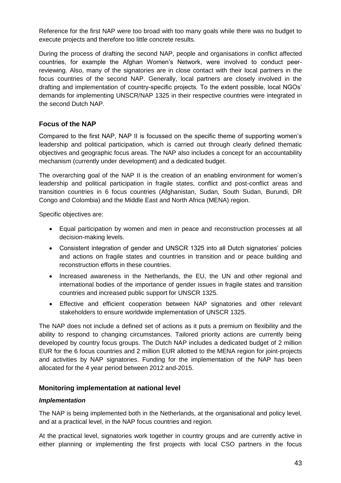Reference for the first NAP were too broad with too many goals while there was no budget to execute projects and therefore too little concrete results.

During the process of drafting the second NAP, people and organisations in conflict affected countries, for example the Afghan Women's Network, were involved to conduct peerreviewing. Also, many of the signatories are in close contact with their local partners in the focus countries of the second NAP. Generally, local partners are closely involved in the drafting and implementation of country-specific projects. To the extent possible, local NGOs' demands for implementing UNSCR/NAP 1325 in their respective countries were integrated in the second Dutch NAP.

## **Focus of the NAP**

Compared to the first NAP, NAP II is focussed on the specific theme of supporting women's leadership and political participation, which is carried out through clearly defined thematic objectives and geographic focus areas. The NAP also includes a concept for an accountability mechanism (currently under development) and a dedicated budget.

The overarching goal of the NAP II is the creation of an enabling environment for women's leadership and political participation in fragile states, conflict and post-conflict areas and transition countries in 6 focus countries (Afghanistan, Sudan, South Sudan, Burundi, DR Congo and Colombia) and the Middle East and North Africa (MENA) region.

Specific objectives are:

- Equal participation by women and men in peace and reconstruction processes at all decision-making levels.
- Consistent integration of gender and UNSCR 1325 into all Dutch signatories' policies and actions on fragile states and countries in transition and or peace building and reconstruction efforts in these countries.
- Increased awareness in the Netherlands, the EU, the UN and other regional and international bodies of the importance of gender issues in fragile states and transition countries and increased public support for UNSCR 1325.
- Effective and efficient cooperation between NAP signatories and other relevant stakeholders to ensure worldwide implementation of UNSCR 1325.

The NAP does not include a defined set of actions as it puts a premium on flexibility and the ability to respond to changing circumstances. Tailored priority actions are currently being developed by country focus groups. The Dutch NAP includes a dedicated budget of 2 million EUR for the 6 focus countries and 2 million EUR allotted to the MENA region for joint-projects and activities by NAP signatories. Funding for the implementation of the NAP has been allocated for the 4 year period between 2012 and-2015.

#### **Monitoring implementation at national level**

#### *Implementation*

The NAP is being implemented both in the Netherlands, at the organisational and policy level, and at a practical level, in the NAP focus countries and region.

At the practical level, signatories work together in country groups and are currently active in either planning or implementing the first projects with local CSO partners in the focus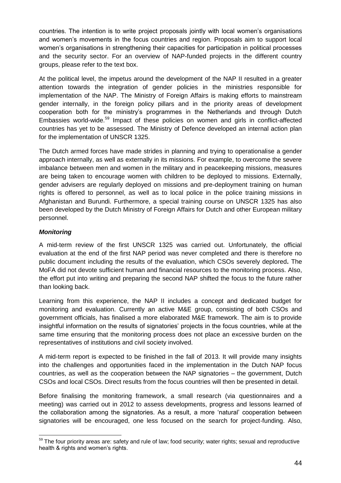countries. The intention is to write project proposals jointly with local women's organisations and women's movements in the focus countries and region. Proposals aim to support local women's organisations in strengthening their capacities for participation in political processes and the security sector. For an overview of NAP-funded projects in the different country groups, please refer to the text box.

At the political level, the impetus around the development of the NAP II resulted in a greater attention towards the integration of gender policies in the ministries responsible for implementation of the NAP. The Ministry of Foreign Affairs is making efforts to mainstream gender internally, in the foreign policy pillars and in the priority areas of development cooperation both for the ministry's programmes in the Netherlands and through Dutch Embassies world-wide.<sup>59</sup> Impact of these policies on women and girls in conflict-affected countries has yet to be assessed. The Ministry of Defence developed an internal action plan for the implementation of UNSCR 1325.

The Dutch armed forces have made strides in planning and trying to operationalise a gender approach internally, as well as externally in its missions. For example, to overcome the severe imbalance between men and women in the military and in peacekeeping missions, measures are being taken to encourage women with children to be deployed to missions. Externally, gender advisers are regularly deployed on missions and pre-deployment training on human rights is offered to personnel, as well as to local police in the police training missions in Afghanistan and Burundi. Furthermore, a special training course on UNSCR 1325 has also been developed by the Dutch Ministry of Foreign Affairs for Dutch and other European military personnel.

#### *Monitoring*

 $\overline{a}$ 

A mid-term review of the first UNSCR 1325 was carried out. Unfortunately, the official evaluation at the end of the first NAP period was never completed and there is therefore no public document including the results of the evaluation, which CSOs severely deplored**.** The MoFA did not devote sufficient human and financial resources to the monitoring process. Also, the effort put into writing and preparing the second NAP shifted the focus to the future rather than looking back.

Learning from this experience, the NAP II includes a concept and dedicated budget for monitoring and evaluation. Currently an active M&E group, consisting of both CSOs and government officials, has finalised a more elaborated M&E framework. The aim is to provide insightful information on the results of signatories' projects in the focus countries, while at the same time ensuring that the monitoring process does not place an excessive burden on the representatives of institutions and civil society involved.

A mid-term report is expected to be finished in the fall of 2013. It will provide many insights into the challenges and opportunities faced in the implementation in the Dutch NAP focus countries, as well as the cooperation between the NAP signatories – the government, Dutch CSOs and local CSOs. Direct results from the focus countries will then be presented in detail.

Before finalising the monitoring framework, a small research (via questionnaires and a meeting) was carried out in 2012 to assess developments, progress and lessons learned of the collaboration among the signatories. As a result, a more 'natural' cooperation between signatories will be encouraged, one less focused on the search for project-funding. Also,

<sup>&</sup>lt;sup>59</sup> The four priority areas are: safety and rule of law; food security; water rights; sexual and reproductive health & rights and women's rights.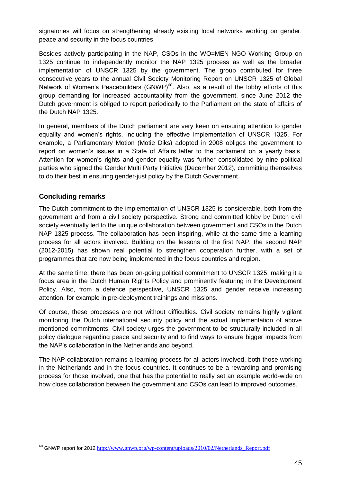signatories will focus on strengthening already existing local networks working on gender, peace and security in the focus countries.

Besides actively participating in the NAP, CSOs in the WO=MEN NGO Working Group on 1325 continue to independently monitor the NAP 1325 process as well as the broader implementation of UNSCR 1325 by the government. The group contributed for three consecutive years to the annual Civil Society Monitoring Report on UNSCR 1325 of Global Network of Women's Peacebuilders (GNWP) $60$ . Also, as a result of the lobby efforts of this group demanding for increased accountability from the government, since June 2012 the Dutch government is obliged to report periodically to the Parliament on the state of affairs of the Dutch NAP 1325.

In general, members of the Dutch parliament are very keen on ensuring attention to gender equality and women's rights, including the effective implementation of UNSCR 1325. For example, a Parliamentary Motion (Motie Diks) adopted in 2008 obliges the government to report on women's issues in a State of Affairs letter to the parliament on a yearly basis. Attention for women's rights and gender equality was further consolidated by nine political parties who signed the Gender Multi Party Initiative (December 2012), committing themselves to do their best in ensuring gender-just policy by the Dutch Government.

## **Concluding remarks**

The Dutch commitment to the implementation of UNSCR 1325 is considerable, both from the government and from a civil society perspective. Strong and committed lobby by Dutch civil society eventually led to the unique collaboration between government and CSOs in the Dutch NAP 1325 process. The collaboration has been inspiring, while at the same time a learning process for all actors involved. Building on the lessons of the first NAP, the second NAP (2012-2015) has shown real potential to strengthen cooperation further, with a set of programmes that are now being implemented in the focus countries and region.

At the same time, there has been on-going political commitment to UNSCR 1325, making it a focus area in the Dutch Human Rights Policy and prominently featuring in the Development Policy. Also, from a defence perspective, UNSCR 1325 and gender receive increasing attention, for example in pre-deployment trainings and missions.

Of course, these processes are not without difficulties. Civil society remains highly vigilant monitoring the Dutch international security policy and the actual implementation of above mentioned commitments. Civil society urges the government to be structurally included in all policy dialogue regarding peace and security and to find ways to ensure bigger impacts from the NAP's collaboration in the Netherlands and beyond.

The NAP collaboration remains a learning process for all actors involved, both those working in the Netherlands and in the focus countries. It continues to be a rewarding and promising process for those involved, one that has the potential to really set an example world-wide on how close collaboration between the government and CSOs can lead to improved outcomes.

 $\overline{a}$ <sup>60</sup> GNWP report for 2012 [http://www.gnwp.org/wp-content/uploads/2010/02/Netherlands\\_Report.pdf](http://www.gnwp.org/wp-content/uploads/2010/02/Netherlands_Report.pdf)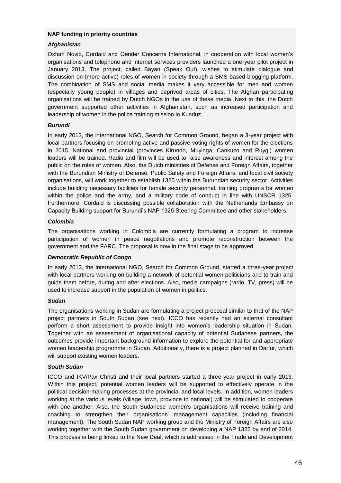#### **NAP funding in priority countries**

#### *Afghanistan*

Oxfam Novib, Cordaid and Gender Concerns International, in cooperation with local women's organisations and telephone and internet services providers launched a one-year pilot project in January 2013. The project, called Bayan (Speak Out), wishes to stimulate dialogue and discussion on (more active) roles of women in society through a SMS-based blogging platform. The combination of SMS and social media makes it very accessible for men and women (especially young people) in villages and deprived areas of cities. The Afghan participating organisations will be trained by Dutch NGOs in the use of these media. Next to this, the Dutch government supported other activities in Afghanistan, such as increased participation and leadership of women in the police training mission in Kunduz.

#### *Burundi*

In early 2013, the international NGO, Search for Common Ground, began a 3-year project with local partners focusing on promoting active and passive voting rights of women for the elections in 2015. National and provincial (provinces Kirundo, Muyinga, Cankuzo and Ruygi) women leaders will be trained. Radio and film will be used to raise awareness and interest among the public on the roles of women. Also, the Dutch ministries of Defense and Foreign Affairs, together with the Burundian Ministry of Defense, Public Safety and Foreign Affairs, and local civil society organisations, will work together to establish 1325 within the Burundian security sector. Activities include building necessary facilities for female security personnel, training programs for women within the police and the army, and a military code of conduct in line with UNSCR 1325. Furthermore, Cordaid is discussing possible collaboration with the Netherlands Embassy on Capacity Building support for Burundi's NAP 1325 Steering Committee and other stakeholders.

#### *Colombia*

The organisations working in Colombia are currently formulating a program to increase participation of women in peace negotiations and promote reconstruction between the government and the FARC. The proposal is now in the final stage to be approved.

#### *Democratic Republic of Congo*

In early 2013, the international NGO, Search for Common Ground, started a three-year project with local partners working on building a network of potential women politicians and to train and guide them before, during and after elections. Also, media campaigns (radio, TV, press) will be used to increase support in the population of women in politics.

#### *Sudan*

The organisations working in Sudan are formulating a project proposal similar to that of the NAP project partners in South Sudan (see next). ICCO has recently had an external consultant perform a short assessment to provide insight into women's leadership situation in Sudan. Together with an assessment of organisational capacity of potential Sudanese partners, the outcomes provide important background information to explore the potential for and appropriate women leadership programme in Sudan. Additionally, there is a project planned in Darfur, which will support existing women leaders.

#### *South Sudan*

ICCO and IKV/Pax Christi and their local partners started a three-year project in early 2013. Within this project, potential women leaders will be supported to effectively operate in the political decision-making processes at the provincial and local levels. In addition, women leaders working at the various levels (village, town, province to national) will be stimulated to cooperate with one another. Also, the South Sudanese women's organisations will receive training and coaching to strengthen their organisations' management capacities (including financial management). The South Sudan NAP working group and the Ministry of Foreign Affairs are also working together with the South Sudan government on developing a NAP 1325 by end of 2014. This process is being linked to the New Deal, which is addressed in the Trade and Development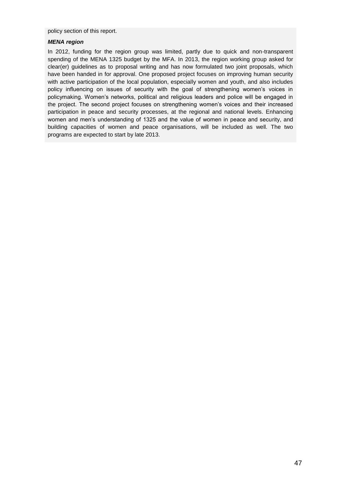policy section of this report.

#### *MENA region*

In 2012, funding for the region group was limited, partly due to quick and non-transparent spending of the MENA 1325 budget by the MFA. In 2013, the region working group asked for clear(er) guidelines as to proposal writing and has now formulated two joint proposals, which have been handed in for approval. One proposed project focuses on improving human security with active participation of the local population, especially women and youth, and also includes policy influencing on issues of security with the goal of strengthening women's voices in policymaking. Women's networks, political and religious leaders and police will be engaged in the project. The second project focuses on strengthening women's voices and their increased participation in peace and security processes, at the regional and national levels. Enhancing women and men's understanding of 1325 and the value of women in peace and security, and building capacities of women and peace organisations, will be included as well. The two programs are expected to start by late 2013.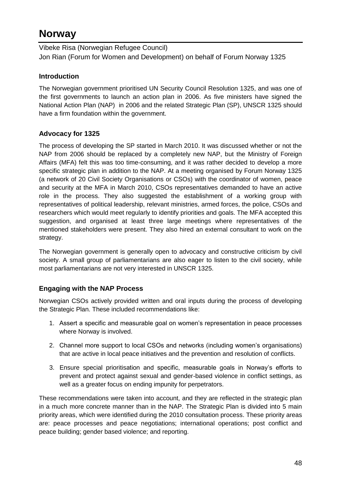## **Norway**

Vibeke Risa (Norwegian Refugee Council) Jon Rian (Forum for Women and Development) on behalf of Forum Norway 1325

## **Introduction**

The Norwegian government prioritised UN Security Council Resolution 1325, and was one of the first governments to launch an action plan in 2006. As five ministers have signed the National Action Plan (NAP) in 2006 and the related Strategic Plan (SP), UNSCR 1325 should have a firm foundation within the government.

## **Advocacy for 1325**

The process of developing the SP started in March 2010. It was discussed whether or not the NAP from 2006 should be replaced by a completely new NAP, but the Ministry of Foreign Affairs (MFA) felt this was too time-consuming, and it was rather decided to develop a more specific strategic plan in addition to the NAP. At a meeting organised by Forum Norway 1325 (a network of 20 Civil Society Organisations or CSOs) with the coordinator of women, peace and security at the MFA in March 2010, CSOs representatives demanded to have an active role in the process. They also suggested the establishment of a working group with representatives of political leadership, relevant ministries, armed forces, the police, CSOs and researchers which would meet regularly to identify priorities and goals. The MFA accepted this suggestion, and organised at least three large meetings where representatives of the mentioned stakeholders were present. They also hired an external consultant to work on the strategy.

The Norwegian government is generally open to advocacy and constructive criticism by civil society. A small group of parliamentarians are also eager to listen to the civil society, while most parliamentarians are not very interested in UNSCR 1325.

## **Engaging with the NAP Process**

Norwegian CSOs actively provided written and oral inputs during the process of developing the Strategic Plan. These included recommendations like:

- 1. Assert a specific and measurable goal on women's representation in peace processes where Norway is involved.
- 2. Channel more support to local CSOs and networks (including women's organisations) that are active in local peace initiatives and the prevention and resolution of conflicts.
- 3. Ensure special prioritisation and specific, measurable goals in Norway's efforts to prevent and protect against sexual and gender-based violence in conflict settings, as well as a greater focus on ending impunity for perpetrators.

These recommendations were taken into account, and they are reflected in the strategic plan in a much more concrete manner than in the NAP. The Strategic Plan is divided into 5 main priority areas, which were identified during the 2010 consultation process. These priority areas are: peace processes and peace negotiations; international operations; post conflict and peace building; gender based violence; and reporting.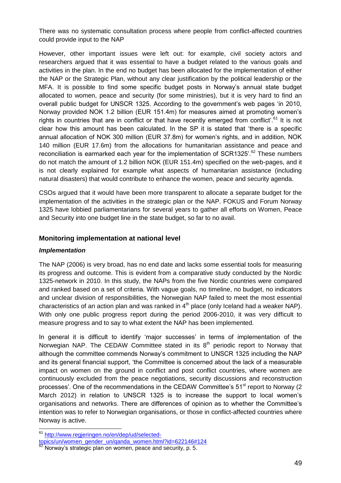There was no systematic consultation process where people from conflict-affected countries could provide input to the NAP

However, other important issues were left out: for example, civil society actors and researchers argued that it was essential to have a budget related to the various goals and activities in the plan. In the end no budget has been allocated for the implementation of either the NAP or the Strategic Plan, without any clear justification by the political leadership or the MFA. It is possible to find some specific budget posts in Norway's annual state budget allocated to women, peace and security (for some ministries), but it is very hard to find an overall public budget for UNSCR 1325. According to the government's web pages 'in 2010, Norway provided NOK 1.2 billion (EUR 151.4m) for measures aimed at promoting women's rights in countries that are in conflict or that have recently emerged from conflict'.<sup>61</sup> It is not clear how this amount has been calculated. In the SP it is stated that 'there is a specific annual allocation of NOK 300 million (EUR 37.8m) for women's rights, and in addition, NOK 140 million (EUR 17.6m) from the allocations for humanitarian assistance and peace and reconciliation is earmarked each year for the implementation of SCR1325'.<sup>62</sup> These numbers do not match the amount of 1.2 billion NOK (EUR 151.4m) specified on the web-pages, and it is not clearly explained for example what aspects of humanitarian assistance (including natural disasters) that would contribute to enhance the women, peace and security agenda.

CSOs argued that it would have been more transparent to allocate a separate budget for the implementation of the activities in the strategic plan or the NAP. FOKUS and Forum Norway 1325 have lobbied parliamentarians for several years to gather all efforts on Women, Peace and Security into one budget line in the state budget, so far to no avail.

#### **Monitoring implementation at national level**

#### *Implementation*

The NAP (2006) is very broad, has no end date and lacks some essential tools for measuring its progress and outcome. This is evident from a comparative study conducted by the Nordic 1325-network in 2010. In this study, the NAPs from the five Nordic countries were compared and ranked based on a set of criteria. With vague goals, no timeline, no budget, no indicators and unclear division of responsibilities, the Norwegian NAP failed to meet the most essential characteristics of an action plan and was ranked in  $4<sup>th</sup>$  place (only Iceland had a weaker NAP). With only one public progress report during the period 2006-2010, it was very difficult to measure progress and to say to what extent the NAP has been implemented.

In general it is difficult to identify 'major successes' in terms of implementation of the Norwegian NAP. The CEDAW Committee stated in its  $8<sup>th</sup>$  periodic report to Norway that although the committee commends Norway's commitment to UNSCR 1325 including the NAP and its general financial support, 'the Committee is concerned about the lack of a measurable impact on women on the ground in conflict and post conflict countries, where women are continuously excluded from the peace negotiations, security discussions and reconstruction processes'. One of the recommendations in the CEDAW Committee's 51<sup>st</sup> report to Norway (2) March 2012) in relation to UNSCR 1325 is to increase the support to local women's organisations and networks. There are differences of opinion as to whether the Committee's intention was to refer to Norwegian organisations, or those in conflict-affected countries where Norway is active.

<sup>&</sup>lt;sup>61</sup> [http://www.regjeringen.no/en/dep/ud/selected-](http://www.regjeringen.no/en/dep/ud/selected-topics/un/women_gender_un/qanda_women.html?id=622146#124)

[topics/un/women\\_gender\\_un/qanda\\_women.html?id=622146#124](http://www.regjeringen.no/en/dep/ud/selected-topics/un/women_gender_un/qanda_women.html?id=622146#124)

Norway's strategic plan on women, peace and security, p. 5.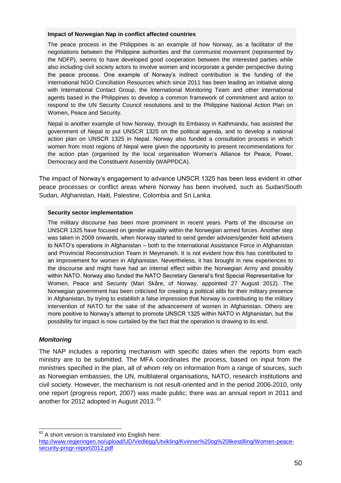#### **Impact of Norwegian Nap in conflict affected countries**

The peace process in the Philippines is an example of how Norway, as a facilitator of the negotiations between the Philippine authorities and the communist movement (represented by the NDFP), seems to have developed good cooperation between the interested parties while also including civil society actors to involve women and incorporate a gender perspective during the peace process. One example of Norway's indirect contribution is the funding of the international NGO Conciliation Resources which since 2011 has been leading an initiative along with International Contact Group, the International Monitoring Team and other international agents based in the Philippines to develop a common framework of commitment and action to respond to the UN Security Council resolutions and to the Philippine National Action Plan on Women, Peace and Security.

Nepal is another example of how Norway, through its Embassy in Kathmandu, has assisted the government of Nepal to put UNSCR 1325 on the political agenda, and to develop a national action plan on UNSCR 1325 in Nepal. Norway also funded a consultation process in which women from most regions of Nepal were given the opportunity to present recommendations for the action plan (organised by the local organisation Women's Alliance for Peace, Power, Democracy and the Constituent Assembly (WAPPDCA).

The impact of Norway's engagement to advance UNSCR 1325 has been less evident in other peace processes or conflict areas where Norway has been involved, such as Sudan/South Sudan, Afghanistan, Haiti, Palestine, Colombia and Sri Lanka.

#### **Security sector implementation**

The military discourse has been more prominent in recent years. Parts of the discourse on UNSCR 1325 have focused on gender equality within the Norwegian armed forces. Another step was taken in 2009 onwards, when Norway started to send gender advisers/gender field advisers to NATO's operations in Afghanistan – both to the International Assistance Force in Afghanistan and Provincial Reconstruction Team in Meymaneh. It is not evident how this has contributed to an improvement for women in Afghanistan. Nevertheless, it has brought in new experiences to the discourse and might have had an internal effect within the Norwegian Army and possibly within NATO. Norway also funded the NATO Secretary General's first Special Representative for Women, Peace and Security (Mari Skåre, of Norway, appointed 27 August 2012). The Norwegian government has been criticised for creating a political alibi for their military presence in Afghanistan, by trying to establish a false impression that Norway is contributing to the military intervention of NATO for the sake of the advancement of women in Afghanistan. Others are more positive to Norway's attempt to promote UNSCR 1325 within NATO in Afghanistan, but the possibility for impact is now curtailed by the fact that the operation is drawing to its end.

#### *Monitoring*

The NAP includes a reporting mechanism with specific dates when the reports from each ministry are to be submitted. The MFA coordinates the process, based on input from the ministries specified in the plan, all of whom rely on information from a range of sources, such as Norwegian embassies, the UN, multilateral organisations, NATO, research institutions and civil society. However, the mechanism is not result-oriented and in the period 2006-2010, only one report (progress report, 2007) was made public; there was an annual report in 2011 and another for 2012 adopted in August 2013. <sup>63</sup>

 $63$  A short version is translated into English here:

[http://www.regjeringen.no/upload/UD/Vedlegg/Utvikling/Kvinner%20og%20likestilling/Women-peace](http://www.regjeringen.no/upload/UD/Vedlegg/Utvikling/Kvinner%20og%20likestilling/Women-peace-security-progr-report2012.pdf)[security-progr-report2012.pdf](http://www.regjeringen.no/upload/UD/Vedlegg/Utvikling/Kvinner%20og%20likestilling/Women-peace-security-progr-report2012.pdf)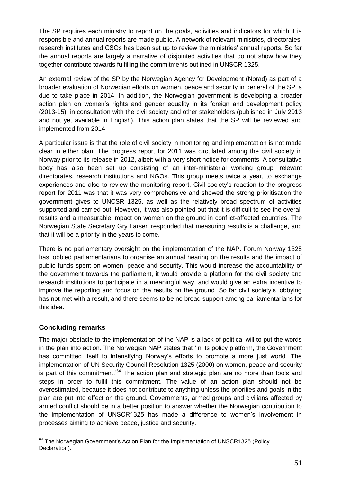The SP requires each ministry to report on the goals, activities and indicators for which it is responsible and annual reports are made public. A network of relevant ministries, directorates, research institutes and CSOs has been set up to review the ministries' annual reports. So far the annual reports are largely a narrative of disjointed activities that do not show how they together contribute towards fulfilling the commitments outlined in UNSCR 1325.

An external review of the SP by the Norwegian Agency for Development (Norad) as part of a broader evaluation of Norwegian efforts on women, peace and security in general of the SP is due to take place in 2014. In addition, the Norwegian government is developing a broader action plan on women's rights and gender equality in its foreign and development policy (2013-15), in consultation with the civil society and other stakeholders (published in July 2013 and not yet available in English). This action plan states that the SP will be reviewed and implemented from 2014.

A particular issue is that the role of civil society in monitoring and implementation is not made clear in either plan. The progress report for 2011 was circulated among the civil society in Norway prior to its release in 2012, albeit with a very short notice for comments. A consultative body has also been set up consisting of an inter-ministerial working group, relevant directorates, research institutions and NGOs. This group meets twice a year, to exchange experiences and also to review the monitoring report. Civil society's reaction to the progress report for 2011 was that it was very comprehensive and showed the strong prioritisation the government gives to UNCSR 1325, as well as the relatively broad spectrum of activities supported and carried out. However, it was also pointed out that it is difficult to see the overall results and a measurable impact on women on the ground in conflict-affected countries. The Norwegian State Secretary Gry Larsen responded that measuring results is a challenge, and that it will be a priority in the years to come.

There is no parliamentary oversight on the implementation of the NAP. Forum Norway 1325 has lobbied parliamentarians to organise an annual hearing on the results and the impact of public funds spent on women, peace and security. This would increase the accountability of the government towards the parliament, it would provide a platform for the civil society and research institutions to participate in a meaningful way, and would give an extra incentive to improve the reporting and focus on the results on the ground. So far civil society's lobbying has not met with a result, and there seems to be no broad support among parliamentarians for this idea.

## **Concluding remarks**

 $\overline{\phantom{a}}$ 

The major obstacle to the implementation of the NAP is a lack of political will to put the words in the plan into action. The Norwegian NAP states that 'In its policy platform, the Government has committed itself to intensifying Norway's efforts to promote a more just world. The implementation of UN Security Council Resolution 1325 (2000) on women, peace and security is part of this commitment.'<sup>64</sup> The action plan and strategic plan are no more than tools and steps in order to fulfil this commitment. The value of an action plan should not be overestimated, because it does not contribute to anything unless the priorities and goals in the plan are put into effect on the ground. Governments, armed groups and civilians affected by armed conflict should be in a better position to answer whether the Norwegian contribution to the implementation of UNSCR1325 has made a difference to women's involvement in processes aiming to achieve peace, justice and security.

 $64$  The Norwegian Government's Action Plan for the Implementation of UNSCR1325 (Policy Declaration).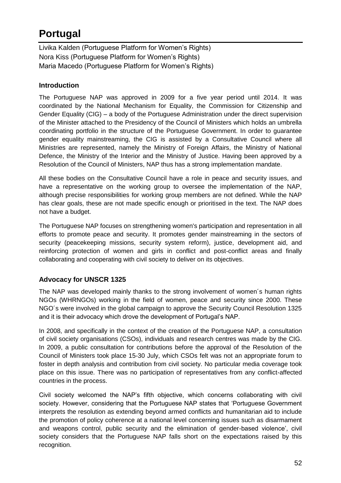# **Portugal**

Livika Kalden (Portuguese Platform for Women's Rights) Nora Kiss (Portuguese Platform for Women's Rights) Maria Macedo (Portuguese Platform for Women's Rights)

## **Introduction**

The Portuguese NAP was approved in 2009 for a five year period until 2014. It was coordinated by the National Mechanism for Equality, the Commission for Citizenship and Gender Equality (CIG) – a body of the Portuguese Administration under the direct supervision of the Minister attached to the Presidency of the Council of Ministers which holds an umbrella coordinating portfolio in the structure of the Portuguese Government. In order to guarantee gender equality mainstreaming, the CIG is assisted by a Consultative Council where all Ministries are represented, namely the Ministry of Foreign Affairs, the Ministry of National Defence, the Ministry of the Interior and the Ministry of Justice. Having been approved by a Resolution of the Council of Ministers, NAP thus has a strong implementation mandate.

All these bodies on the Consultative Council have a role in peace and security issues, and have a representative on the working group to oversee the implementation of the NAP, although precise responsibilities for working group members are not defined. While the NAP has clear goals, these are not made specific enough or prioritised in the text. The NAP does not have a budget.

The Portuguese NAP focuses on strengthening women's participation and representation in all efforts to promote peace and security. It promotes gender mainstreaming in the sectors of security (peacekeeping missions, security system reform), justice, development aid, and reinforcing protection of women and girls in conflict and post-conflict areas and finally collaborating and cooperating with civil society to deliver on its objectives.

## **Advocacy for UNSCR 1325**

The NAP was developed mainly thanks to the strong involvement of women´s human rights NGOs (WHRNGOs) working in the field of women, peace and security since 2000. These NGO´s were involved in the global campaign to approve the Security Council Resolution 1325 and it is their advocacy which drove the development of Portugal's NAP.

In 2008, and specifically in the context of the creation of the Portuguese NAP, a consultation of civil society organisations (CSOs), individuals and research centres was made by the CIG. In 2009, a public consultation for contributions before the approval of the Resolution of the Council of Ministers took place 15-30 July, which CSOs felt was not an appropriate forum to foster in depth analysis and contribution from civil society. No particular media coverage took place on this issue. There was no participation of representatives from any conflict-affected countries in the process.

Civil society welcomed the NAP's fifth objective, which concerns collaborating with civil society. However, considering that the Portuguese NAP states that 'Portuguese Government interprets the resolution as extending beyond armed conflicts and humanitarian aid to include the promotion of policy coherence at a national level concerning issues such as disarmament and weapons control, public security and the elimination of gender-based violence', civil society considers that the Portuguese NAP falls short on the expectations raised by this recognition.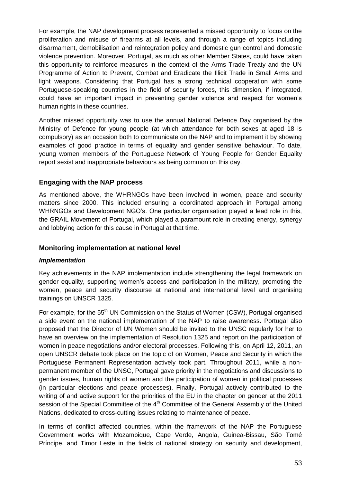For example, the NAP development process represented a missed opportunity to focus on the proliferation and misuse of firearms at all levels, and through a range of topics including disarmament, demobilisation and reintegration policy and domestic gun control and domestic violence prevention. Moreover, Portugal, as much as other Member States, could have taken this opportunity to reinforce measures in the context of the Arms Trade Treaty and the UN Programme of Action to Prevent, Combat and Eradicate the Illicit Trade in Small Arms and light weapons. Considering that Portugal has a strong technical cooperation with some Portuguese-speaking countries in the field of security forces, this dimension, if integrated, could have an important impact in preventing gender violence and respect for women's human rights in these countries.

Another missed opportunity was to use the annual National Defence Day organised by the Ministry of Defence for young people (at which attendance for both sexes at aged 18 is compulsory) as an occasion both to communicate on the NAP and to implement it by showing examples of good practice in terms of equality and gender sensitive behaviour. To date, young women members of the Portuguese Network of Young People for Gender Equality report sexist and inappropriate behaviours as being common on this day.

#### **Engaging with the NAP process**

As mentioned above, the WHRNGOs have been involved in women, peace and security matters since 2000. This included ensuring a coordinated approach in Portugal among WHRNGOs and Development NGO's. One particular organisation played a lead role in this, the GRAIL Movement of Portugal, which played a paramount role in creating energy, synergy and lobbying action for this cause in Portugal at that time.

#### **Monitoring implementation at national level**

#### *Implementation*

Key achievements in the NAP implementation include strengthening the legal framework on gender equality, supporting women's access and participation in the military, promoting the women, peace and security discourse at national and international level and organising trainings on UNSCR 1325.

For example, for the 55<sup>th</sup> UN Commission on the Status of Women (CSW), Portugal organised a side event on the national implementation of the NAP to raise awareness. Portugal also proposed that the Director of UN Women should be invited to the UNSC regularly for her to have an overview on the implementation of Resolution 1325 and report on the participation of women in peace negotiations and/or electoral processes. Following this, on April 12, 2011, an open UNSCR debate took place on the topic of on Women, Peace and Security in which the Portuguese Permanent Representation actively took part. Throughout 2011, while a nonpermanent member of the UNSC, Portugal gave priority in the negotiations and discussions to gender issues, human rights of women and the participation of women in political processes (in particular elections and peace processes). Finally, Portugal actively contributed to the writing of and active support for the priorities of the EU in the chapter on gender at the 2011 session of the Special Committee of the 4<sup>th</sup> Committee of the General Assembly of the United Nations, dedicated to cross-cutting issues relating to maintenance of peace.

In terms of conflict affected countries, within the framework of the NAP the Portuguese Government works with Mozambique, Cape Verde, Angola, Guinea-Bissau, São Tomé Príncipe, and Timor Leste in the fields of national strategy on security and development,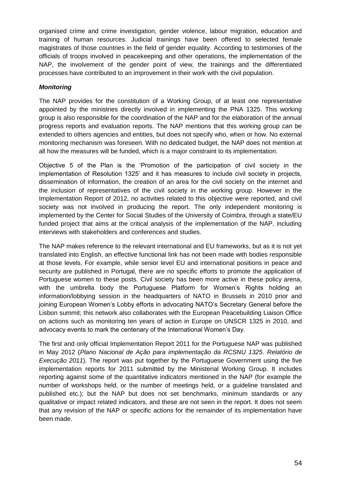organised crime and crime investigation, gender violence, labour migration, education and training of human resources. Judicial trainings have been offered to selected female magistrates of those countries in the field of gender equality. According to testimonies of the officials of troops involved in peacekeeping and other operations, the implementation of the NAP, the involvement of the gender point of view, the trainings and the differentiated processes have contributed to an improvement in their work with the civil population.

### *Monitoring*

The NAP provides for the constitution of a Working Group, of at least one representative appointed by the ministries directly involved in implementing the PNA 1325. This working group is also responsible for the coordination of the NAP and for the elaboration of the annual progress reports and evaluation reports. The NAP mentions that this working group can be extended to others agencies and entities, but does not specify who, when or how. No external monitoring mechanism was foreseen. With no dedicated budget, the NAP does not mention at all how the measures will be funded, which is a major constraint to its implementation.

Objective 5 of the Plan is the 'Promotion of the participation of civil society in the implementation of Resolution 1325' and it has measures to include civil society in projects, dissemination of information, the creation of an area for the civil society on the internet and the inclusion of representatives of the civil society in the working group. However in the Implementation Report of 2012, no activities related to this objective were reported, and civil society was not involved in producing the report. The only independent monitoring is implemented by the Center for Social Studies of the University of Coimbra, through a state/EU funded project that aims at the critical analysis of the implementation of the NAP, including interviews with stakeholders and conferences and studies.

The NAP makes reference to the relevant international and EU frameworks, but as it is not yet translated into English, an effective functional link has not been made with bodies responsible at those levels. For example, while senior level EU and international positions in peace and security are published in Portugal, there are no specific efforts to promote the application of Portuguese women to these posts. Civil society has been more active in these policy arena, with the umbrella body the Portuguese Platform for Women's Rights holding an information/lobbying session in the headquarters of NATO in Brussels in 2010 prior and joining European Women's Lobby efforts in advocating NATO's Secretary General before the Lisbon summit; this network also collaborates with the European Peacebuilding Liaison Office on actions such as monitoring ten years of action in Europe on UNSCR 1325 in 2010, and advocacy events to mark the centenary of the International Women's Day.

The first and only official Implementation Report 2011 for the Portuguese NAP was published in May 2012 (*Plano Nacional de Ação para implementação da RCSNU 1325*. *Relatório de Execução 2011*). The report was put together by the Portuguese Government using the five implementation reports for 2011 submitted by the Ministerial Working Group. It includes reporting against some of the quantitative indicators mentioned in the NAP (for example the number of workshops held, or the number of meetings held, or a guideline translated and published etc.); but the NAP but does not set benchmarks, minimum standards or any qualitative or impact related indicators, and these are not seen in the report. It does not seem that any revision of the NAP or specific actions for the remainder of its implementation have been made.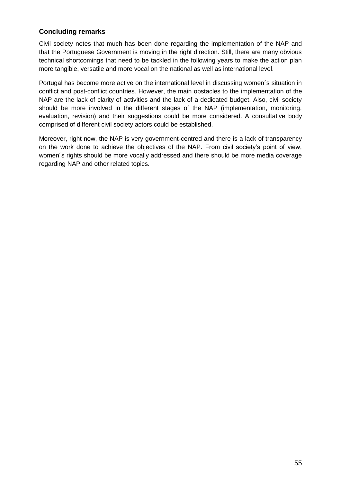## **Concluding remarks**

Civil society notes that much has been done regarding the implementation of the NAP and that the Portuguese Government is moving in the right direction. Still, there are many obvious technical shortcomings that need to be tackled in the following years to make the action plan more tangible, versatile and more vocal on the national as well as international level.

Portugal has become more active on the international level in discussing women´s situation in conflict and post-conflict countries. However, the main obstacles to the implementation of the NAP are the lack of clarity of activities and the lack of a dedicated budget. Also, civil society should be more involved in the different stages of the NAP (implementation, monitoring, evaluation, revision) and their suggestions could be more considered. A consultative body comprised of different civil society actors could be established.

Moreover, right now, the NAP is very government-centred and there is a lack of transparency on the work done to achieve the objectives of the NAP. From civil society's point of view, women´s rights should be more vocally addressed and there should be more media coverage regarding NAP and other related topics.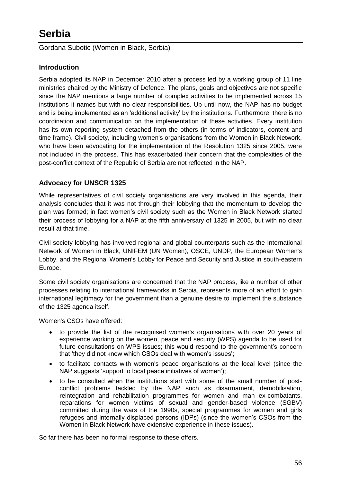Gordana Subotic (Women in Black, Serbia)

## **Introduction**

Serbia adopted its NAP in December 2010 after a process led by a working group of 11 line ministries chaired by the Ministry of Defence. The plans, goals and objectives are not specific since the NAP mentions a large number of complex activities to be implemented across 15 institutions it names but with no clear responsibilities. Up until now, the NAP has no budget and is being implemented as an 'additional activity' by the institutions. Furthermore, there is no coordination and communication on the implementation of these activities. Every institution has its own reporting system detached from the others (in terms of indicators, content and time frame). Civil society, including women's organisations from the Women in Black Network, who have been advocating for the implementation of the Resolution 1325 since 2005, were not included in the process. This has exacerbated their concern that the complexities of the post-conflict context of the Republic of Serbia are not reflected in the NAP.

## **Advocacy for UNSCR 1325**

While representatives of civil society organisations are very involved in this agenda, their analysis concludes that it was not through their lobbying that the momentum to develop the plan was formed; in fact women's civil society such as the Women in Black Network started their process of lobbying for a NAP at the fifth anniversary of 1325 in 2005, but with no clear result at that time.

Civil society lobbying has involved regional and global counterparts such as the International Network of Women in Black, UNIFEM (UN Women), OSCE, UNDP, the European Women's Lobby, and the Regional Women's Lobby for Peace and Security and Justice in south-eastern Europe.

Some civil society organisations are concerned that the NAP process, like a number of other processes relating to international frameworks in Serbia, represents more of an effort to gain international legitimacy for the government than a genuine desire to implement the substance of the 1325 agenda itself.

Women's CSOs have offered:

- to provide the list of the recognised women's organisations with over 20 years of experience working on the women, peace and security (WPS) agenda to be used for future consultations on WPS issues; this would respond to the government's concern that 'they did not know which CSOs deal with women's issues';
- to facilitate contacts with women's peace organisations at the local level (since the NAP suggests 'support to local peace initiatives of women');
- to be consulted when the institutions start with some of the small number of postconflict problems tackled by the NAP such as disarmament, demobilisation, reintegration and rehabilitation programmes for women and man ex-combatants, reparations for women victims of sexual and gender-based violence (SGBV) committed during the wars of the 1990s, special programmes for women and girls refugees and internally displaced persons (IDPs) (since the women's CSOs from the Women in Black Network have extensive experience in these issues).

So far there has been no formal response to these offers.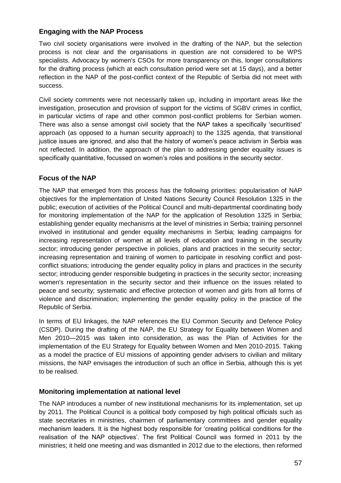## **Engaging with the NAP Process**

Two civil society organisations were involved in the drafting of the NAP, but the selection process is not clear and the organisations in question are not considered to be WPS specialists. Advocacy by women's CSOs for more transparency on this, longer consultations for the drafting process (which at each consultation period were set at 15 days), and a better reflection in the NAP of the post-conflict context of the Republic of Serbia did not meet with success.

Civil society comments were not necessarily taken up, including in important areas like the investigation, prosecution and provision of support for the victims of SGBV crimes in conflict, in particular victims of rape and other common post-conflict problems for Serbian women. There was also a sense amongst civil society that the NAP takes a specifically 'securitised' approach (as opposed to a human security approach) to the 1325 agenda, that transitional justice issues are ignored, and also that the history of women's peace activism in Serbia was not reflected. In addition, the approach of the plan to addressing gender equality issues is specifically quantitative, focussed on women's roles and positions in the security sector.

## **Focus of the NAP**

The NAP that emerged from this process has the following priorities: popularisation of NAP objectives for the implementation of United Nations Security Council Resolution 1325 in the public; execution of activities of the Political Council and multi-departmental coordinating body for monitoring implementation of the NAP for the application of Resolution 1325 in Serbia; establishing gender equality mechanisms at the level of ministries in Serbia; training personnel involved in institutional and gender equality mechanisms in Serbia; leading campaigns for increasing representation of women at all levels of education and training in the security sector; introducing gender perspective in policies, plans and practices in the security sector; increasing representation and training of women to participate in resolving conflict and postconflict situations; introducing the gender equality policy in plans and practices in the security sector; introducing gender responsible budgeting in practices in the security sector; increasing women's representation in the security sector and their influence on the issues related to peace and security; systematic and effective protection of women and girls from all forms of violence and discrimination; implementing the gender equality policy in the practice of the Republic of Serbia.

In terms of EU linkages, the NAP references the EU Common Security and Defence Policy (CSDP). During the drafting of the NAP, the EU Strategy for Equality between Women and Men 2010—2015 was taken into consideration, as was the Plan of Activities for the implementation of the EU Strategy for Equality between Women and Men 2010-2015. Taking as a model the practice of EU missions of appointing gender advisers to civilian and military missions, the NAP envisages the introduction of such an office in Serbia, although this is yet to be realised.

#### **Monitoring implementation at national level**

The NAP introduces a number of new institutional mechanisms for its implementation, set up by 2011. The Political Council is a political body composed by high political officials such as state secretaries in ministries, chairmen of parliamentary committees and gender equality mechanism leaders. It is the highest body responsible for 'creating political conditions for the realisation of the NAP objectives'. The first Political Council was formed in 2011 by the ministries; it held one meeting and was dismantled in 2012 due to the elections, then reformed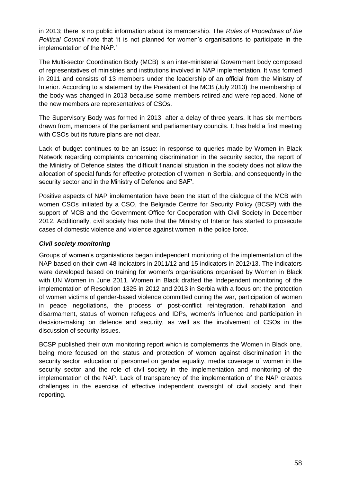in 2013; there is no public information about its membership. The *Rules of Procedures of the Political Council* note that 'it is not planned for women's organisations to participate in the implementation of the NAP.'

The Multi-sector Coordination Body (MCB) is an inter-ministerial Government body composed of representatives of ministries and institutions involved in NAP implementation. It was formed in 2011 and consists of 13 members under the leadership of an official from the Ministry of Interior. According to a statement by the President of the MCB (July 2013) the membership of the body was changed in 2013 because some members retired and were replaced. None of the new members are representatives of CSOs.

The Supervisory Body was formed in 2013, after a delay of three years. It has six members drawn from, members of the parliament and parliamentary councils. It has held a first meeting with CSOs but its future plans are not clear.

Lack of budget continues to be an issue: in response to queries made by Women in Black Network regarding complaints concerning discrimination in the security sector, the report of the Ministry of Defence states *'*the difficult financial situation in the society does not allow the allocation of special funds for effective protection of women in Serbia, and consequently in the security sector and in the Ministry of Defence and SAF'.

Positive aspects of NAP implementation have been the start of the dialogue of the MCB with women CSOs initiated by a CSO, the Belgrade Centre for Security Policy (BCSP) with the support of MCB and the Government Office for Cooperation with Civil Society in December 2012. Additionally, civil society has note that the Ministry of Interior has started to prosecute cases of domestic violence and violence against women in the police force.

#### *Civil society monitoring*

Groups of women's organisations began independent monitoring of the implementation of the NAP based on their own 48 indicators in 2011/12 and 15 indicators in 2012/13. The indicators were developed based on training for women's organisations organised by Women in Black with UN Women in June 2011. Women in Black drafted the Independent monitoring of the implementation of Resolution 1325 in 2012 and 2013 in Serbia with a focus on: the protection of women victims of gender-based violence committed during the war, participation of women in peace negotiations, the process of post-conflict reintegration, rehabilitation and disarmament, status of women refugees and IDPs, women's influence and participation in decision-making on defence and security, as well as the involvement of CSOs in the discussion of security issues.

BCSP published their own monitoring report which is complements the Women in Black one, being more focused on the status and protection of women against discrimination in the security sector, education of personnel on gender equality, media coverage of women in the security sector and the role of civil society in the implementation and monitoring of the implementation of the NAP. Lack of transparency of the implementation of the NAP creates challenges in the exercise of effective independent oversight of civil society and their reporting.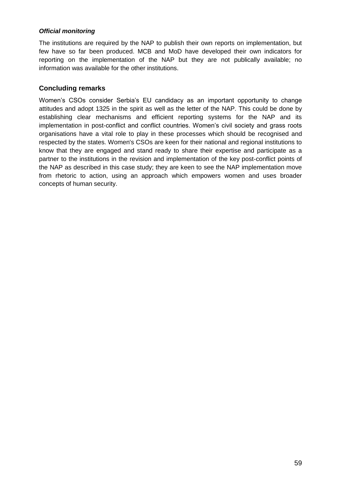#### *Official monitoring*

The institutions are required by the NAP to publish their own reports on implementation, but few have so far been produced. MCB and MoD have developed their own indicators for reporting on the implementation of the NAP but they are not publically available; no information was available for the other institutions.

#### **Concluding remarks**

Women's CSOs consider Serbia's EU candidacy as an important opportunity to change attitudes and adopt 1325 in the spirit as well as the letter of the NAP. This could be done by establishing clear mechanisms and efficient reporting systems for the NAP and its implementation in post-conflict and conflict countries. Women's civil society and grass roots organisations have a vital role to play in these processes which should be recognised and respected by the states. Women's CSOs are keen for their national and regional institutions to know that they are engaged and stand ready to share their expertise and participate as a partner to the institutions in the revision and implementation of the key post-conflict points of the NAP as described in this case study; they are keen to see the NAP implementation move from rhetoric to action, using an approach which empowers women and uses broader concepts of human security.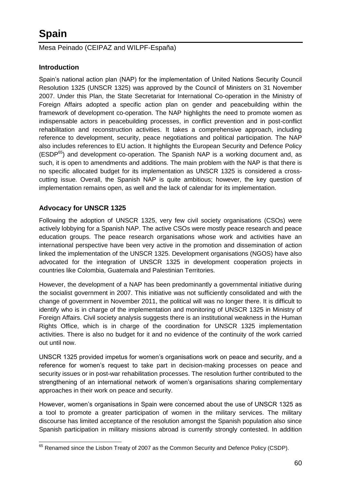## Mesa Peinado (CEIPAZ and WILPF-España)

## **Introduction**

Spain's national action plan (NAP) for the implementation of United Nations Security Council Resolution 1325 (UNSCR 1325) was approved by the Council of Ministers on 31 November 2007. Under this Plan, the State Secretariat for International Co-operation in the Ministry of Foreign Affairs adopted a specific action plan on gender and peacebuilding within the framework of development co-operation. The NAP highlights the need to promote women as indispensable actors in peacebuilding processes, in conflict prevention and in post-conflict rehabilitation and reconstruction activities. It takes a comprehensive approach, including reference to development, security, peace negotiations and political participation. The NAP also includes references to EU action. It highlights the European Security and Defence Policy  $(ESDP<sup>65</sup>)$  and development co-operation. The Spanish NAP is a working document and, as such, it is open to amendments and additions. The main problem with the NAP is that there is no specific allocated budget for its implementation as UNSCR 1325 is considered a crosscutting issue. Overall, the Spanish NAP is quite ambitious; however, the key question of implementation remains open, as well and the lack of calendar for its implementation.

## **Advocacy for UNSCR 1325**

Following the adoption of UNSCR 1325, very few civil society organisations (CSOs) were actively lobbying for a Spanish NAP. The active CSOs were mostly peace research and peace education groups. The peace research organisations whose work and activities have an international perspective have been very active in the promotion and dissemination of action linked the implementation of the UNSCR 1325. Development organisations (NGOS) have also advocated for the integration of UNSCR 1325 in development cooperation projects in countries like Colombia, Guatemala and Palestinian Territories.

However, the development of a NAP has been predominantly a governmental initiative during the socialist government in 2007. This initiative was not sufficiently consolidated and with the change of government in November 2011, the political will was no longer there. It is difficult to identify who is in charge of the implementation and monitoring of UNSCR 1325 in Ministry of Foreign Affairs. Civil society analysis suggests there is an institutional weakness in the Human Rights Office, which is in charge of the coordination for UNSCR 1325 implementation activities. There is also no budget for it and no evidence of the continuity of the work carried out until now.

UNSCR 1325 provided impetus for women's organisations work on peace and security, and a reference for women's request to take part in decision-making processes on peace and security issues or in post-war rehabilitation processes. The resolution further contributed to the strengthening of an international network of women's organisations sharing complementary approaches in their work on peace and security.

However, women's organisations in Spain were concerned about the use of UNSCR 1325 as a tool to promote a greater participation of women in the military services. The military discourse has limited acceptance of the resolution amongst the Spanish population also since Spanish participation in military missions abroad is currently strongly contested. In addition

 $\overline{\phantom{a}}$  $^{65}$  Renamed since the Lisbon Treaty of 2007 as the Common Security and Defence Policy (CSDP).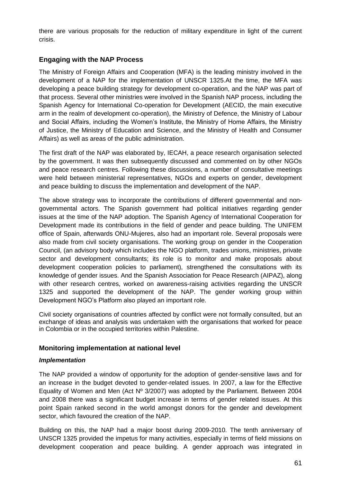there are various proposals for the reduction of military expenditure in light of the current crisis.

## **Engaging with the NAP Process**

The Ministry of Foreign Affairs and Cooperation (MFA) is the leading ministry involved in the development of a NAP for the implementation of UNSCR 1325.At the time, the MFA was developing a peace building strategy for development co-operation, and the NAP was part of that process. Several other ministries were involved in the Spanish NAP process, including the Spanish Agency for International Co-operation for Development (AECID, the main executive arm in the realm of development co-operation), the Ministry of Defence, the Ministry of Labour and Social Affairs, including the Women's Institute, the Ministry of Home Affairs, the Ministry of Justice, the Ministry of Education and Science, and the Ministry of Health and Consumer Affairs) as well as areas of the public administration.

The first draft of the NAP was elaborated by, IECAH, a peace research organisation selected by the government. It was then subsequently discussed and commented on by other NGOs and peace research centres. Following these discussions, a number of consultative meetings were held between ministerial representatives, NGOs and experts on gender, development and peace building to discuss the implementation and development of the NAP.

The above strategy was to incorporate the contributions of different governmental and nongovernmental actors. The Spanish government had political initiatives regarding gender issues at the time of the NAP adoption. The Spanish Agency of International Cooperation for Development made its contributions in the field of gender and peace building. The UNIFEM office of Spain, afterwards ONU-Mujeres, also had an important role. Several proposals were also made from civil society organisations. The working group on gender in the Cooperation Council, (an advisory body which includes the NGO platform, trades unions, ministries, private sector and development consultants; its role is to monitor and make proposals about development cooperation policies to parliament), strengthened the consultations with its knowledge of gender issues. And the Spanish Association for Peace Research (AIPAZ), along with other research centres, worked on awareness-raising activities regarding the UNSCR 1325 and supported the development of the NAP. The gender working group within Development NGO's Platform also played an important role.

Civil society organisations of countries affected by conflict were not formally consulted, but an exchange of ideas and analysis was undertaken with the organisations that worked for peace in Colombia or in the occupied territories within Palestine.

#### **Monitoring implementation at national level**

#### *Implementation*

The NAP provided a window of opportunity for the adoption of gender-sensitive laws and for an increase in the budget devoted to gender-related issues. In 2007, a law for the Effective Equality of Women and Men (Act  $N^{\circ}$  3/2007) was adopted by the Parliament. Between 2004 and 2008 there was a significant budget increase in terms of gender related issues. At this point Spain ranked second in the world amongst donors for the gender and development sector, which favoured the creation of the NAP.

Building on this, the NAP had a major boost during 2009-2010. The tenth anniversary of UNSCR 1325 provided the impetus for many activities, especially in terms of field missions on development cooperation and peace building. A gender approach was integrated in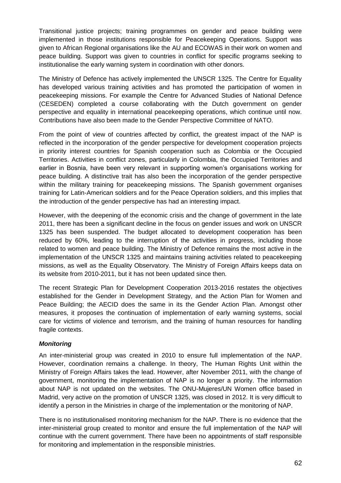Transitional justice projects; training programmes on gender and peace building were implemented in those institutions responsible for Peacekeeping Operations. Support was given to African Regional organisations like the AU and ECOWAS in their work on women and peace building. Support was given to countries in conflict for specific programs seeking to institutionalise the early warning system in coordination with other donors.

The Ministry of Defence has actively implemented the UNSCR 1325. The Centre for Equality has developed various training activities and has promoted the participation of women in peacekeeping missions. For example the Centre for Advanced Studies of National Defence (CESEDEN) completed a course collaborating with the Dutch government on gender perspective and equality in international peacekeeping operations, which continue until now. Contributions have also been made to the Gender Perspective Committee of NATO.

From the point of view of countries affected by conflict, the greatest impact of the NAP is reflected in the incorporation of the gender perspective for development cooperation projects in priority interest countries for Spanish cooperation such as Colombia or the Occupied Territories. Activities in conflict zones, particularly in Colombia, the Occupied Territories and earlier in Bosnia, have been very relevant in supporting women's organisations working for peace building. A distinctive trait has also been the incorporation of the gender perspective within the military training for peacekeeping missions. The Spanish government organises training for Latin-American soldiers and for the Peace Operation soldiers, and this implies that the introduction of the gender perspective has had an interesting impact.

However, with the deepening of the economic crisis and the change of government in the late 2011, there has been a significant decline in the focus on gender issues and work on UNSCR 1325 has been suspended. The budget allocated to development cooperation has been reduced by 60%, leading to the interruption of the activities in progress, including those related to women and peace building. The Ministry of Defence remains the most active in the implementation of the UNSCR 1325 and maintains training activities related to peacekeeping missions, as well as the Equality Observatory. The Ministry of Foreign Affairs keeps data on its website from 2010-2011, but it has not been updated since then.

The recent Strategic Plan for Development Cooperation 2013-2016 restates the objectives established for the Gender in Development Strategy, and the Action Plan for Women and Peace Building; the AECID does the same in its the Gender Action Plan. Amongst other measures, it proposes the continuation of implementation of early warning systems, social care for victims of violence and terrorism, and the training of human resources for handling fragile contexts.

#### *Monitoring*

An inter-ministerial group was created in 2010 to ensure full implementation of the NAP. However, coordination remains a challenge. In theory, The Human Rights Unit within the Ministry of Foreign Affairs takes the lead. However, after November 2011, with the change of government, monitoring the implementation of NAP is no longer a priority. The information about NAP is not updated on the websites. The ONU-Mujeres/UN Women office based in Madrid, very active on the promotion of UNSCR 1325, was closed in 2012. It is very difficult to identify a person in the Ministries in charge of the implementation or the monitoring of NAP.

There is no institutionalised monitoring mechanism for the NAP. There is no evidence that the inter-ministerial group created to monitor and ensure the full implementation of the NAP will continue with the current government. There have been no appointments of staff responsible for monitoring and implementation in the responsible ministries.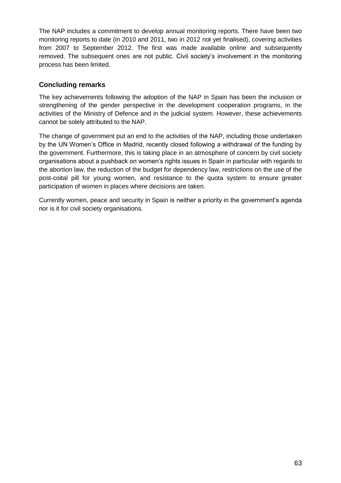The NAP includes a commitment to develop annual monitoring reports. There have been two monitoring reports to date (in 2010 and 2011, two in 2012 not yet finalised), covering activities from 2007 to September 2012. The first was made available online and subsequently removed. The subsequent ones are not public. Civil society's involvement in the monitoring process has been limited.

## **Concluding remarks**

The key achievements following the adoption of the NAP in Spain has been the inclusion or strengthening of the gender perspective in the development cooperation programs, in the activities of the Ministry of Defence and in the judicial system. However, these achievements cannot be solely attributed to the NAP.

The change of government put an end to the activities of the NAP, including those undertaken by the UN Women's Office in Madrid, recently closed following a withdrawal of the funding by the government. Furthermore, this is taking place in an atmosphere of concern by civil society organisations about a pushback on women's rights issues in Spain in particular with regards to the abortion law, the reduction of the budget for dependency law, restrictions on the use of the post-coital pill for young women, and resistance to the quota system to ensure greater participation of women in places where decisions are taken.

Currently women, peace and security in Spain is neither a priority in the government's agenda nor is it for civil society organisations.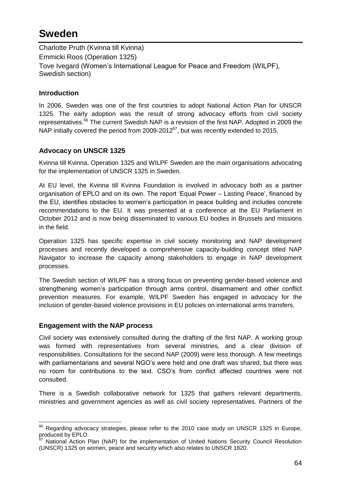## **Sweden**

Charlotte Pruth (Kvinna till Kvinna) Emmicki Roos (Operation 1325) Tove Ivegard (Women's International League for Peace and Freedom (WILPF), Swedish section)

## **In**t**roduction**

In 2006, Sweden was one of the first countries to adopt National Action Plan for UNSCR 1325. The early adoption was the result of strong advocacy efforts from civil society representatives.<sup>66</sup> The current Swedish NAP is a revision of the first NAP. Adopted in 2009 the NAP initially covered the period from  $2009-2012^{67}$ , but was recently extended to 2015.

## **Advocacy on UNSCR 1325**

Kvinna till Kvinna, Operation 1325 and WILPF Sweden are the main organisations advocating for the implementation of UNSCR 1325 in Sweden.

At EU level, the Kvinna till Kvinna Foundation is involved in advocacy both as a partner organisation of EPLO and on its own. The report 'Equal Power – Lasting Peace', financed by the EU, identifies obstacles to women's participation in peace building and includes concrete recommendations to the EU. It was presented at a conference at the EU Parliament in October 2012 and is now being disseminated to various EU bodies in Brussels and missions in the field.

Operation 1325 has specific expertise in civil society monitoring and NAP development processes and recently developed a comprehensive capacity-building concept titled NAP Navigator to increase the capacity among stakeholders to engage in NAP development processes.

The Swedish section of WILPF has a strong focus on preventing gender-based violence and strengthening women's participation through arms control, disarmament and other conflict prevention measures. For example, WILPF Sweden has engaged in advocacy for the inclusion of gender-based violence provisions in EU policies on international arms transfers.

## **Engagement with the NAP process**

Civil society was extensively consulted during the drafting of the first NAP. A working group was formed with representatives from several ministries, and a clear division of responsibilities. Consultations for the second NAP (2009) were less thorough. A few meetings with parliamentarians and several NGO's were held and one draft was shared, but there was no room for contributions to the text. CSO's from conflict affected countries were not consulted.

There is a Swedish collaborative network for 1325 that gathers relevant departments, ministries and government agencies as well as civil society representatives. Partners of the

  $^{66}$  Regarding advocacy strategies, please refer to the 2010 case study on UNSCR 1325 in Europe, produced by EPLO.

National Action Plan (NAP) for the implementation of United Nations Security Council Resolution (UNSCR) 1325 on women, peace and security which also relates to UNSCR 1820.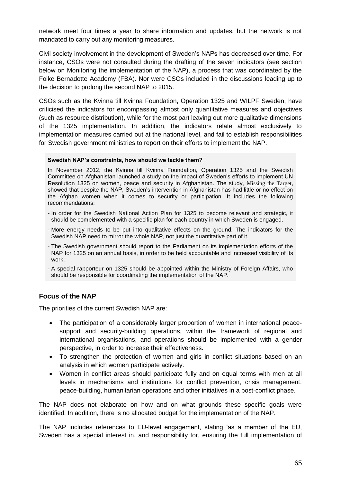network meet four times a year to share information and updates, but the network is not mandated to carry out any monitoring measures.

Civil society involvement in the development of Sweden's NAPs has decreased over time. For instance, CSOs were not consulted during the drafting of the seven indicators (see section below on Monitoring the implementation of the NAP), a process that was coordinated by the Folke Bernadotte Academy (FBA). Nor were CSOs included in the discussions leading up to the decision to prolong the second NAP to 2015.

CSOs such as the Kvinna till Kvinna Foundation, Operation 1325 and WILPF Sweden, have criticised the indicators for encompassing almost only quantitative measures and objectives (such as resource distribution), while for the most part leaving out more qualitative dimensions of the 1325 implementation. In addition, the indicators relate almost exclusively to implementation measures carried out at the national level, and fail to establish responsibilities for Swedish government ministries to report on their efforts to implement the NAP.

#### **Swedish NAP's constraints, how should we tackle them?**

In November 2012, the Kvinna till Kvinna Foundation, Operation 1325 and the Swedish Committee on Afghanistan launched a study on the impact of Sweden's efforts to implement UN Resolution 1325 on women, peace and security in Afghanistan. The study, [Missing the Target](http://kvinnatillkvinnafrontend.qbank.se/deployedFiles/2dace78f80bc92e6d7493423d729448e.pdf), showed that despite the NAP, Sweden's intervention in Afghanistan has had little or no effect on the Afghan women when it comes to security or participation. It includes the following recommendations:

- In order for the Swedish National Action Plan for 1325 to become relevant and strategic, it should be complemented with a specific plan for each country in which Sweden is engaged.
- More energy needs to be put into qualitative effects on the ground. The indicators for the Swedish NAP need to mirror the whole NAP, not just the quantitative part of it.
- The Swedish government should report to the Parliament on its implementation efforts of the NAP for 1325 on an annual basis, in order to be held accountable and increased visibility of its work.
- A special rapporteur on 1325 should be appointed within the Ministry of Foreign Affairs, who should be responsible for coordinating the implementation of the NAP.

#### **Focus of the NAP**

The priorities of the current Swedish NAP are:

- The participation of a considerably larger proportion of women in international peacesupport and security-building operations, within the framework of regional and international organisations, and operations should be implemented with a gender perspective, in order to increase their effectiveness.
- To strengthen the protection of women and girls in conflict situations based on an analysis in which women participate actively.
- Women in conflict areas should participate fully and on equal terms with men at all levels in mechanisms and institutions for conflict prevention, crisis management, peace-building, humanitarian operations and other initiatives in a post-conflict phase.

The NAP does not elaborate on how and on what grounds these specific goals were identified. In addition, there is no allocated budget for the implementation of the NAP.

The NAP includes references to EU-level engagement, stating 'as a member of the EU, Sweden has a special interest in, and responsibility for, ensuring the full implementation of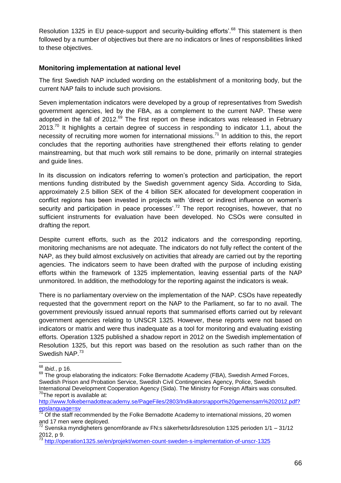Resolution 1325 in EU peace-support and security-building efforts'.<sup>68</sup> This statement is then followed by a number of objectives but there are no indicators or lines of responsibilities linked to these objectives.

#### **Monitoring implementation at national level**

The first Swedish NAP included wording on the establishment of a monitoring body, but the current NAP fails to include such provisions.

Seven implementation indicators were developed by a group of representatives from Swedish government agencies, led by the FBA, as a complement to the current NAP. These were adopted in the fall of  $2012$ .<sup>69</sup> The first report on these indicators was released in February  $2013$ <sup>70</sup> It highlights a certain degree of success in responding to indicator 1.1, about the necessity of recruiting more women for international missions.<sup>71</sup> In addition to this, the report concludes that the reporting authorities have strengthened their efforts relating to gender mainstreaming, but that much work still remains to be done, primarily on internal strategies and guide lines.

In its discussion on indicators referring to women's protection and participation, the report mentions funding distributed by the Swedish government agency Sida. According to Sida, approximately 2.5 billion SEK of the 4 billion SEK allocated for development cooperation in conflict regions has been invested in projects with 'direct or indirect influence on women's security and participation in peace processes<sup>'.72</sup> The report recognises, however, that no sufficient instruments for evaluation have been developed. No CSOs were consulted in drafting the report.

Despite current efforts, such as the 2012 indicators and the corresponding reporting, monitoring mechanisms are not adequate. The indicators do not fully reflect the content of the NAP, as they build almost exclusively on activities that already are carried out by the reporting agencies. The indicators seem to have been drafted with the purpose of including existing efforts within the framework of 1325 implementation, leaving essential parts of the NAP unmonitored. In addition, the methodology for the reporting against the indicators is weak.

There is no parliamentary overview on the implementation of the NAP. CSOs have repeatedly requested that the government report on the NAP to the Parliament, so far to no avail. The government previously issued annual reports that summarised efforts carried out by relevant government agencies relating to UNSCR 1325. However, these reports were not based on indicators or matrix and were thus inadequate as a tool for monitoring and evaluating existing efforts. Operation 1325 published a shadow report in 2012 on the Swedish implementation of Resolution 1325, but this report was based on the resolution as such rather than on the Swedish NAP.<sup>73</sup>

 $\overline{\phantom{a}}$ <sup>68</sup> *Ibid.*, p 16.

 $69$  The group elaborating the indicators: Folke Bernadotte Academy (FBA), Swedish Armed Forces, Swedish Prison and Probation Service, Swedish Civil Contingencies Agency, Police, Swedish International Development Cooperation Agency (Sida). The Ministry for Foreign Affairs was consulted.  $70$ The report is available at:

[http://www.folkebernadotteacademy.se/PageFiles/2803/Indikatorsrapport%20gemensam%202012.pdf?](http://www.folkebernadotteacademy.se/PageFiles/2803/Indikatorsrapport%20gemensam%202012.pdf?epslanguage=sv) [epslanguage=sv](http://www.folkebernadotteacademy.se/PageFiles/2803/Indikatorsrapport%20gemensam%202012.pdf?epslanguage=sv)

Of the staff recommended by the Folke Bernadotte Academy to international missions, 20 women and 17 men were deployed.

 $72$  Svenska myndigheters genomförande av FN:s säkerhetsrådsresolution 1325 perioden 1/1 – 31/12 2012, p 9.

<sup>73</sup> <http://operation1325.se/en/projekt/women-count-sweden-s-implementation-of-unscr-1325>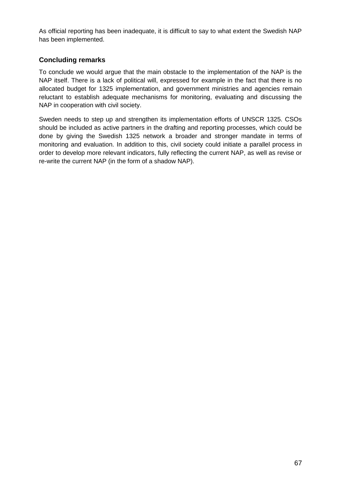As official reporting has been inadequate, it is difficult to say to what extent the Swedish NAP has been implemented.

## **Concluding remarks**

To conclude we would argue that the main obstacle to the implementation of the NAP is the NAP itself. There is a lack of political will, expressed for example in the fact that there is no allocated budget for 1325 implementation, and government ministries and agencies remain reluctant to establish adequate mechanisms for monitoring, evaluating and discussing the NAP in cooperation with civil society.

Sweden needs to step up and strengthen its implementation efforts of UNSCR 1325. CSOs should be included as active partners in the drafting and reporting processes, which could be done by giving the Swedish 1325 network a broader and stronger mandate in terms of monitoring and evaluation. In addition to this, civil society could initiate a parallel process in order to develop more relevant indicators, fully reflecting the current NAP, as well as revise or re-write the current NAP (in the form of a shadow NAP).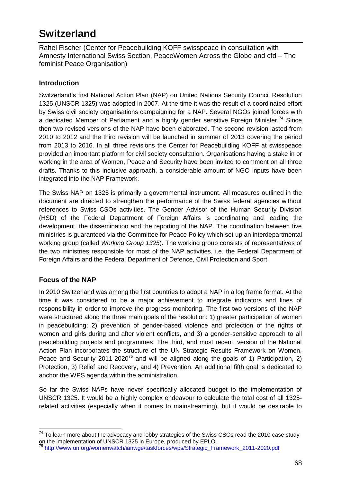## **Switzerland**

Rahel Fischer (Center for Peacebuilding KOFF swisspeace in consultation with Amnesty International Swiss Section, PeaceWomen Across the Globe and cfd – The feminist Peace Organisation)

## **Introduction**

Switzerland's first National Action Plan (NAP) on United Nations Security Council Resolution 1325 (UNSCR 1325) was adopted in 2007. At the time it was the result of a coordinated effort by Swiss civil society organisations campaigning for a NAP. Several NGOs joined forces with a dedicated Member of Parliament and a highly gender sensitive Foreign Minister.<sup>74</sup> Since then two revised versions of the NAP have been elaborated. The second revision lasted from 2010 to 2012 and the third revision will be launched in summer of 2013 covering the period from 2013 to 2016. In all three revisions the Center for Peacebuilding KOFF at swisspeace provided an important platform for civil society consultation. Organisations having a stake in or working in the area of Women, Peace and Security have been invited to comment on all three drafts. Thanks to this inclusive approach, a considerable amount of NGO inputs have been integrated into the NAP Framework.

The Swiss NAP on 1325 is primarily a governmental instrument. All measures outlined in the document are directed to strengthen the performance of the Swiss federal agencies without references to Swiss CSOs activities. The Gender Advisor of the Human Security Division (HSD) of the Federal Department of Foreign Affairs is coordinating and leading the development, the dissemination and the reporting of the NAP. The coordination between five ministries is guaranteed via the Committee for Peace Policy which set up an interdepartmental working group (called *Working Group 1325*). The working group consists of representatives of the two ministries responsible for most of the NAP activities, i.e. the Federal Department of Foreign Affairs and the Federal Department of Defence, Civil Protection and Sport.

## **Focus of the NAP**

In 2010 Switzerland was among the first countries to adopt a NAP in a log frame format. At the time it was considered to be a major achievement to integrate indicators and lines of responsibility in order to improve the progress monitoring. The first two versions of the NAP were structured along the three main goals of the resolution: 1) greater participation of women in peacebuilding; 2) prevention of gender-based violence and protection of the rights of women and girls during and after violent conflicts, and 3) a gender-sensitive approach to all peacebuilding projects and programmes. The third, and most recent, version of the National Action Plan incorporates the structure of the UN Strategic Results Framework on Women, Peace and Security 2011-2020<sup>75</sup> and will be aligned along the goals of 1) Participation, 2) Protection, 3) Relief and Recovery, and 4) Prevention. An additional fifth goal is dedicated to anchor the WPS agenda within the administration.

So far the Swiss NAPs have never specifically allocated budget to the implementation of UNSCR 1325. It would be a highly complex endeavour to calculate the total cost of all 1325 related activities (especially when it comes to mainstreaming), but it would be desirable to

 $74$  To learn more about the advocacy and lobby strategies of the Swiss CSOs read the 2010 case study on the implementation of UNSCR 1325 in Europe, produced by EPLO.<br><sup>75</sup> http://www.up.car.for.com

<sup>75</sup> [http://www.un.org/womenwatch/ianwge/taskforces/wps/Strategic\\_Framework\\_2011-2020.pdf](http://www.un.org/womenwatch/ianwge/taskforces/wps/Strategic_Framework_2011-2020.pdf)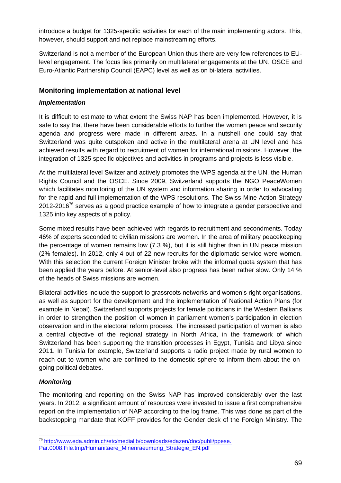introduce a budget for 1325-specific activities for each of the main implementing actors. This, however, should support and not replace mainstreaming efforts.

Switzerland is not a member of the European Union thus there are very few references to EUlevel engagement. The focus lies primarily on multilateral engagements at the UN, OSCE and Euro-Atlantic Partnership Council (EAPC) level as well as on bi-lateral activities.

## **Monitoring implementation at national level**

#### *Implementation*

It is difficult to estimate to what extent the Swiss NAP has been implemented. However, it is safe to say that there have been considerable efforts to further the women peace and security agenda and progress were made in different areas. In a nutshell one could say that Switzerland was quite outspoken and active in the multilateral arena at UN level and has achieved results with regard to recruitment of women for international missions. However, the integration of 1325 specific objectives and activities in programs and projects is less visible.

At the multilateral level Switzerland actively promotes the WPS agenda at the UN, the Human Rights Council and the OSCE. Since 2009, Switzerland supports the NGO PeaceWomen which facilitates monitoring of the UN system and information sharing in order to advocating for the rapid and full implementation of the WPS resolutions. The Swiss Mine Action Strategy  $2012-2016^{76}$  serves as a good practice example of how to integrate a gender perspective and 1325 into key aspects of a policy.

Some mixed results have been achieved with regards to recruitment and secondments. Today 46% of experts seconded to civilian missions are women. In the area of military peacekeeping the percentage of women remains low (7.3 %), but it is still higher than in UN peace mission (2% females). In 2012, only 4 out of 22 new recruits for the diplomatic service were women. With this selection the current Foreign Minister broke with the informal quota system that has been applied the years before. At senior-level also progress has been rather slow. Only 14 % of the heads of Swiss missions are women.

Bilateral activities include the support to grassroots networks and women's right organisations, as well as support for the development and the implementation of National Action Plans (for example in Nepal). Switzerland supports projects for female politicians in the Western Balkans in order to strengthen the position of women in parliament women's participation in election observation and in the electoral reform process. The increased participation of women is also a central objective of the regional strategy in North Africa, in the framework of which Switzerland has been supporting the transition processes in Egypt, Tunisia and Libya since 2011. In Tunisia for example, Switzerland supports a radio project made by rural women to reach out to women who are confined to the domestic sphere to inform them about the ongoing political debates.

## *Monitoring*

 $\overline{a}$ 

The monitoring and reporting on the Swiss NAP has improved considerably over the last years. In 2012, a significant amount of resources were invested to issue a first comprehensive report on the implementation of NAP according to the log frame. This was done as part of the backstopping mandate that KOFF provides for the Gender desk of the Foreign Ministry. The

<sup>76</sup> [http://www.eda.admin.ch/etc/medialib/downloads/edazen/doc/publi/ppese.](http://www.eda.admin.ch/etc/medialib/downloads/edazen/doc/publi/ppese.%20Par.0008.File.tmp/Humanitaere_Minenraeumung_Strategie_EN.pdf)  [Par.0008.File.tmp/Humanitaere\\_Minenraeumung\\_Strategie\\_EN.pdf](http://www.eda.admin.ch/etc/medialib/downloads/edazen/doc/publi/ppese.%20Par.0008.File.tmp/Humanitaere_Minenraeumung_Strategie_EN.pdf)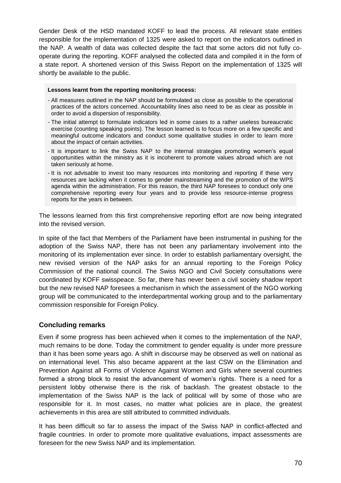Gender Desk of the HSD mandated KOFF to lead the process. All relevant state entities responsible for the implementation of 1325 were asked to report on the indicators outlined in the NAP. A wealth of data was collected despite the fact that some actors did not fully cooperate during the reporting. KOFF analysed the collected data and compiled it in the form of a state report. A shortened version of this Swiss Report on the implementation of 1325 will shortly be available to the public.

#### **Lessons learnt from the reporting monitoring process:**

- All measures outlined in the NAP should be formulated as close as possible to the operational practices of the actors concerned. Accountability lines also need to be as clear as possible in order to avoid a dispersion of responsibility.
- The initial attempt to formulate indicators led in some cases to a rather useless bureaucratic exercise (counting speaking points). The lesson learned is to focus more on a few specific and meaningful outcome indicators and conduct some qualitative studies in order to learn more about the impact of certain activities.
- It is important to link the Swiss NAP to the internal strategies promoting women's equal opportunities within the ministry as it is incoherent to promote values abroad which are not taken seriously at home.
- It is not advisable to invest too many resources into monitoring and reporting if these very resources are lacking when it comes to gender mainstreaming and the promotion of the WPS agenda within the administration. For this reason, the third NAP foresees to conduct only one comprehensive reporting every four years and to provide less resource-intense progress reports for the years in between.

The lessons learned from this first comprehensive reporting effort are now being integrated into the revised version.

In spite of the fact that Members of the Parliament have been instrumental in pushing for the adoption of the Swiss NAP, there has not been any parliamentary involvement into the monitoring of its implementation ever since. In order to establish parliamentary oversight, the new revised version of the NAP asks for an annual reporting to the Foreign Policy Commission of the national council. The Swiss NGO and Civil Society consultations were coordinated by KOFF swisspeace. So far, there has never been a civil society shadow report but the new revised NAP foresees a mechanism in which the assessment of the NGO working group will be communicated to the interdepartmental working group and to the parliamentary commission responsible for Foreign Policy.

#### **Concluding remarks**

Even if some progress has been achieved when it comes to the implementation of the NAP, much remains to be done. Today the commitment to gender equality is under more pressure than it has been some years ago. A shift in discourse may be observed as well on national as on international level. This also became apparent at the last CSW on the Elimination and Prevention Against all Forms of Violence Against Women and Girls where several countries formed a strong block to resist the advancement of women's rights. There is a need for a persistent lobby otherwise there is the risk of backlash. The greatest obstacle to the implementation of the Swiss NAP is the lack of political will by some of those who are responsible for it. In most cases, no matter what policies are in place, the greatest achievements in this area are still attributed to committed individuals.

It has been difficult so far to assess the impact of the Swiss NAP in conflict-affected and fragile countries. In order to promote more qualitative evaluations, impact assessments are foreseen for the new Swiss NAP and its implementation.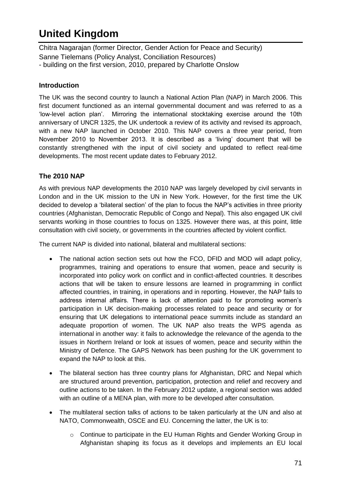# **United Kingdom**

Chitra Nagarajan (former Director, Gender Action for Peace and Security) Sanne Tielemans (Policy Analyst, Conciliation Resources) - building on the first version, 2010, prepared by Charlotte Onslow

## **Introduction**

The UK was the second country to launch a National Action Plan (NAP) in March 2006. This first document functioned as an internal governmental document and was referred to as a 'low-level action plan'. Mirroring the international stocktaking exercise around the 10th anniversary of UNCR 1325, the UK undertook a review of its activity and revised its approach, with a new NAP launched in October 2010. This NAP covers a three year period, from November 2010 to November 2013. It is described as a 'living' document that will be constantly strengthened with the input of civil society and updated to reflect real-time developments. The most recent update dates to February 2012.

## **The 2010 NAP**

As with previous NAP developments the 2010 NAP was largely developed by civil servants in London and in the UK mission to the UN in New York. However, for the first time the UK decided to develop a 'bilateral section' of the plan to focus the NAP's activities in three priority countries (Afghanistan, Democratic Republic of Congo and Nepal). This also engaged UK civil servants working in those countries to focus on 1325. However there was, at this point, little consultation with civil society, or governments in the countries affected by violent conflict.

The current NAP is divided into national, bilateral and multilateral sections:

- The national action section sets out how the FCO, DFID and MOD will adapt policy, programmes, training and operations to ensure that women, peace and security is incorporated into policy work on conflict and in conflict-affected countries. It describes actions that will be taken to ensure lessons are learned in programming in conflict affected countries, in training, in operations and in reporting. However, the NAP fails to address internal affairs. There is lack of attention paid to for promoting women's participation in UK decision-making processes related to peace and security or for ensuring that UK delegations to international peace summits include as standard an adequate proportion of women. The UK NAP also treats the WPS agenda as international in another way: it fails to acknowledge the relevance of the agenda to the issues in Northern Ireland or look at issues of women, peace and security within the Ministry of Defence. The GAPS Network has been pushing for the UK government to expand the NAP to look at this.
- The bilateral section has three country plans for Afghanistan, DRC and Nepal which are structured around prevention, participation, protection and relief and recovery and outline actions to be taken. In the February 2012 update, a regional section was added with an outline of a MENA plan, with more to be developed after consultation.
- The multilateral section talks of actions to be taken particularly at the UN and also at NATO, Commonwealth, OSCE and EU. Concerning the latter, the UK is to:
	- $\circ$  Continue to participate in the EU Human Rights and Gender Working Group in Afghanistan shaping its focus as it develops and implements an EU local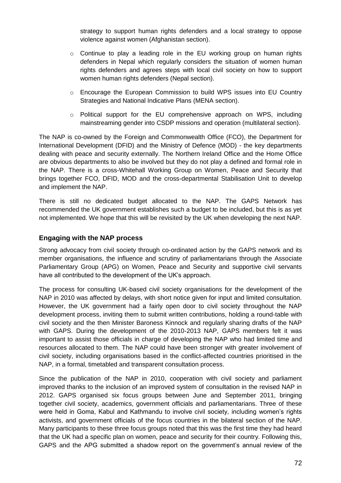strategy to support human rights defenders and a local strategy to oppose violence against women (Afghanistan section).

- o Continue to play a leading role in the EU working group on human rights defenders in Nepal which regularly considers the situation of women human rights defenders and agrees steps with local civil society on how to support women human rights defenders (Nepal section).
- o Encourage the European Commission to build WPS issues into EU Country Strategies and National Indicative Plans (MENA section).
- $\circ$  Political support for the EU comprehensive approach on WPS, including mainstreaming gender into CSDP missions and operation (multilateral section).

The NAP is co-owned by the Foreign and Commonwealth Office (FCO), the Department for International Development (DFID) and the Ministry of Defence (MOD) - the key departments dealing with peace and security externally. The Northern Ireland Office and the Home Office are obvious departments to also be involved but they do not play a defined and formal role in the NAP. There is a cross-Whitehall Working Group on Women, Peace and Security that brings together FCO, DFID, MOD and the cross-departmental Stabilisation Unit to develop and implement the NAP.

There is still no dedicated budget allocated to the NAP. The GAPS Network has recommended the UK government establishes such a budget to be included, but this is as yet not implemented. We hope that this will be revisited by the UK when developing the next NAP.

## **Engaging with the NAP process**

Strong advocacy from civil society through co-ordinated action by the GAPS network and its member organisations, the influence and scrutiny of parliamentarians through the Associate Parliamentary Group (APG) on Women, Peace and Security and supportive civil servants have all contributed to the development of the UK's approach.

The process for consulting UK-based civil society organisations for the development of the NAP in 2010 was affected by delays, with short notice given for input and limited consultation. However, the UK government had a fairly open door to civil society throughout the NAP development process, inviting them to submit written contributions, holding a round-table with civil society and the then Minister Baroness Kinnock and regularly sharing drafts of the NAP with GAPS. During the development of the 2010-2013 NAP, GAPS members felt it was important to assist those officials in charge of developing the NAP who had limited time and resources allocated to them. The NAP could have been stronger with greater involvement of civil society, including organisations based in the conflict-affected countries prioritised in the NAP, in a formal, timetabled and transparent consultation process.

Since the publication of the NAP in 2010, cooperation with civil society and parliament improved thanks to the inclusion of an improved system of consultation in the revised NAP in 2012. GAPS organised six focus groups between June and September 2011, bringing together civil society, academics, government officials and parliamentarians. Three of these were held in Goma, Kabul and Kathmandu to involve civil society, including women's rights activists, and government officials of the focus countries in the bilateral section of the NAP. Many participants to these three focus groups noted that this was the first time they had heard that the UK had a specific plan on women, peace and security for their country. Following this, GAPS and the APG submitted a shadow report on the government's annual review of the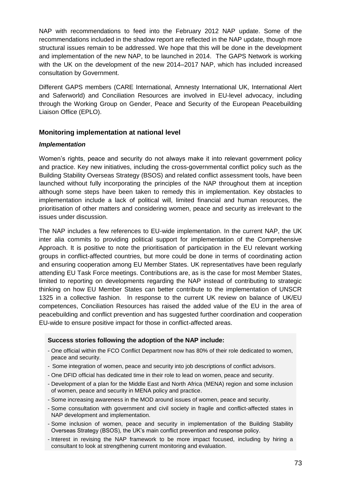NAP with recommendations to feed into the February 2012 NAP update. Some of the recommendations included in the shadow report are reflected in the NAP update, though more structural issues remain to be addressed. We hope that this will be done in the development and implementation of the new NAP, to be launched in 2014. The GAPS Network is working with the UK on the development of the new 2014–2017 NAP, which has included increased consultation by Government.

Different GAPS members (CARE International, Amnesty International UK, International Alert and Saferworld) and Conciliation Resources are involved in EU-level advocacy, including through the Working Group on Gender, Peace and Security of the European Peacebuilding Liaison Office (EPLO).

## **Monitoring implementation at national level**

#### *Implementation*

Women's rights, peace and security do not always make it into relevant government policy and practice. Key new initiatives, including the cross-governmental conflict policy such as the Building Stability Overseas Strategy (BSOS) and related conflict assessment tools, have been launched without fully incorporating the principles of the NAP throughout them at inception although some steps have been taken to remedy this in implementation. Key obstacles to implementation include a lack of political will, limited financial and human resources, the prioritisation of other matters and considering women, peace and security as irrelevant to the issues under discussion.

The NAP includes a few references to EU-wide implementation. In the current NAP, the UK inter alia commits to providing political support for implementation of the Comprehensive Approach. It is positive to note the prioritisation of participation in the EU relevant working groups in conflict-affected countries, but more could be done in terms of coordinating action and ensuring cooperation among EU Member States. UK representatives have been regularly attending EU Task Force meetings. Contributions are, as is the case for most Member States, limited to reporting on developments regarding the NAP instead of contributing to strategic thinking on how EU Member States can better contribute to the implementation of UNSCR 1325 in a collective fashion. In response to the current UK review on balance of UK/EU competences, Conciliation Resources has raised the added value of the EU in the area of peacebuilding and conflict prevention and has suggested further coordination and cooperation EU-wide to ensure positive impact for those in conflict-affected areas.

#### **Success stories following the adoption of the NAP include:**

- One official within the FCO Conflict Department now has 80% of their role dedicated to women, peace and security.
- Some integration of women, peace and security into job descriptions of conflict advisors.
- One DFID official has dedicated time in their role to lead on women, peace and security.
- Development of a plan for the Middle East and North Africa (MENA) region and some inclusion of women, peace and security in MENA policy and practice.
- Some increasing awareness in the MOD around issues of women, peace and security.
- Some consultation with government and civil society in fragile and conflict-affected states in NAP development and implementation.
- Some inclusion of women, peace and security in implementation of the Building Stability Overseas Strategy (BSOS), the UK's main conflict prevention and response policy.
- Interest in revising the NAP framework to be more impact focused, including by hiring a consultant to look at strengthening current monitoring and evaluation.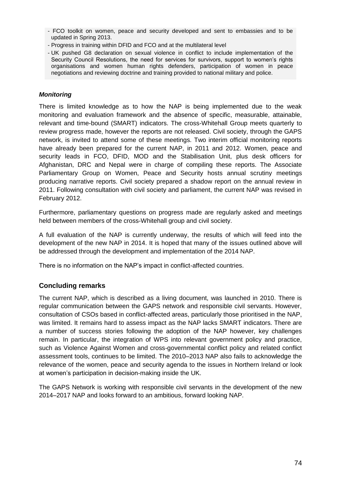- FCO toolkit on women, peace and security developed and sent to embassies and to be updated in Spring 2013.
- Progress in training within DFID and FCO and at the multilateral level
- UK pushed G8 declaration on sexual violence in conflict to include implementation of the Security Council Resolutions, the need for services for survivors, support to women's rights organisations and women human rights defenders, participation of women in peace negotiations and reviewing doctrine and training provided to national military and police.

#### *Monitoring*

There is limited knowledge as to how the NAP is being implemented due to the weak monitoring and evaluation framework and the absence of specific, measurable, attainable, relevant and time-bound (SMART) indicators. The cross-Whitehall Group meets quarterly to review progress made, however the reports are not released. Civil society, through the GAPS network, is invited to attend some of these meetings. Two interim official monitoring reports have already been prepared for the current NAP, in 2011 and 2012. Women, peace and security leads in FCO, DFID, MOD and the Stabilisation Unit, plus desk officers for Afghanistan, DRC and Nepal were in charge of compiling these reports. The Associate Parliamentary Group on Women, Peace and Security hosts annual scrutiny meetings producing narrative reports. Civil society prepared a shadow report on the annual review in 2011. Following consultation with civil society and parliament, the current NAP was revised in February 2012.

Furthermore, parliamentary questions on progress made are regularly asked and meetings held between members of the cross-Whitehall group and civil society.

A full evaluation of the NAP is currently underway, the results of which will feed into the development of the new NAP in 2014. It is hoped that many of the issues outlined above will be addressed through the development and implementation of the 2014 NAP.

There is no information on the NAP's impact in conflict-affected countries.

## **Concluding remarks**

The current NAP, which is described as a living document, was launched in 2010. There is regular communication between the GAPS network and responsible civil servants. However, consultation of CSOs based in conflict-affected areas, particularly those prioritised in the NAP, was limited. It remains hard to assess impact as the NAP lacks SMART indicators. There are a number of success stories following the adoption of the NAP however, key challenges remain. In particular, the integration of WPS into relevant government policy and practice, such as Violence Against Women and cross-governmental conflict policy and related conflict assessment tools, continues to be limited. The 2010–2013 NAP also fails to acknowledge the relevance of the women, peace and security agenda to the issues in Northern Ireland or look at women's participation in decision-making inside the UK.

The GAPS Network is working with responsible civil servants in the development of the new 2014–2017 NAP and looks forward to an ambitious, forward looking NAP.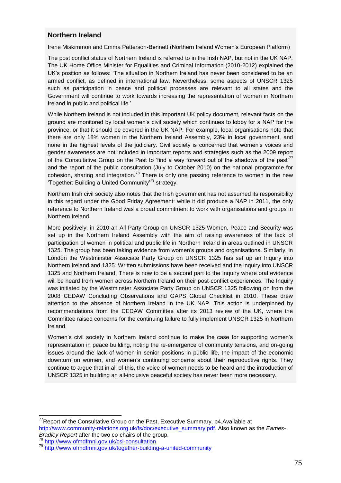#### **Northern Ireland**

Irene Miskimmon and Emma Patterson-Bennett (Northern Ireland Women's European Platform)

The post conflict status of Northern Ireland is referred to in the Irish NAP, but not in the UK NAP. The UK Home Office Minister for Equalities and Criminal Information (2010-2012) explained the UK's position as follows: 'The situation in Northern Ireland has never been considered to be an armed conflict, as defined in international law. Nevertheless, some aspects of UNSCR 1325 such as participation in peace and political processes are relevant to all states and the Government will continue to work towards increasing the representation of women in Northern Ireland in public and political life.'

While Northern Ireland is not included in this important UK policy document, relevant facts on the ground are monitored by local women's civil society which continues to lobby for a NAP for the province, or that it should be covered in the UK NAP. For example, local organisations note that there are only 18% women in the Northern Ireland Assembly, 23% in local government, and none in the highest levels of the judiciary. Civil society is concerned that women's voices and gender awareness are not included in important reports and strategies such as the 2009 report of the Consultative Group on the Past to 'find a way forward out of the shadows of the past' $^{77}$ and the report of the public consultation (July to October 2010) on the national programme for cohesion, sharing and integration.<sup>78</sup> There is only one passing reference to women in the new 'Together: Building a United Community'<sup>79</sup> strategy.

Northern Irish civil society also notes that the Irish government has not assumed its responsibility in this regard under the Good Friday Agreement: while it did produce a NAP in 2011, the only reference to Northern Ireland was a broad commitment to work with organisations and groups in Northern Ireland.

More positively, in 2010 an All Party Group on UNSCR 1325 Women, Peace and Security was set up in the Northern Ireland Assembly with the aim of raising awareness of the lack of participation of women in political and public life in Northern Ireland in areas outlined in UNSCR 1325. The group has been taking evidence from women's groups and organisations. Similarly, in London the Westminster Associate Party Group on UNSCR 1325 has set up an Inquiry into Northern Ireland and 1325. Written submissions have been received and the inquiry into UNSCR 1325 and Northern Ireland. There is now to be a second part to the Inquiry where oral evidence will be heard from women across Northern Ireland on their post-conflict experiences. The Inquiry was initiated by the Westminster Associate Party Group on UNSCR 1325 following on from the 2008 CEDAW Concluding Observations and GAPS Global Checklist in 2010. These drew attention to the absence of Northern Ireland in the UK NAP. This action is underpinned by recommendations from the CEDAW Committee after its 2013 review of the UK, where the Committee raised concerns for the continuing failure to fully implement UNSCR 1325 in Northern Ireland.

Women's civil society in Northern Ireland continue to make the case for supporting women's representation in peace building, noting the re-emergence of community tensions, and on-going issues around the lack of women in senior positions in public life, the impact of the economic downturn on women, and women's continuing concerns about their reproductive rights. They continue to argue that in all of this, the voice of women needs to be heard and the introduction of UNSCR 1325 in building an all-inclusive peaceful society has never been more necessary.

 $\frac{78}{79}$  <http://www.ofmdfmni.gov.uk/csi-consultation>

 $\overline{a}$ 

 $77$ Report of the Consultative Group on the Past, Executive Summary, p4.Available at [http://www.community-relations.org.uk/fs/doc/executive\\_summary.pdf.](http://www.community-relations.org.uk/fs/doc/executive_summary.pdf) Also known as the *Eames-Bradley Report* after the two co-chairs of the group.

<sup>79</sup> <http://www.ofmdfmni.gov.uk/together-building-a-united-community>